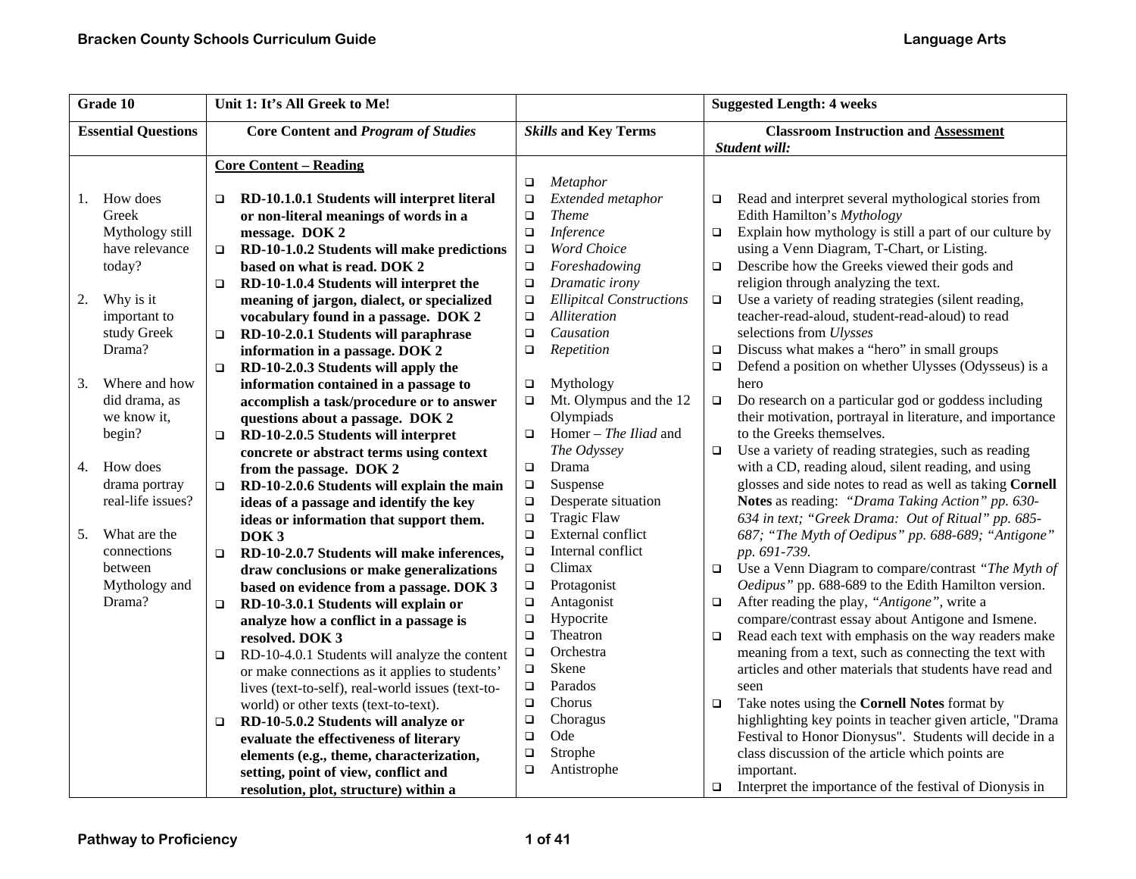| Grade 10                   |  | Unit 1: It's All Greek to Me!                           | <b>Suggested Length: 4 weeks</b> |                                 |        |                                                           |
|----------------------------|--|---------------------------------------------------------|----------------------------------|---------------------------------|--------|-----------------------------------------------------------|
| <b>Essential Questions</b> |  | <b>Core Content and Program of Studies</b>              |                                  | <b>Skills and Key Terms</b>     |        | <b>Classroom Instruction and Assessment</b>               |
|                            |  |                                                         |                                  |                                 |        | Student will:                                             |
|                            |  | <b>Core Content - Reading</b>                           |                                  |                                 |        |                                                           |
|                            |  |                                                         | $\Box$                           | Metaphor                        |        |                                                           |
| How does<br>1.             |  | RD-10.1.0.1 Students will interpret literal<br>□        | $\Box$                           | Extended metaphor               | о      | Read and interpret several mythological stories from      |
| Greek                      |  | or non-literal meanings of words in a                   | $\Box$                           | <b>Theme</b>                    |        | Edith Hamilton's Mythology                                |
| Mythology still            |  | message. DOK 2                                          | $\Box$                           | Inference                       | $\Box$ | Explain how mythology is still a part of our culture by   |
| have relevance             |  | RD-10-1.0.2 Students will make predictions              | $\Box$                           | <b>Word Choice</b>              |        | using a Venn Diagram, T-Chart, or Listing.                |
| today?                     |  | based on what is read. DOK 2                            | $\Box$                           | Foreshadowing                   | $\Box$ | Describe how the Greeks viewed their gods and             |
|                            |  | RD-10-1.0.4 Students will interpret the<br>$\Box$       | $\Box$                           | Dramatic irony                  |        | religion through analyzing the text.                      |
| 2.<br>Why is it            |  | meaning of jargon, dialect, or specialized              | $\Box$                           | <b>Ellipitcal Constructions</b> | $\Box$ | Use a variety of reading strategies (silent reading,      |
| important to               |  | vocabulary found in a passage. DOK 2                    | $\Box$                           | Alliteration                    |        | teacher-read-aloud, student-read-aloud) to read           |
| study Greek                |  | RD-10-2.0.1 Students will paraphrase<br>$\Box$          | $\Box$                           | Causation                       |        | selections from Ulysses                                   |
| Drama?                     |  | information in a passage. DOK 2                         | $\Box$                           | Repetition                      | $\Box$ | Discuss what makes a "hero" in small groups               |
|                            |  | RD-10-2.0.3 Students will apply the<br>$\Box$           |                                  |                                 | $\Box$ | Defend a position on whether Ulysses (Odysseus) is a      |
| Where and how<br>3.        |  | information contained in a passage to                   | $\Box$                           | Mythology                       |        | hero                                                      |
| did drama, as              |  | accomplish a task/procedure or to answer                | $\Box$                           | Mt. Olympus and the 12          | $\Box$ | Do research on a particular god or goddess including      |
| we know it,                |  | questions about a passage. DOK 2                        |                                  | Olympiads                       |        | their motivation, portrayal in literature, and importance |
| begin?                     |  | RD-10-2.0.5 Students will interpret<br>$\Box$           | $\Box$                           | Homer - The Iliad and           |        | to the Greeks themselves.                                 |
|                            |  | concrete or abstract terms using context                |                                  | The Odyssey                     | $\Box$ | Use a variety of reading strategies, such as reading      |
| How does<br>4.             |  | from the passage. DOK 2                                 | $\Box$                           | Drama                           |        | with a CD, reading aloud, silent reading, and using       |
| drama portray              |  | RD-10-2.0.6 Students will explain the main<br>$\Box$    | $\Box$                           | Suspense                        |        | glosses and side notes to read as well as taking Cornell  |
| real-life issues?          |  | ideas of a passage and identify the key                 | $\Box$                           | Desperate situation             |        | Notes as reading: "Drama Taking Action" pp. 630-          |
|                            |  | ideas or information that support them.                 | $\Box$                           | <b>Tragic Flaw</b>              |        | 634 in text; "Greek Drama: Out of Ritual" pp. 685-        |
| What are the<br>5.         |  | DOK <sub>3</sub>                                        | $\Box$                           | External conflict               |        | 687; "The Myth of Oedipus" pp. 688-689; "Antigone"        |
| connections                |  | RD-10-2.0.7 Students will make inferences,<br>$\Box$    | $\Box$                           | Internal conflict               |        | pp. 691-739.                                              |
| between                    |  | draw conclusions or make generalizations                | $\Box$                           | Climax                          | $\Box$ | Use a Venn Diagram to compare/contrast "The Myth of       |
| Mythology and              |  | based on evidence from a passage. DOK 3                 | $\Box$                           | Protagonist                     |        | Oedipus" pp. 688-689 to the Edith Hamilton version.       |
| Drama?                     |  | RD-10-3.0.1 Students will explain or<br>$\Box$          | $\Box$                           | Antagonist                      | $\Box$ | After reading the play, "Antigone", write a               |
|                            |  | analyze how a conflict in a passage is                  | $\Box$                           | Hypocrite                       |        | compare/contrast essay about Antigone and Ismene.         |
|                            |  | resolved. DOK 3                                         | $\Box$                           | Theatron                        | $\Box$ | Read each text with emphasis on the way readers make      |
|                            |  | RD-10-4.0.1 Students will analyze the content<br>$\Box$ | $\Box$                           | Orchestra                       |        | meaning from a text, such as connecting the text with     |
|                            |  | or make connections as it applies to students'          | $\Box$                           | Skene                           |        | articles and other materials that students have read and  |
|                            |  | lives (text-to-self), real-world issues (text-to-       | □                                | Parados                         |        | seen                                                      |
|                            |  | world) or other texts (text-to-text).                   | $\Box$                           | Chorus                          | $\Box$ | Take notes using the Cornell Notes format by              |
|                            |  | RD-10-5.0.2 Students will analyze or<br>$\Box$          | $\Box$                           | Choragus                        |        | highlighting key points in teacher given article, "Drama  |
|                            |  | evaluate the effectiveness of literary                  | $\Box$                           | Ode                             |        | Festival to Honor Dionysus". Students will decide in a    |
|                            |  | elements (e.g., theme, characterization,                | $\Box$                           | Strophe                         |        | class discussion of the article which points are          |
|                            |  | setting, point of view, conflict and                    | $\Box$                           | Antistrophe                     |        | important.                                                |
|                            |  | resolution, plot, structure) within a                   |                                  |                                 | $\Box$ | Interpret the importance of the festival of Dionysis in   |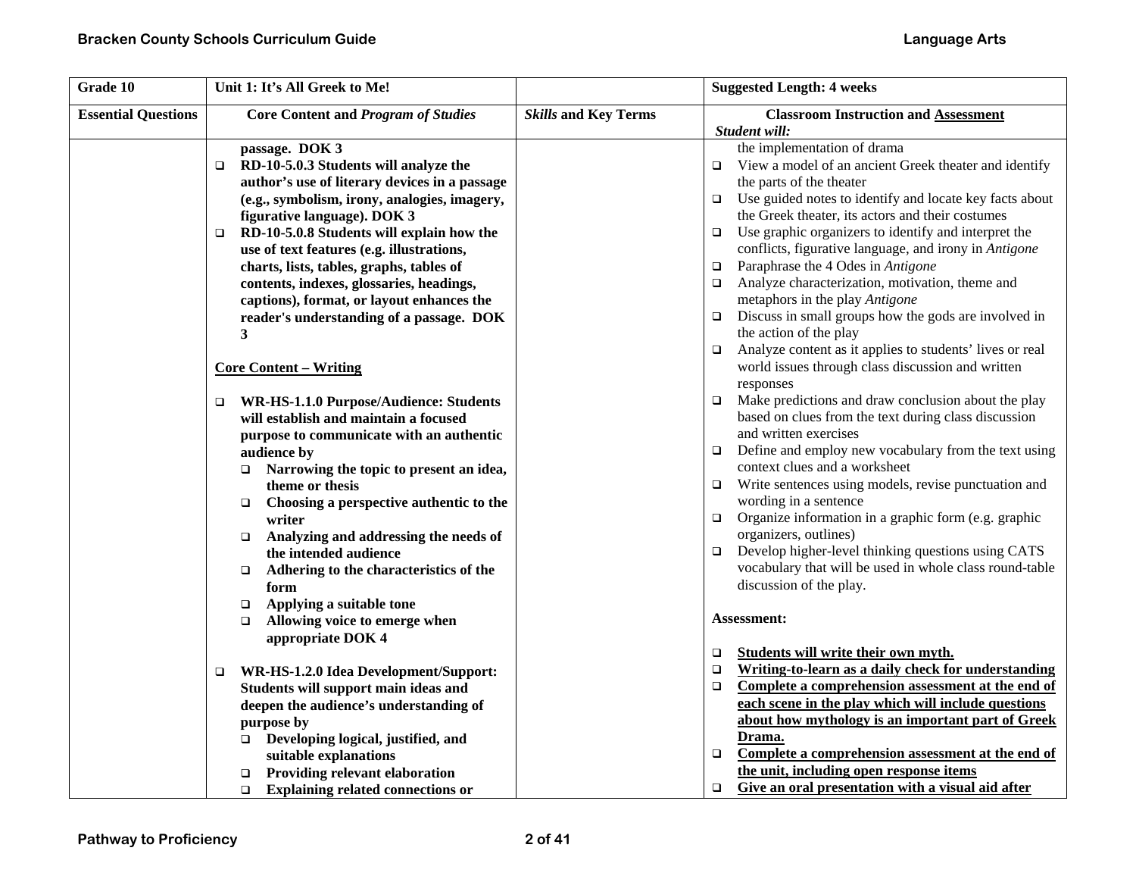| Grade 10                   | Unit 1: It's All Greek to Me!                       |                             | <b>Suggested Length: 4 weeks</b>                                   |
|----------------------------|-----------------------------------------------------|-----------------------------|--------------------------------------------------------------------|
| <b>Essential Questions</b> | <b>Core Content and Program of Studies</b>          | <b>Skills and Key Terms</b> | <b>Classroom Instruction and Assessment</b>                        |
|                            |                                                     |                             | Student will:                                                      |
|                            | passage. DOK 3                                      |                             | the implementation of drama                                        |
|                            | RD-10-5.0.3 Students will analyze the<br>$\Box$     |                             | View a model of an ancient Greek theater and identify<br>$\Box$    |
|                            | author's use of literary devices in a passage       |                             | the parts of the theater                                           |
|                            | (e.g., symbolism, irony, analogies, imagery,        |                             | Use guided notes to identify and locate key facts about<br>$\Box$  |
|                            | figurative language). DOK 3                         |                             | the Greek theater, its actors and their costumes                   |
|                            | RD-10-5.0.8 Students will explain how the<br>$\Box$ |                             | Use graphic organizers to identify and interpret the<br>□          |
|                            | use of text features (e.g. illustrations,           |                             | conflicts, figurative language, and irony in Antigone              |
|                            | charts, lists, tables, graphs, tables of            |                             | Paraphrase the 4 Odes in Antigone<br>$\Box$                        |
|                            | contents, indexes, glossaries, headings,            |                             | Analyze characterization, motivation, theme and<br>$\Box$          |
|                            | captions), format, or layout enhances the           |                             | metaphors in the play Antigone                                     |
|                            | reader's understanding of a passage. DOK            |                             | Discuss in small groups how the gods are involved in<br>$\Box$     |
|                            | 3                                                   |                             | the action of the play                                             |
|                            |                                                     |                             | Analyze content as it applies to students' lives or real<br>$\Box$ |
|                            | <b>Core Content – Writing</b>                       |                             | world issues through class discussion and written                  |
|                            |                                                     |                             | responses                                                          |
|                            | WR-HS-1.1.0 Purpose/Audience: Students<br>$\Box$    |                             | Make predictions and draw conclusion about the play<br>$\Box$      |
|                            | will establish and maintain a focused               |                             | based on clues from the text during class discussion               |
|                            | purpose to communicate with an authentic            |                             | and written exercises                                              |
|                            | audience by                                         |                             | Define and employ new vocabulary from the text using<br>$\Box$     |
|                            | $\Box$ Narrowing the topic to present an idea,      |                             | context clues and a worksheet                                      |
|                            | theme or thesis                                     |                             | Write sentences using models, revise punctuation and<br>$\Box$     |
|                            | Choosing a perspective authentic to the<br>$\Box$   |                             | wording in a sentence                                              |
|                            | writer                                              |                             | Organize information in a graphic form (e.g. graphic<br>$\Box$     |
|                            | Analyzing and addressing the needs of<br>$\Box$     |                             | organizers, outlines)                                              |
|                            | the intended audience                               |                             | Develop higher-level thinking questions using CATS<br>$\Box$       |
|                            | Adhering to the characteristics of the<br>$\Box$    |                             | vocabulary that will be used in whole class round-table            |
|                            | form                                                |                             | discussion of the play.                                            |
|                            | Applying a suitable tone<br>$\Box$                  |                             |                                                                    |
|                            | Allowing voice to emerge when<br>$\Box$             |                             | Assessment:                                                        |
|                            | appropriate DOK 4                                   |                             |                                                                    |
|                            |                                                     |                             | Students will write their own myth.<br>$\Box$                      |
|                            | WR-HS-1.2.0 Idea Development/Support:<br>$\Box$     |                             | Writing-to-learn as a daily check for understanding<br>$\Box$      |
|                            | Students will support main ideas and                |                             | Complete a comprehension assessment at the end of<br>$\Box$        |
|                            | deepen the audience's understanding of              |                             | each scene in the play which will include questions                |
|                            | purpose by                                          |                             | about how mythology is an important part of Greek                  |
|                            | □ Developing logical, justified, and                |                             | Drama.                                                             |
|                            | suitable explanations                               |                             | Complete a comprehension assessment at the end of<br>$\Box$        |
|                            | <b>Providing relevant elaboration</b><br>□          |                             | the unit, including open response items                            |
|                            | $\Box$ Explaining related connections or            |                             | Give an oral presentation with a visual aid after<br>$\Box$        |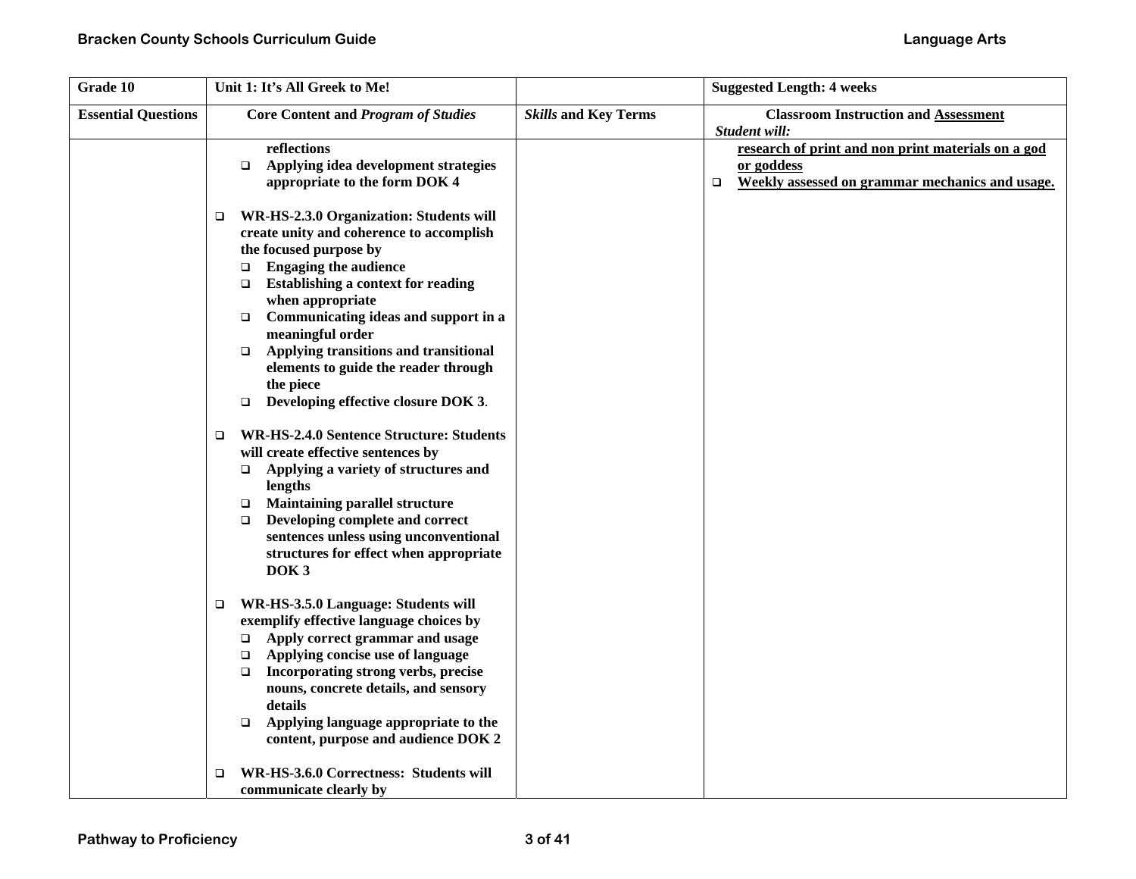| Grade 10                   | Unit 1: It's All Greek to Me!                                                                                                                                                                                                                                                                                                                                                                                                                                                                                                                                                                                                                                                                                                                                                                                                            |                             | <b>Suggested Length: 4 weeks</b>                                                                                              |
|----------------------------|------------------------------------------------------------------------------------------------------------------------------------------------------------------------------------------------------------------------------------------------------------------------------------------------------------------------------------------------------------------------------------------------------------------------------------------------------------------------------------------------------------------------------------------------------------------------------------------------------------------------------------------------------------------------------------------------------------------------------------------------------------------------------------------------------------------------------------------|-----------------------------|-------------------------------------------------------------------------------------------------------------------------------|
| <b>Essential Questions</b> | <b>Core Content and Program of Studies</b>                                                                                                                                                                                                                                                                                                                                                                                                                                                                                                                                                                                                                                                                                                                                                                                               | <b>Skills and Key Terms</b> | <b>Classroom Instruction and Assessment</b><br>Student will:                                                                  |
|                            | reflections<br>Applying idea development strategies<br>$\Box$<br>appropriate to the form DOK 4                                                                                                                                                                                                                                                                                                                                                                                                                                                                                                                                                                                                                                                                                                                                           |                             | research of print and non print materials on a god<br>or goddess<br>Weekly assessed on grammar mechanics and usage.<br>$\Box$ |
|                            | WR-HS-2.3.0 Organization: Students will<br>□<br>create unity and coherence to accomplish<br>the focused purpose by<br><b>Engaging the audience</b><br>$\Box$<br><b>Establishing a context for reading</b><br>▫<br>when appropriate<br>Communicating ideas and support in a<br>$\Box$<br>meaningful order<br>Applying transitions and transitional<br>$\Box$<br>elements to guide the reader through<br>the piece<br>Developing effective closure DOK 3.<br>$\Box$<br><b>WR-HS-2.4.0 Sentence Structure: Students</b><br>$\Box$<br>will create effective sentences by<br>Applying a variety of structures and<br>$\Box$<br>lengths<br><b>Maintaining parallel structure</b><br>$\Box$<br>Developing complete and correct<br>$\Box$<br>sentences unless using unconventional<br>structures for effect when appropriate<br>DOK <sub>3</sub> |                             |                                                                                                                               |
|                            | WR-HS-3.5.0 Language: Students will<br>$\Box$<br>exemplify effective language choices by<br>Apply correct grammar and usage<br>$\Box$<br>Applying concise use of language<br>$\Box$<br>Incorporating strong verbs, precise<br>$\Box$<br>nouns, concrete details, and sensory<br>details<br>Applying language appropriate to the<br>$\Box$<br>content, purpose and audience DOK 2                                                                                                                                                                                                                                                                                                                                                                                                                                                         |                             |                                                                                                                               |
|                            | WR-HS-3.6.0 Correctness: Students will<br>□<br>communicate clearly by                                                                                                                                                                                                                                                                                                                                                                                                                                                                                                                                                                                                                                                                                                                                                                    |                             |                                                                                                                               |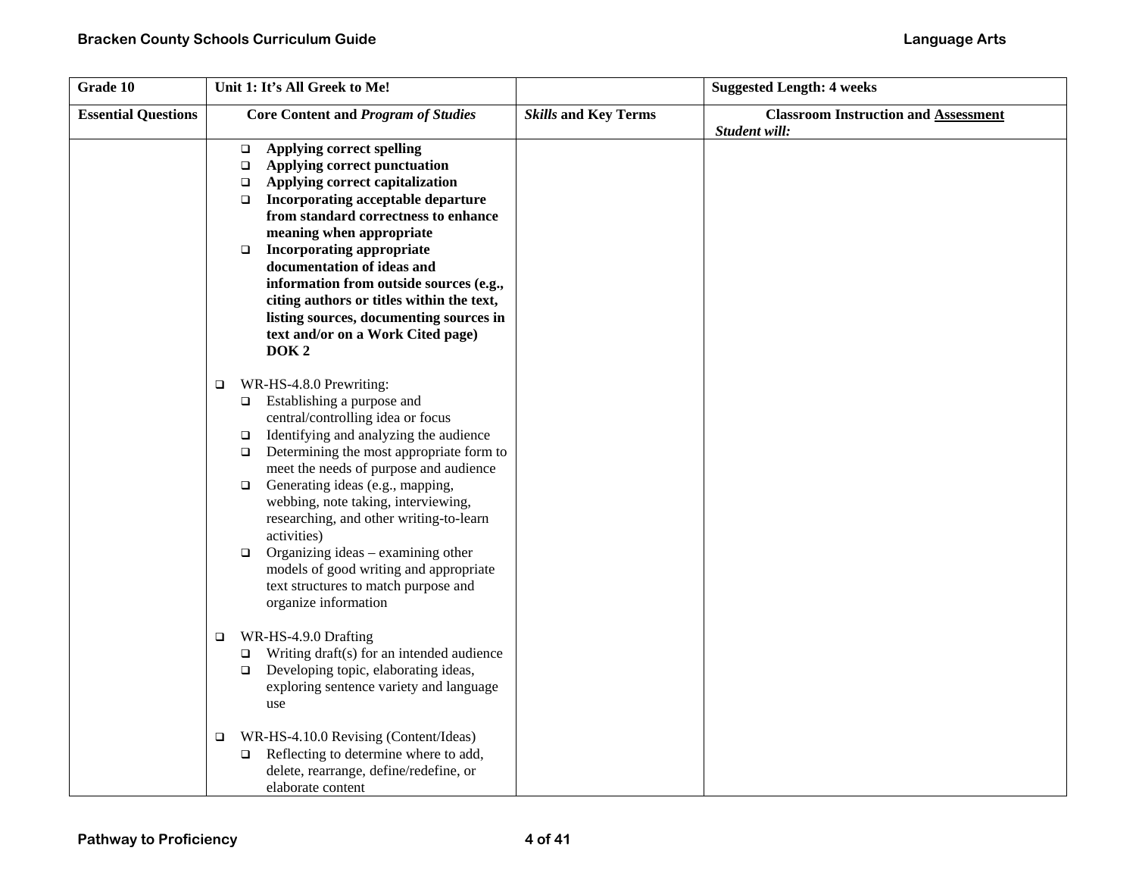| Grade 10                   | Unit 1: It's All Greek to Me!                                                                                                                                                                                                                                                                                                                                                                                                                                                                                                                                            |                             | <b>Suggested Length: 4 weeks</b>                             |
|----------------------------|--------------------------------------------------------------------------------------------------------------------------------------------------------------------------------------------------------------------------------------------------------------------------------------------------------------------------------------------------------------------------------------------------------------------------------------------------------------------------------------------------------------------------------------------------------------------------|-----------------------------|--------------------------------------------------------------|
| <b>Essential Questions</b> | <b>Core Content and Program of Studies</b>                                                                                                                                                                                                                                                                                                                                                                                                                                                                                                                               | <b>Skills and Key Terms</b> | <b>Classroom Instruction and Assessment</b><br>Student will: |
|                            | Applying correct spelling<br>$\Box$<br>Applying correct punctuation<br>□<br>Applying correct capitalization<br>$\Box$<br>Incorporating acceptable departure<br>$\Box$<br>from standard correctness to enhance<br>meaning when appropriate<br><b>Incorporating appropriate</b><br>$\Box$<br>documentation of ideas and<br>information from outside sources (e.g.,<br>citing authors or titles within the text,<br>listing sources, documenting sources in<br>text and/or on a Work Cited page)<br>DOK <sub>2</sub>                                                        |                             |                                                              |
|                            | WR-HS-4.8.0 Prewriting:<br>$\Box$<br>$\Box$ Establishing a purpose and<br>central/controlling idea or focus<br>Identifying and analyzing the audience<br>$\Box$<br>Determining the most appropriate form to<br>$\Box$<br>meet the needs of purpose and audience<br>Generating ideas (e.g., mapping,<br>$\Box$<br>webbing, note taking, interviewing,<br>researching, and other writing-to-learn<br>activities)<br>Organizing ideas - examining other<br>$\Box$<br>models of good writing and appropriate<br>text structures to match purpose and<br>organize information |                             |                                                              |
|                            | WR-HS-4.9.0 Drafting<br>$\Box$<br>Writing draft(s) for an intended audience<br>$\Box$<br>Developing topic, elaborating ideas,<br>exploring sentence variety and language<br>use                                                                                                                                                                                                                                                                                                                                                                                          |                             |                                                              |
|                            | WR-HS-4.10.0 Revising (Content/Ideas)<br>❏<br>Reflecting to determine where to add,<br>□<br>delete, rearrange, define/redefine, or<br>elaborate content                                                                                                                                                                                                                                                                                                                                                                                                                  |                             |                                                              |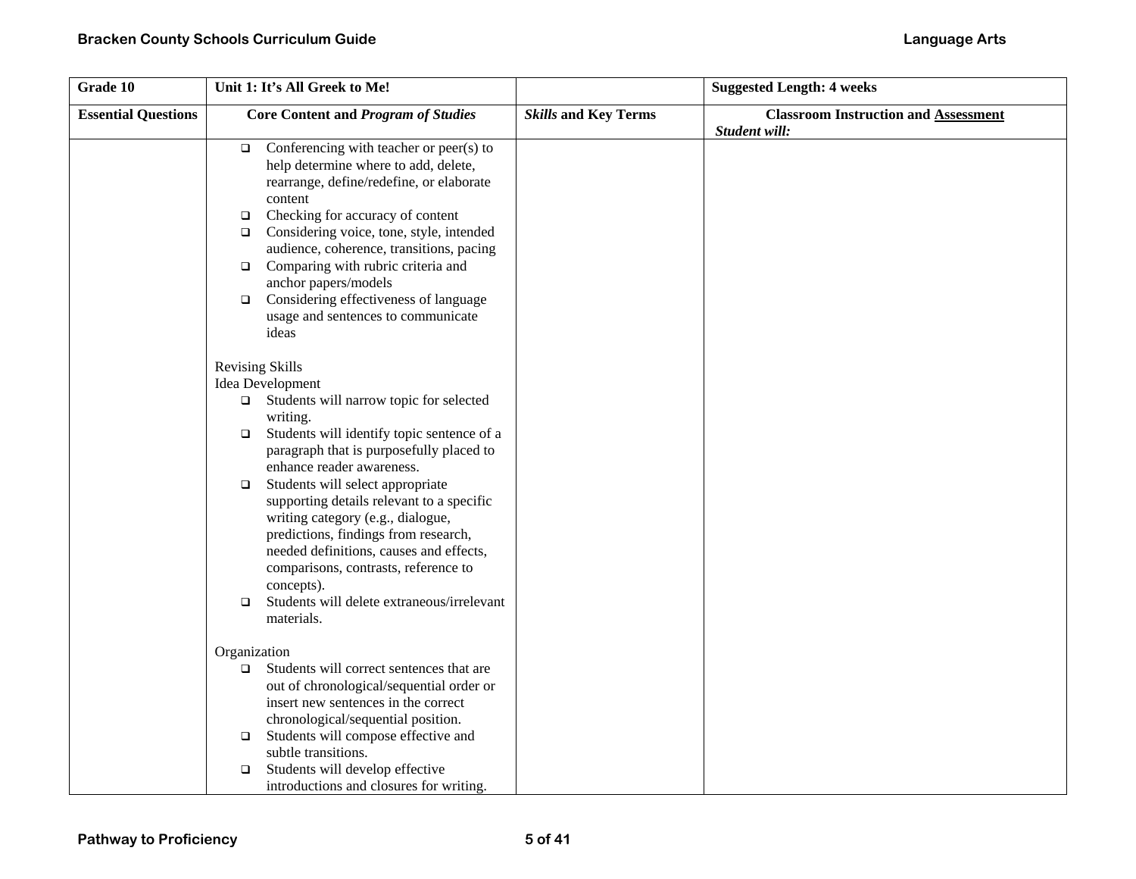| Grade 10                   | Unit 1: It's All Greek to Me!                                                                                                                                                                                                                                                                                                                                                                                                                                                                                                                                                            |                             | <b>Suggested Length: 4 weeks</b>                             |
|----------------------------|------------------------------------------------------------------------------------------------------------------------------------------------------------------------------------------------------------------------------------------------------------------------------------------------------------------------------------------------------------------------------------------------------------------------------------------------------------------------------------------------------------------------------------------------------------------------------------------|-----------------------------|--------------------------------------------------------------|
| <b>Essential Questions</b> | <b>Core Content and Program of Studies</b>                                                                                                                                                                                                                                                                                                                                                                                                                                                                                                                                               | <b>Skills and Key Terms</b> | <b>Classroom Instruction and Assessment</b><br>Student will: |
|                            | Conferencing with teacher or peer(s) to<br>$\Box$<br>help determine where to add, delete,<br>rearrange, define/redefine, or elaborate<br>content<br>Checking for accuracy of content<br>$\Box$<br>Considering voice, tone, style, intended<br>$\Box$<br>audience, coherence, transitions, pacing<br>Comparing with rubric criteria and<br>$\Box$<br>anchor papers/models<br>Considering effectiveness of language<br>$\Box$<br>usage and sentences to communicate<br>ideas                                                                                                               |                             |                                                              |
|                            | <b>Revising Skills</b><br>Idea Development<br>$\Box$ Students will narrow topic for selected<br>writing.<br>Students will identify topic sentence of a<br>$\Box$<br>paragraph that is purposefully placed to<br>enhance reader awareness.<br>Students will select appropriate<br>$\Box$<br>supporting details relevant to a specific<br>writing category (e.g., dialogue,<br>predictions, findings from research,<br>needed definitions, causes and effects,<br>comparisons, contrasts, reference to<br>concepts).<br>Students will delete extraneous/irrelevant<br>$\Box$<br>materials. |                             |                                                              |
|                            | Organization<br>Students will correct sentences that are<br>$\Box$<br>out of chronological/sequential order or<br>insert new sentences in the correct<br>chronological/sequential position.<br>Students will compose effective and<br>$\Box$<br>subtle transitions.<br>Students will develop effective<br>$\Box$<br>introductions and closures for writing.                                                                                                                                                                                                                              |                             |                                                              |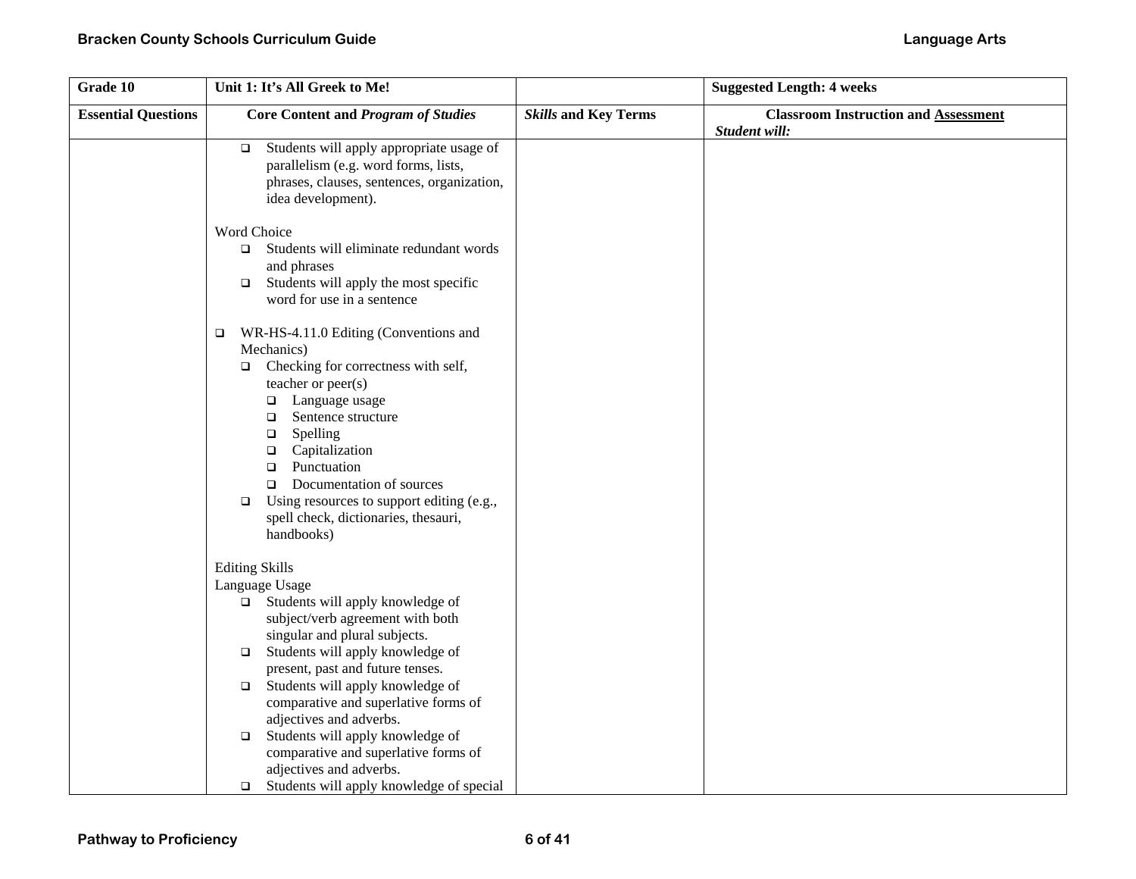| Grade 10                   | Unit 1: It's All Greek to Me!                                                                                                                                                                                                                                                                                                                                                                                                                                                  |                             | <b>Suggested Length: 4 weeks</b>                             |
|----------------------------|--------------------------------------------------------------------------------------------------------------------------------------------------------------------------------------------------------------------------------------------------------------------------------------------------------------------------------------------------------------------------------------------------------------------------------------------------------------------------------|-----------------------------|--------------------------------------------------------------|
| <b>Essential Questions</b> | <b>Core Content and Program of Studies</b>                                                                                                                                                                                                                                                                                                                                                                                                                                     | <b>Skills and Key Terms</b> | <b>Classroom Instruction and Assessment</b><br>Student will: |
|                            | Students will apply appropriate usage of<br>$\Box$<br>parallelism (e.g. word forms, lists,<br>phrases, clauses, sentences, organization,<br>idea development).                                                                                                                                                                                                                                                                                                                 |                             |                                                              |
|                            | Word Choice<br>Students will eliminate redundant words<br>$\Box$<br>and phrases<br>Students will apply the most specific<br>$\Box$<br>word for use in a sentence                                                                                                                                                                                                                                                                                                               |                             |                                                              |
|                            | WR-HS-4.11.0 Editing (Conventions and<br>$\Box$<br>Mechanics)<br>Checking for correctness with self,<br>$\Box$<br>teacher or peer(s)<br>□ Language usage<br>Sentence structure<br>$\Box$<br>Spelling<br>$\Box$<br>Capitalization<br>$\Box$<br>Punctuation<br>$\Box$<br>Documentation of sources<br>$\Box$<br>Using resources to support editing (e.g.,<br>$\Box$<br>spell check, dictionaries, thesauri,<br>handbooks)                                                         |                             |                                                              |
|                            | <b>Editing Skills</b><br>Language Usage<br>Students will apply knowledge of<br>$\Box$<br>subject/verb agreement with both<br>singular and plural subjects.<br>Students will apply knowledge of<br>$\Box$<br>present, past and future tenses.<br>Students will apply knowledge of<br>$\Box$<br>comparative and superlative forms of<br>adjectives and adverbs.<br>Students will apply knowledge of<br>$\Box$<br>comparative and superlative forms of<br>adjectives and adverbs. |                             |                                                              |
|                            | Students will apply knowledge of special<br>$\Box$                                                                                                                                                                                                                                                                                                                                                                                                                             |                             |                                                              |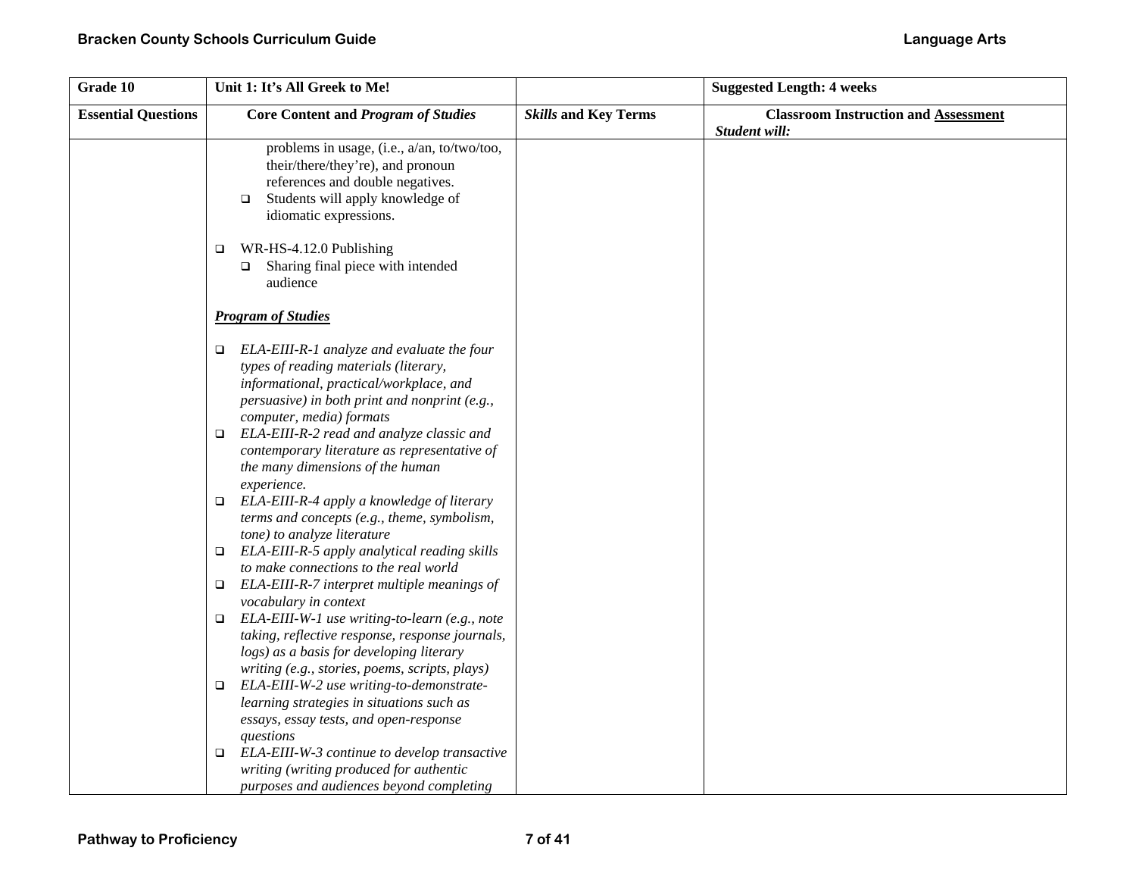| Grade 10                   | Unit 1: It's All Greek to Me!                                                                                                                                                                                         |                             | <b>Suggested Length: 4 weeks</b>                             |
|----------------------------|-----------------------------------------------------------------------------------------------------------------------------------------------------------------------------------------------------------------------|-----------------------------|--------------------------------------------------------------|
| <b>Essential Questions</b> | <b>Core Content and Program of Studies</b>                                                                                                                                                                            | <b>Skills and Key Terms</b> | <b>Classroom Instruction and Assessment</b><br>Student will: |
|                            | problems in usage, (i.e., a/an, to/two/too,<br>their/there/they're), and pronoun<br>references and double negatives.<br>Students will apply knowledge of<br>$\Box$<br>idiomatic expressions.                          |                             |                                                              |
|                            | WR-HS-4.12.0 Publishing<br>$\Box$<br>Sharing final piece with intended<br>$\Box$<br>audience                                                                                                                          |                             |                                                              |
|                            | <b>Program of Studies</b>                                                                                                                                                                                             |                             |                                                              |
|                            | ELA-EIII-R-1 analyze and evaluate the four<br>$\Box$<br>types of reading materials (literary,<br>informational, practical/workplace, and<br>persuasive) in both print and nonprint (e.g.,<br>computer, media) formats |                             |                                                              |
|                            | ELA-EIII-R-2 read and analyze classic and<br>$\Box$<br>contemporary literature as representative of<br>the many dimensions of the human<br>experience.                                                                |                             |                                                              |
|                            | ELA-EIII-R-4 apply a knowledge of literary<br>$\Box$<br>terms and concepts (e.g., theme, symbolism,<br>tone) to analyze literature                                                                                    |                             |                                                              |
|                            | ELA-EIII-R-5 apply analytical reading skills<br>$\Box$<br>to make connections to the real world                                                                                                                       |                             |                                                              |
|                            | ELA-EIII-R-7 interpret multiple meanings of<br>$\Box$<br>vocabulary in context                                                                                                                                        |                             |                                                              |
|                            | ELA-EIII-W-1 use writing-to-learn (e.g., note<br>$\Box$<br>taking, reflective response, response journals,<br>logs) as a basis for developing literary<br>writing (e.g., stories, poems, scripts, plays)              |                             |                                                              |
|                            | ELA-EIII-W-2 use writing-to-demonstrate-<br>$\Box$<br>learning strategies in situations such as<br>essays, essay tests, and open-response                                                                             |                             |                                                              |
|                            | questions<br>ELA-EIII-W-3 continue to develop transactive<br>▫<br>writing (writing produced for authentic<br>purposes and audiences beyond completing                                                                 |                             |                                                              |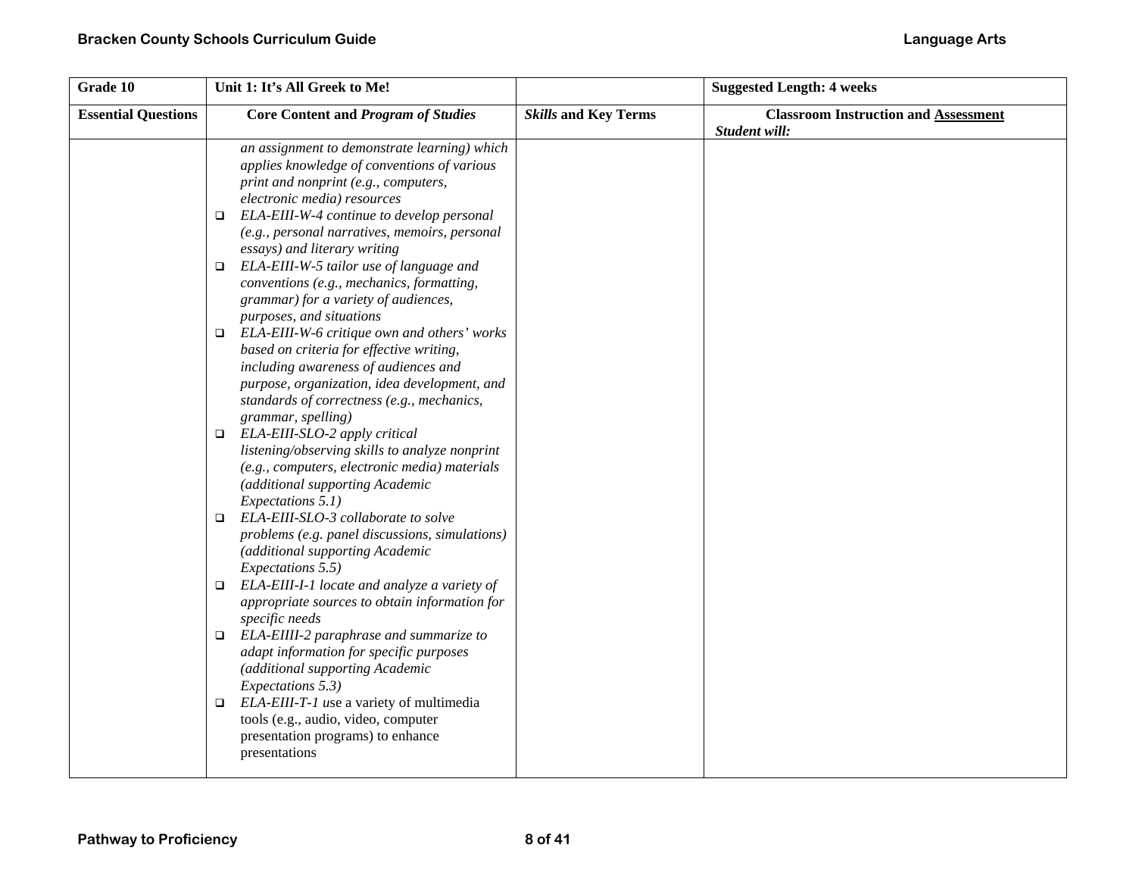| Grade 10                   | Unit 1: It's All Greek to Me!                                                                                                                                                                                                                                 |                             | <b>Suggested Length: 4 weeks</b>                             |
|----------------------------|---------------------------------------------------------------------------------------------------------------------------------------------------------------------------------------------------------------------------------------------------------------|-----------------------------|--------------------------------------------------------------|
| <b>Essential Questions</b> | <b>Core Content and Program of Studies</b>                                                                                                                                                                                                                    | <b>Skills and Key Terms</b> | <b>Classroom Instruction and Assessment</b><br>Student will: |
|                            | an assignment to demonstrate learning) which<br>applies knowledge of conventions of various<br>print and nonprint (e.g., computers,<br>electronic media) resources                                                                                            |                             |                                                              |
|                            | ELA-EIII-W-4 continue to develop personal<br>$\Box$<br>(e.g., personal narratives, memoirs, personal<br>essays) and literary writing                                                                                                                          |                             |                                                              |
|                            | ELA-EIII-W-5 tailor use of language and<br>$\Box$<br>conventions (e.g., mechanics, formatting,<br>grammar) for a variety of audiences,<br>purposes, and situations                                                                                            |                             |                                                              |
|                            | ELA-EIII-W-6 critique own and others' works<br>$\Box$<br>based on criteria for effective writing,<br>including awareness of audiences and<br>purpose, organization, idea development, and<br>standards of correctness (e.g., mechanics,<br>grammar, spelling) |                             |                                                              |
|                            | ELA-EIII-SLO-2 apply critical<br>$\Box$<br>listening/observing skills to analyze nonprint<br>(e.g., computers, electronic media) materials<br>(additional supporting Academic<br>Expectations 5.1)                                                            |                             |                                                              |
|                            | ELA-EIII-SLO-3 collaborate to solve<br>$\Box$<br>problems (e.g. panel discussions, simulations)<br>(additional supporting Academic<br>Expectations 5.5)                                                                                                       |                             |                                                              |
|                            | ELA-EIII-I-1 locate and analyze a variety of<br>$\Box$<br>appropriate sources to obtain information for<br>specific needs                                                                                                                                     |                             |                                                              |
|                            | ELA-EIIII-2 paraphrase and summarize to<br>$\Box$<br>adapt information for specific purposes<br>(additional supporting Academic<br>Expectations 5.3)                                                                                                          |                             |                                                              |
|                            | ELA-EIII-T-1 use a variety of multimedia<br>$\Box$<br>tools (e.g., audio, video, computer<br>presentation programs) to enhance<br>presentations                                                                                                               |                             |                                                              |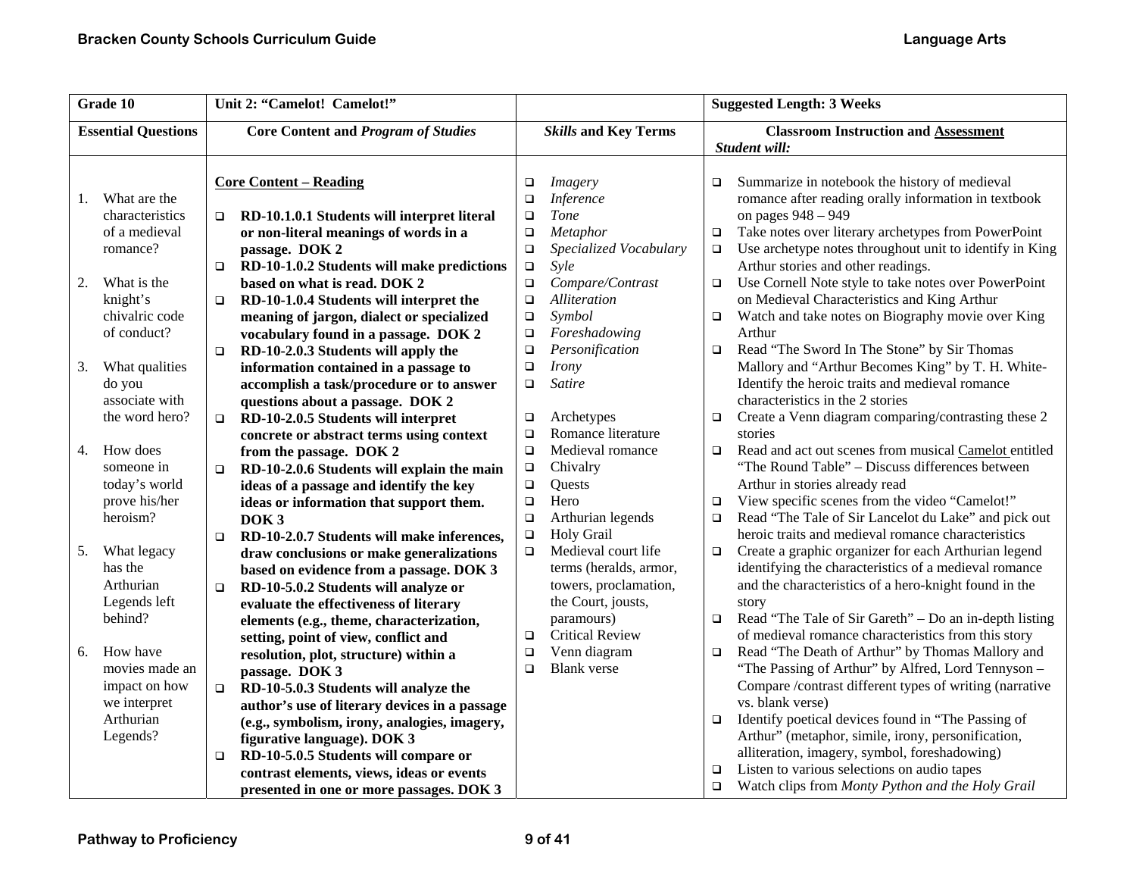| Grade 10                   |                 |        | Unit 2: "Camelot! Camelot!"                   |        |                             | <b>Suggested Length: 3 Weeks</b> |                                                         |
|----------------------------|-----------------|--------|-----------------------------------------------|--------|-----------------------------|----------------------------------|---------------------------------------------------------|
| <b>Essential Questions</b> |                 |        | <b>Core Content and Program of Studies</b>    |        | <b>Skills and Key Terms</b> |                                  | <b>Classroom Instruction and Assessment</b>             |
|                            |                 |        |                                               |        |                             |                                  | Student will:                                           |
|                            |                 |        |                                               |        |                             |                                  |                                                         |
|                            |                 |        | <b>Core Content – Reading</b>                 | $\Box$ | <i>Imagery</i>              | □                                | Summarize in notebook the history of medieval           |
| 1.                         | What are the    |        |                                               | $\Box$ | <b>Inference</b>            |                                  | romance after reading orally information in textbook    |
|                            | characteristics | $\Box$ | RD-10.1.0.1 Students will interpret literal   | $\Box$ | Tone                        |                                  | on pages 948 - 949                                      |
|                            | of a medieval   |        | or non-literal meanings of words in a         | $\Box$ | Metaphor                    | $\Box$                           | Take notes over literary archetypes from PowerPoint     |
|                            | romance?        |        | passage. DOK 2                                | $\Box$ | Specialized Vocabulary      | $\Box$                           | Use archetype notes throughout unit to identify in King |
|                            |                 | $\Box$ | RD-10-1.0.2 Students will make predictions    | $\Box$ | Syle                        |                                  | Arthur stories and other readings.                      |
| 2.                         | What is the     |        | based on what is read. DOK 2                  | $\Box$ | Compare/Contrast            | $\Box$                           | Use Cornell Note style to take notes over PowerPoint    |
|                            | knight's        | $\Box$ | RD-10-1.0.4 Students will interpret the       | $\Box$ | Alliteration                |                                  | on Medieval Characteristics and King Arthur             |
|                            | chivalric code  |        | meaning of jargon, dialect or specialized     | $\Box$ | Symbol                      | $\Box$                           | Watch and take notes on Biography movie over King       |
|                            | of conduct?     |        | vocabulary found in a passage. DOK 2          | $\Box$ | Foreshadowing               |                                  | Arthur                                                  |
|                            |                 | $\Box$ | RD-10-2.0.3 Students will apply the           | $\Box$ | Personification             | $\Box$                           | Read "The Sword In The Stone" by Sir Thomas             |
| 3.                         | What qualities  |        | information contained in a passage to         | $\Box$ | <b>Irony</b>                |                                  | Mallory and "Arthur Becomes King" by T. H. White-       |
|                            | do you          |        | accomplish a task/procedure or to answer      | $\Box$ | Satire                      |                                  | Identify the heroic traits and medieval romance         |
|                            | associate with  |        | questions about a passage. DOK 2              |        |                             |                                  | characteristics in the 2 stories                        |
|                            | the word hero?  | $\Box$ | RD-10-2.0.5 Students will interpret           | $\Box$ | Archetypes                  | □                                | Create a Venn diagram comparing/contrasting these 2     |
|                            |                 |        | concrete or abstract terms using context      | $\Box$ | Romance literature          |                                  | stories                                                 |
| 4.                         | How does        |        | from the passage. DOK 2                       | $\Box$ | Medieval romance            | $\Box$                           | Read and act out scenes from musical Camelot entitled   |
|                            | someone in      | $\Box$ | RD-10-2.0.6 Students will explain the main    | $\Box$ | Chivalry                    |                                  | "The Round Table" - Discuss differences between         |
|                            | today's world   |        | ideas of a passage and identify the key       | $\Box$ | Quests                      |                                  | Arthur in stories already read                          |
|                            | prove his/her   |        | ideas or information that support them.       | $\Box$ | Hero                        | $\Box$                           | View specific scenes from the video "Camelot!"          |
|                            | heroism?        |        | DOK <sub>3</sub>                              | $\Box$ | Arthurian legends           | □                                | Read "The Tale of Sir Lancelot du Lake" and pick out    |
|                            |                 | $\Box$ | RD-10-2.0.7 Students will make inferences,    | $\Box$ | Holy Grail                  |                                  | heroic traits and medieval romance characteristics      |
| 5.                         | What legacy     |        | draw conclusions or make generalizations      | $\Box$ | Medieval court life         | $\Box$                           | Create a graphic organizer for each Arthurian legend    |
|                            | has the         |        | based on evidence from a passage. DOK 3       |        | terms (heralds, armor,      |                                  | identifying the characteristics of a medieval romance   |
|                            | Arthurian       | $\Box$ | RD-10-5.0.2 Students will analyze or          |        | towers, proclamation,       |                                  | and the characteristics of a hero-knight found in the   |
|                            | Legends left    |        | evaluate the effectiveness of literary        |        | the Court, jousts,          |                                  | story                                                   |
|                            | behind?         |        | elements (e.g., theme, characterization,      |        | paramours)                  | $\Box$                           | Read "The Tale of Sir Gareth" – Do an in-depth listing  |
|                            |                 |        | setting, point of view, conflict and          | $\Box$ | <b>Critical Review</b>      |                                  | of medieval romance characteristics from this story     |
| 6.                         | How have        |        | resolution, plot, structure) within a         | $\Box$ | Venn diagram                | o.                               | Read "The Death of Arthur" by Thomas Mallory and        |
|                            | movies made an  |        | passage. DOK 3                                | $\Box$ | <b>Blank</b> verse          |                                  | "The Passing of Arthur" by Alfred, Lord Tennyson -      |
|                            | impact on how   | $\Box$ | RD-10-5.0.3 Students will analyze the         |        |                             |                                  | Compare /contrast different types of writing (narrative |
|                            | we interpret    |        | author's use of literary devices in a passage |        |                             |                                  | vs. blank verse)                                        |
|                            | Arthurian       |        | (e.g., symbolism, irony, analogies, imagery,  |        |                             | □                                | Identify poetical devices found in "The Passing of      |
|                            | Legends?        |        | figurative language). DOK 3                   |        |                             |                                  | Arthur" (metaphor, simile, irony, personification,      |
|                            |                 | $\Box$ | RD-10-5.0.5 Students will compare or          |        |                             |                                  | alliteration, imagery, symbol, foreshadowing)           |
|                            |                 |        | contrast elements, views, ideas or events     |        |                             | $\Box$                           | Listen to various selections on audio tapes             |
|                            |                 |        | presented in one or more passages. DOK 3      |        |                             | $\Box$                           | Watch clips from Monty Python and the Holy Grail        |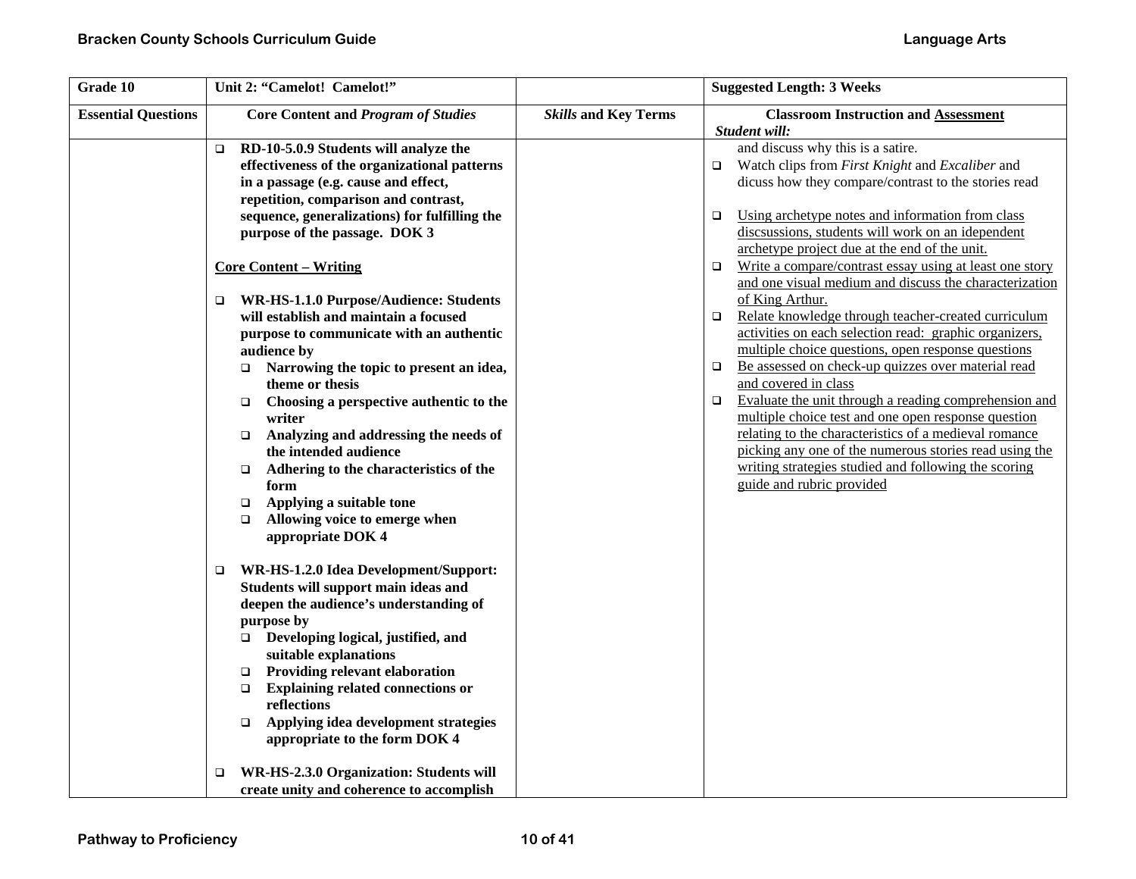| Grade 10                   | Unit 2: "Camelot! Camelot!"                                                                                                                                                                                                                                                                                                                                                                                                                                                                                                                                                                                                                                                                                                                                                                                                                                                                                                                                                                                                                                                                                                                                                               |                             | <b>Suggested Length: 3 Weeks</b>                                                                                                                                                                                                                                                                                                                                                                                                                                                                                                                                                                                                                                                                                                                                                                                                                                                                                                                                                                                                                                                    |
|----------------------------|-------------------------------------------------------------------------------------------------------------------------------------------------------------------------------------------------------------------------------------------------------------------------------------------------------------------------------------------------------------------------------------------------------------------------------------------------------------------------------------------------------------------------------------------------------------------------------------------------------------------------------------------------------------------------------------------------------------------------------------------------------------------------------------------------------------------------------------------------------------------------------------------------------------------------------------------------------------------------------------------------------------------------------------------------------------------------------------------------------------------------------------------------------------------------------------------|-----------------------------|-------------------------------------------------------------------------------------------------------------------------------------------------------------------------------------------------------------------------------------------------------------------------------------------------------------------------------------------------------------------------------------------------------------------------------------------------------------------------------------------------------------------------------------------------------------------------------------------------------------------------------------------------------------------------------------------------------------------------------------------------------------------------------------------------------------------------------------------------------------------------------------------------------------------------------------------------------------------------------------------------------------------------------------------------------------------------------------|
| <b>Essential Questions</b> | <b>Core Content and Program of Studies</b>                                                                                                                                                                                                                                                                                                                                                                                                                                                                                                                                                                                                                                                                                                                                                                                                                                                                                                                                                                                                                                                                                                                                                | <b>Skills and Key Terms</b> | <b>Classroom Instruction and Assessment</b><br>Student will:                                                                                                                                                                                                                                                                                                                                                                                                                                                                                                                                                                                                                                                                                                                                                                                                                                                                                                                                                                                                                        |
|                            | RD-10-5.0.9 Students will analyze the<br>□<br>effectiveness of the organizational patterns<br>in a passage (e.g. cause and effect,<br>repetition, comparison and contrast,<br>sequence, generalizations) for fulfilling the<br>purpose of the passage. DOK 3<br><b>Core Content – Writing</b><br>WR-HS-1.1.0 Purpose/Audience: Students<br>□<br>will establish and maintain a focused<br>purpose to communicate with an authentic<br>audience by<br>Narrowing the topic to present an idea,<br>$\Box$<br>theme or thesis<br>Choosing a perspective authentic to the<br>$\Box$<br>writer<br>Analyzing and addressing the needs of<br>$\Box$<br>the intended audience<br>Adhering to the characteristics of the<br>$\Box$<br>form<br>Applying a suitable tone<br>$\Box$<br>Allowing voice to emerge when<br>$\Box$<br>appropriate DOK 4<br>WR-HS-1.2.0 Idea Development/Support:<br>$\Box$<br>Students will support main ideas and<br>deepen the audience's understanding of<br>purpose by<br>Developing logical, justified, and<br>$\Box$<br>suitable explanations<br><b>Providing relevant elaboration</b><br>$\Box$<br><b>Explaining related connections or</b><br>$\Box$<br>reflections |                             | and discuss why this is a satire.<br>Watch clips from First Knight and Excaliber and<br>o.<br>dicuss how they compare/contrast to the stories read<br>Using archetype notes and information from class<br>$\Box$<br>discsussions, students will work on an idependent<br>archetype project due at the end of the unit.<br>Write a compare/contrast essay using at least one story<br>$\Box$<br>and one visual medium and discuss the characterization<br>of King Arthur.<br>Relate knowledge through teacher-created curriculum<br>$\Box$<br>activities on each selection read: graphic organizers,<br>multiple choice questions, open response questions<br>Be assessed on check-up quizzes over material read<br>$\Box$<br>and covered in class<br>Evaluate the unit through a reading comprehension and<br>$\Box$<br>multiple choice test and one open response question<br>relating to the characteristics of a medieval romance<br>picking any one of the numerous stories read using the<br>writing strategies studied and following the scoring<br>guide and rubric provided |
|                            | Applying idea development strategies<br>$\Box$<br>appropriate to the form DOK 4<br>WR-HS-2.3.0 Organization: Students will<br>□                                                                                                                                                                                                                                                                                                                                                                                                                                                                                                                                                                                                                                                                                                                                                                                                                                                                                                                                                                                                                                                           |                             |                                                                                                                                                                                                                                                                                                                                                                                                                                                                                                                                                                                                                                                                                                                                                                                                                                                                                                                                                                                                                                                                                     |
|                            | create unity and coherence to accomplish                                                                                                                                                                                                                                                                                                                                                                                                                                                                                                                                                                                                                                                                                                                                                                                                                                                                                                                                                                                                                                                                                                                                                  |                             |                                                                                                                                                                                                                                                                                                                                                                                                                                                                                                                                                                                                                                                                                                                                                                                                                                                                                                                                                                                                                                                                                     |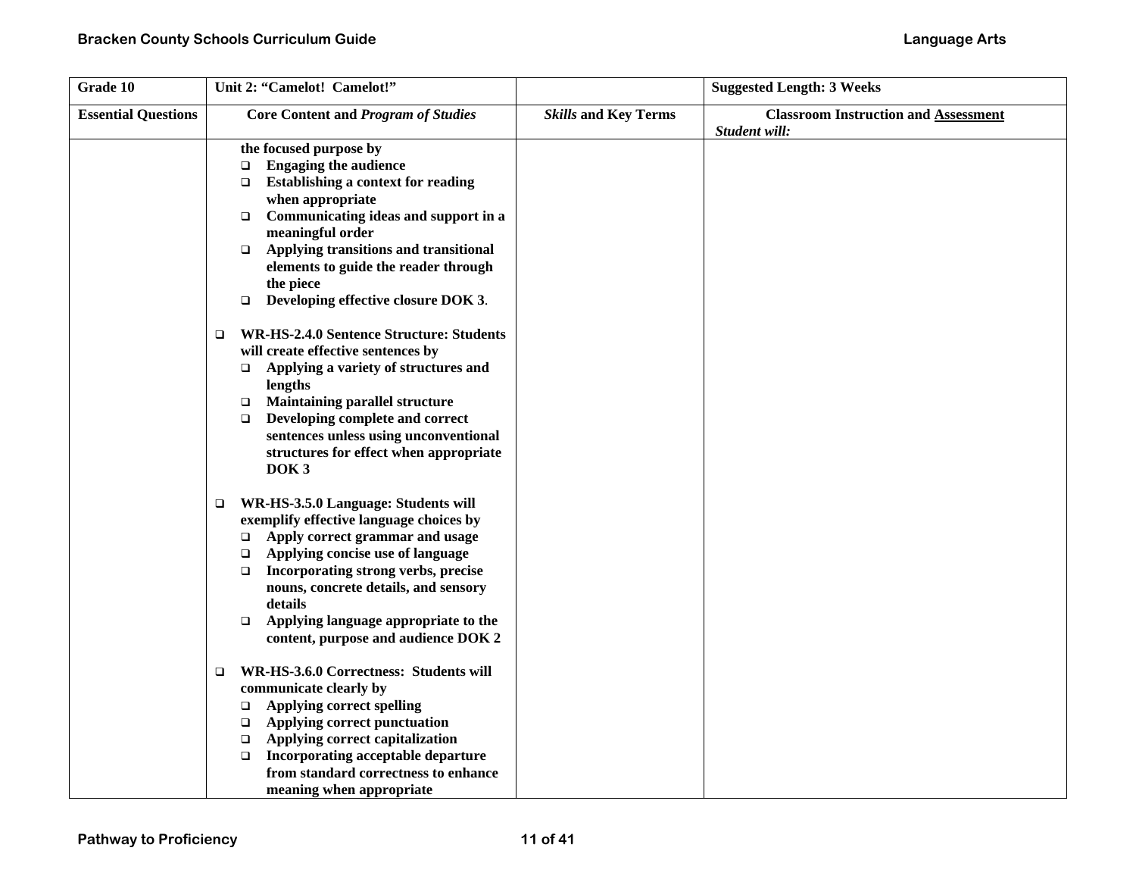| Grade 10                   | Unit 2: "Camelot! Camelot!"                                                                                                                                                                                                                                                                                                                                                      |                             | <b>Suggested Length: 3 Weeks</b>                             |
|----------------------------|----------------------------------------------------------------------------------------------------------------------------------------------------------------------------------------------------------------------------------------------------------------------------------------------------------------------------------------------------------------------------------|-----------------------------|--------------------------------------------------------------|
| <b>Essential Questions</b> | <b>Core Content and Program of Studies</b>                                                                                                                                                                                                                                                                                                                                       | <b>Skills and Key Terms</b> | <b>Classroom Instruction and Assessment</b><br>Student will: |
|                            | the focused purpose by<br><b>Engaging the audience</b><br>$\Box$<br>Establishing a context for reading<br>$\Box$<br>when appropriate<br>Communicating ideas and support in a<br>$\Box$<br>meaningful order<br>Applying transitions and transitional<br>$\Box$<br>elements to guide the reader through                                                                            |                             |                                                              |
|                            | the piece<br>Developing effective closure DOK 3.<br>$\Box$                                                                                                                                                                                                                                                                                                                       |                             |                                                              |
|                            | <b>WR-HS-2.4.0 Sentence Structure: Students</b><br>$\Box$<br>will create effective sentences by<br>Applying a variety of structures and<br>$\Box$<br>lengths<br><b>Maintaining parallel structure</b><br>$\Box$<br>Developing complete and correct<br>$\Box$<br>sentences unless using unconventional<br>structures for effect when appropriate<br>DOK <sub>3</sub>              |                             |                                                              |
|                            | WR-HS-3.5.0 Language: Students will<br>$\Box$<br>exemplify effective language choices by<br>Apply correct grammar and usage<br>$\Box$<br>Applying concise use of language<br>$\Box$<br>Incorporating strong verbs, precise<br>$\Box$<br>nouns, concrete details, and sensory<br>details<br>Applying language appropriate to the<br>$\Box$<br>content, purpose and audience DOK 2 |                             |                                                              |
|                            | WR-HS-3.6.0 Correctness: Students will<br>□<br>communicate clearly by<br><b>Applying correct spelling</b><br>$\Box$<br>Applying correct punctuation<br>$\Box$<br>Applying correct capitalization<br>$\Box$<br>Incorporating acceptable departure<br>□<br>from standard correctness to enhance<br>meaning when appropriate                                                        |                             |                                                              |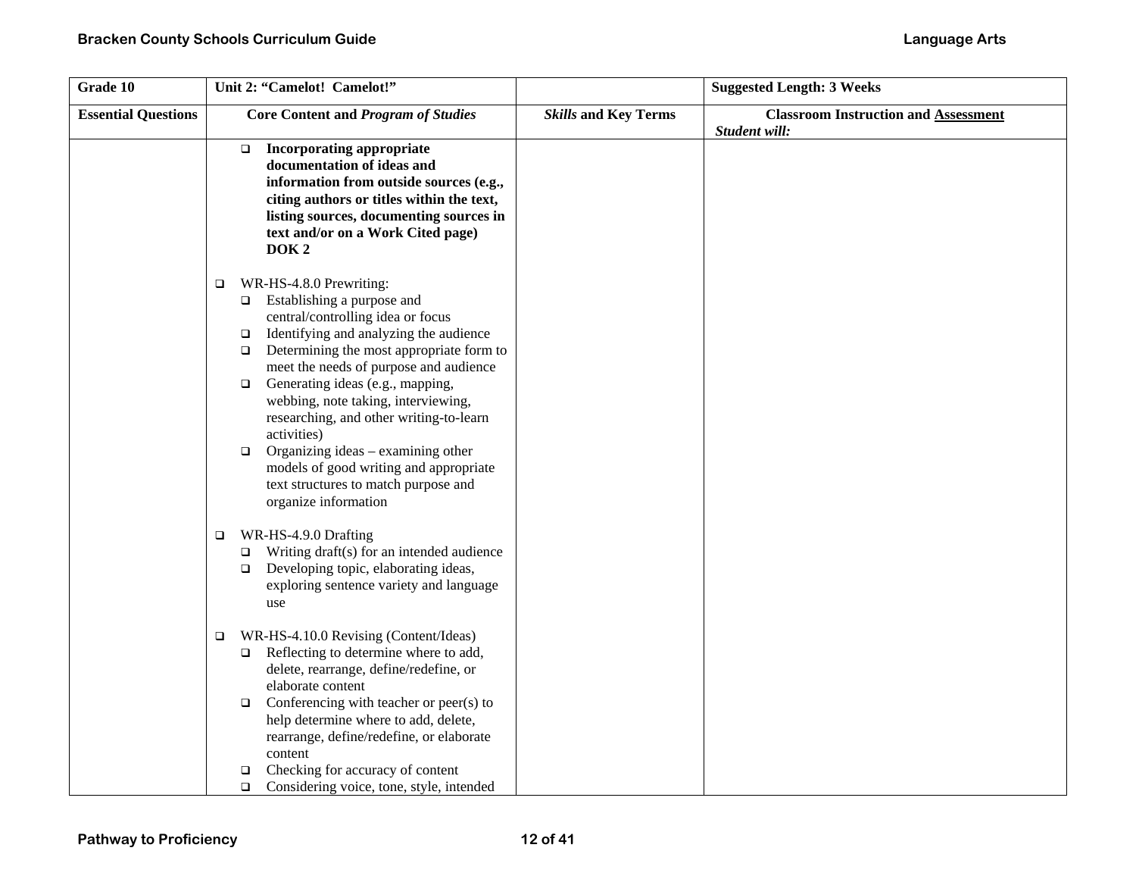| Grade 10                   | Unit 2: "Camelot! Camelot!"                                                                                                                                                                                                                                                                                                                                                                                                                                                                                                                                                 |                             | <b>Suggested Length: 3 Weeks</b>                             |
|----------------------------|-----------------------------------------------------------------------------------------------------------------------------------------------------------------------------------------------------------------------------------------------------------------------------------------------------------------------------------------------------------------------------------------------------------------------------------------------------------------------------------------------------------------------------------------------------------------------------|-----------------------------|--------------------------------------------------------------|
| <b>Essential Questions</b> | <b>Core Content and Program of Studies</b>                                                                                                                                                                                                                                                                                                                                                                                                                                                                                                                                  | <b>Skills and Key Terms</b> | <b>Classroom Instruction and Assessment</b><br>Student will: |
|                            | <b>Incorporating appropriate</b><br>$\Box$<br>documentation of ideas and<br>information from outside sources (e.g.,<br>citing authors or titles within the text,<br>listing sources, documenting sources in<br>text and/or on a Work Cited page)<br>DOK <sub>2</sub>                                                                                                                                                                                                                                                                                                        |                             |                                                              |
|                            | WR-HS-4.8.0 Prewriting:<br>$\Box$<br>Establishing a purpose and<br>$\Box$<br>central/controlling idea or focus<br>Identifying and analyzing the audience<br>$\Box$<br>Determining the most appropriate form to<br>$\Box$<br>meet the needs of purpose and audience<br>Generating ideas (e.g., mapping,<br>$\Box$<br>webbing, note taking, interviewing,<br>researching, and other writing-to-learn<br>activities)<br>Organizing ideas - examining other<br>$\Box$<br>models of good writing and appropriate<br>text structures to match purpose and<br>organize information |                             |                                                              |
|                            | WR-HS-4.9.0 Drafting<br>$\Box$<br>Writing draft(s) for an intended audience<br>$\Box$<br>Developing topic, elaborating ideas,<br>$\Box$<br>exploring sentence variety and language<br>use                                                                                                                                                                                                                                                                                                                                                                                   |                             |                                                              |
|                            | WR-HS-4.10.0 Revising (Content/Ideas)<br>$\Box$<br>Reflecting to determine where to add,<br>$\Box$<br>delete, rearrange, define/redefine, or<br>elaborate content<br>Conferencing with teacher or peer(s) to<br>$\Box$<br>help determine where to add, delete,<br>rearrange, define/redefine, or elaborate<br>content<br>Checking for accuracy of content<br>□<br>Considering voice, tone, style, intended<br>$\Box$                                                                                                                                                        |                             |                                                              |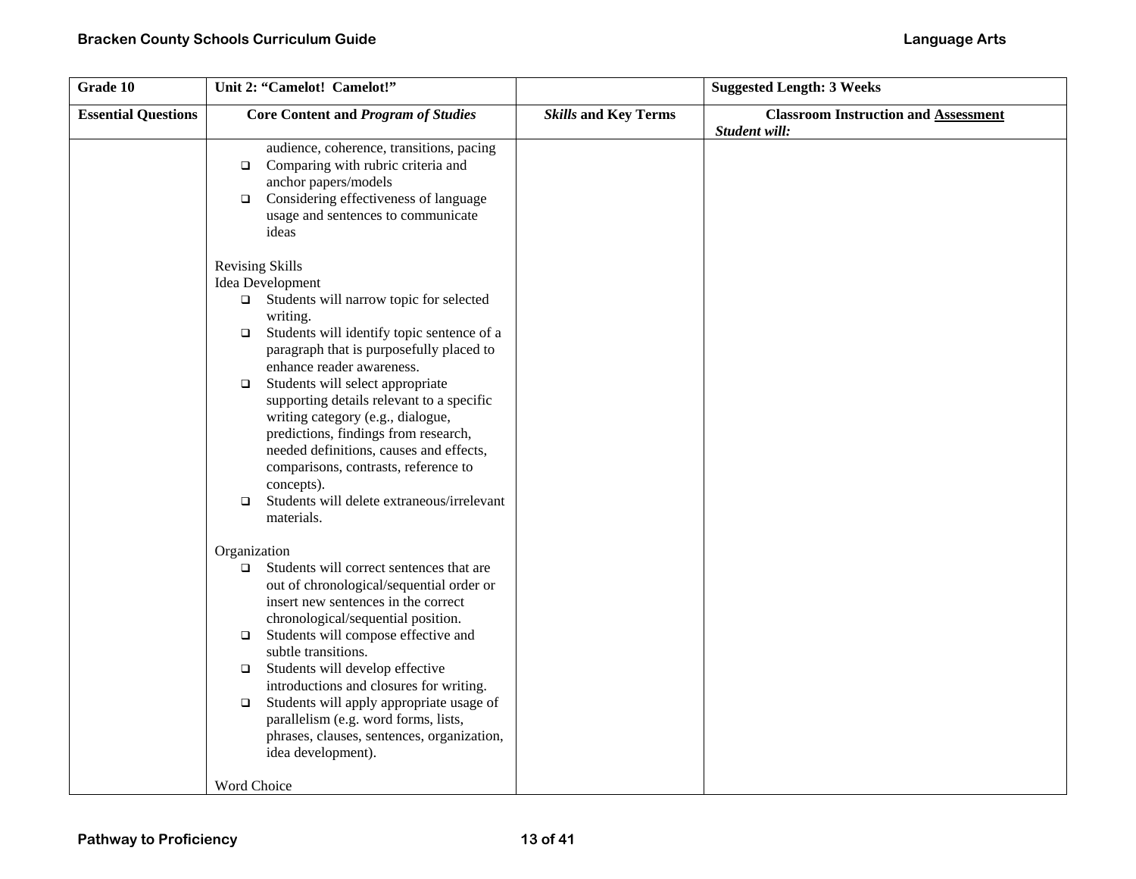| Grade 10                   | Unit 2: "Camelot! Camelot!"                                                                                                                                                                                                                                                                                                                                                                                                                                                                                                                                                |                             | <b>Suggested Length: 3 Weeks</b>                             |
|----------------------------|----------------------------------------------------------------------------------------------------------------------------------------------------------------------------------------------------------------------------------------------------------------------------------------------------------------------------------------------------------------------------------------------------------------------------------------------------------------------------------------------------------------------------------------------------------------------------|-----------------------------|--------------------------------------------------------------|
| <b>Essential Questions</b> | <b>Core Content and Program of Studies</b>                                                                                                                                                                                                                                                                                                                                                                                                                                                                                                                                 | <b>Skills and Key Terms</b> | <b>Classroom Instruction and Assessment</b><br>Student will: |
|                            | audience, coherence, transitions, pacing<br>Comparing with rubric criteria and<br>$\Box$<br>anchor papers/models<br>Considering effectiveness of language<br>$\Box$<br>usage and sentences to communicate<br>ideas                                                                                                                                                                                                                                                                                                                                                         |                             |                                                              |
|                            | <b>Revising Skills</b><br>Idea Development<br>$\Box$ Students will narrow topic for selected<br>writing.<br>Students will identify topic sentence of a<br>$\Box$<br>paragraph that is purposefully placed to<br>enhance reader awareness.<br>Students will select appropriate<br>$\Box$<br>supporting details relevant to a specific<br>writing category (e.g., dialogue,<br>predictions, findings from research,<br>needed definitions, causes and effects,<br>comparisons, contrasts, reference to<br>concepts).<br>Students will delete extraneous/irrelevant<br>$\Box$ |                             |                                                              |
|                            | materials.<br>Organization<br>Students will correct sentences that are<br>$\Box$<br>out of chronological/sequential order or<br>insert new sentences in the correct<br>chronological/sequential position.<br>Students will compose effective and<br>$\Box$<br>subtle transitions.<br>Students will develop effective<br>$\Box$<br>introductions and closures for writing.<br>Students will apply appropriate usage of<br>$\Box$<br>parallelism (e.g. word forms, lists,<br>phrases, clauses, sentences, organization,<br>idea development).<br>Word Choice                 |                             |                                                              |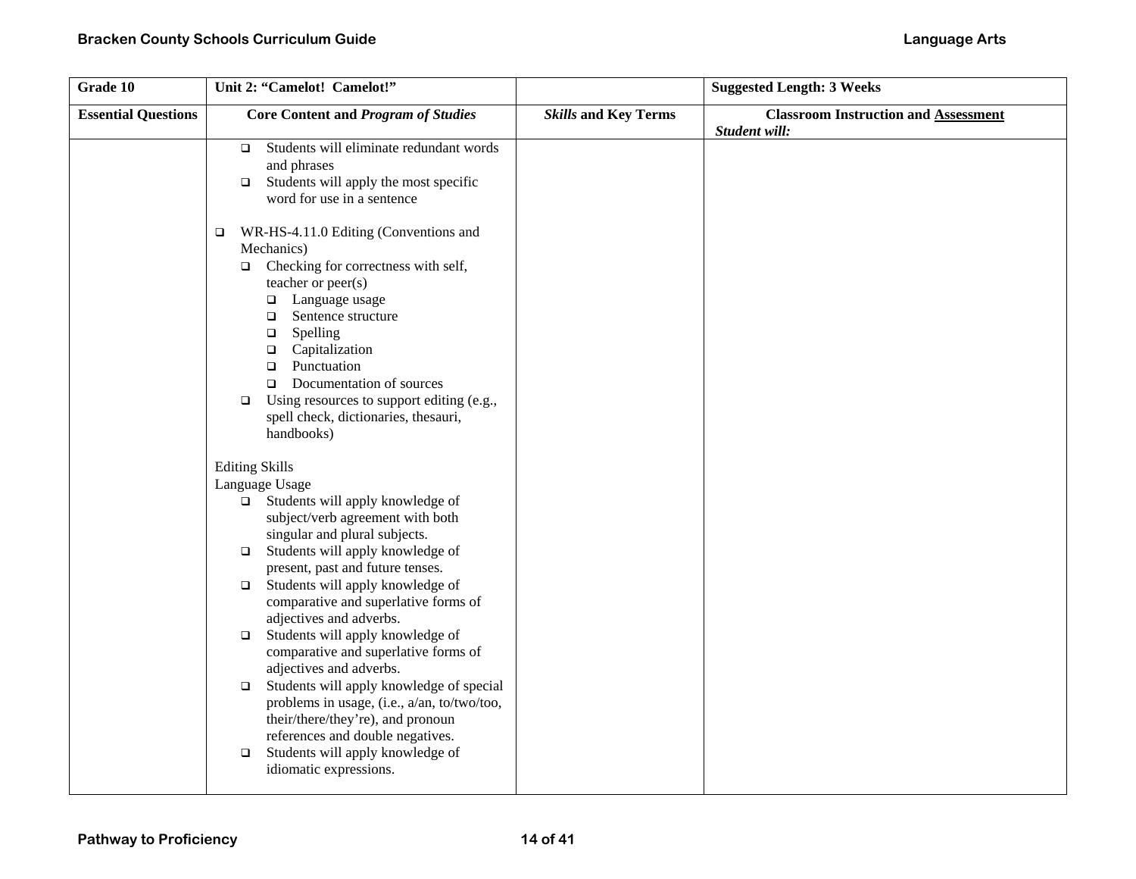| Grade 10                   | Unit 2: "Camelot! Camelot!"                                                                                                                                                                                                                                                                                                                                                                                            |                             | <b>Suggested Length: 3 Weeks</b>                             |
|----------------------------|------------------------------------------------------------------------------------------------------------------------------------------------------------------------------------------------------------------------------------------------------------------------------------------------------------------------------------------------------------------------------------------------------------------------|-----------------------------|--------------------------------------------------------------|
| <b>Essential Questions</b> | <b>Core Content and Program of Studies</b>                                                                                                                                                                                                                                                                                                                                                                             | <b>Skills and Key Terms</b> | <b>Classroom Instruction and Assessment</b><br>Student will: |
|                            | Students will eliminate redundant words<br>$\Box$<br>and phrases<br>Students will apply the most specific<br>$\Box$<br>word for use in a sentence                                                                                                                                                                                                                                                                      |                             |                                                              |
|                            | WR-HS-4.11.0 Editing (Conventions and<br>$\Box$<br>Mechanics)<br>Checking for correctness with self,<br>$\Box$<br>teacher or peer(s)<br>□ Language usage<br>Sentence structure<br>$\Box$<br>Spelling<br>$\Box$<br>Capitalization<br>$\Box$<br>Punctuation<br>$\Box$<br>Documentation of sources<br>$\Box$<br>Using resources to support editing (e.g.,<br>$\Box$<br>spell check, dictionaries, thesauri,<br>handbooks) |                             |                                                              |
|                            | <b>Editing Skills</b>                                                                                                                                                                                                                                                                                                                                                                                                  |                             |                                                              |
|                            | Language Usage<br>$\Box$ Students will apply knowledge of<br>subject/verb agreement with both<br>singular and plural subjects.                                                                                                                                                                                                                                                                                         |                             |                                                              |
|                            | Students will apply knowledge of<br>$\Box$<br>present, past and future tenses.<br>Students will apply knowledge of<br>$\Box$<br>comparative and superlative forms of                                                                                                                                                                                                                                                   |                             |                                                              |
|                            | adjectives and adverbs.<br>Students will apply knowledge of<br>$\Box$<br>comparative and superlative forms of<br>adjectives and adverbs.                                                                                                                                                                                                                                                                               |                             |                                                              |
|                            | Students will apply knowledge of special<br>$\Box$<br>problems in usage, (i.e., a/an, to/two/too,<br>their/there/they're), and pronoun<br>references and double negatives.                                                                                                                                                                                                                                             |                             |                                                              |
|                            | Students will apply knowledge of<br>$\Box$<br>idiomatic expressions.                                                                                                                                                                                                                                                                                                                                                   |                             |                                                              |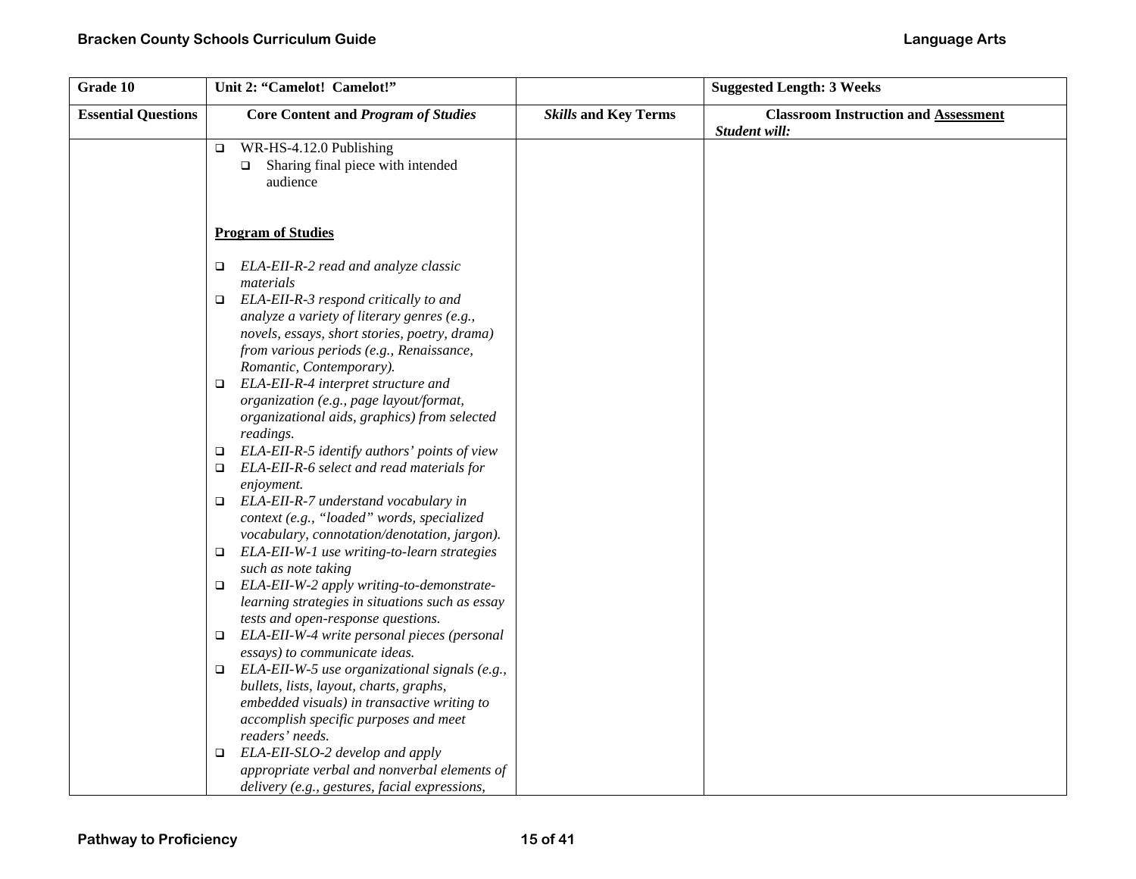| Grade 10                   | Unit 2: "Camelot! Camelot!"                                                                   |                             | <b>Suggested Length: 3 Weeks</b>                             |
|----------------------------|-----------------------------------------------------------------------------------------------|-----------------------------|--------------------------------------------------------------|
| <b>Essential Questions</b> | <b>Core Content and Program of Studies</b>                                                    | <b>Skills and Key Terms</b> | <b>Classroom Instruction and Assessment</b><br>Student will: |
|                            | WR-HS-4.12.0 Publishing<br>$\Box$                                                             |                             |                                                              |
|                            | Sharing final piece with intended<br>$\Box$<br>audience                                       |                             |                                                              |
|                            | <b>Program of Studies</b>                                                                     |                             |                                                              |
|                            |                                                                                               |                             |                                                              |
|                            | ELA-EII-R-2 read and analyze classic<br>$\Box$                                                |                             |                                                              |
|                            | materials                                                                                     |                             |                                                              |
|                            | ELA-EII-R-3 respond critically to and<br>$\Box$                                               |                             |                                                              |
|                            | analyze a variety of literary genres (e.g.,                                                   |                             |                                                              |
|                            | novels, essays, short stories, poetry, drama)                                                 |                             |                                                              |
|                            | from various periods (e.g., Renaissance,                                                      |                             |                                                              |
|                            | Romantic, Contemporary).<br>ELA-EII-R-4 interpret structure and<br>$\Box$                     |                             |                                                              |
|                            | organization (e.g., page layout/format,                                                       |                             |                                                              |
|                            | organizational aids, graphics) from selected                                                  |                             |                                                              |
|                            | readings.                                                                                     |                             |                                                              |
|                            | ELA-EII-R-5 identify authors' points of view<br>$\Box$                                        |                             |                                                              |
|                            | ELA-EII-R-6 select and read materials for<br>$\Box$                                           |                             |                                                              |
|                            | enjoyment.                                                                                    |                             |                                                              |
|                            | ELA-EII-R-7 understand vocabulary in<br>$\Box$                                                |                             |                                                              |
|                            | context (e.g., "loaded" words, specialized                                                    |                             |                                                              |
|                            | vocabulary, connotation/denotation, jargon).                                                  |                             |                                                              |
|                            | ELA-EII-W-1 use writing-to-learn strategies                                                   |                             |                                                              |
|                            | such as note taking<br>ELA-EII-W-2 apply writing-to-demonstrate-<br>$\Box$                    |                             |                                                              |
|                            | learning strategies in situations such as essay                                               |                             |                                                              |
|                            | tests and open-response questions.                                                            |                             |                                                              |
|                            | ELA-EII-W-4 write personal pieces (personal<br>$\Box$                                         |                             |                                                              |
|                            | essays) to communicate ideas.                                                                 |                             |                                                              |
|                            | ELA-EII-W-5 use organizational signals (e.g.,<br>$\Box$                                       |                             |                                                              |
|                            | bullets, lists, layout, charts, graphs,                                                       |                             |                                                              |
|                            | embedded visuals) in transactive writing to                                                   |                             |                                                              |
|                            | accomplish specific purposes and meet                                                         |                             |                                                              |
|                            | readers' needs.                                                                               |                             |                                                              |
|                            | ELA-EII-SLO-2 develop and apply<br>▫                                                          |                             |                                                              |
|                            | appropriate verbal and nonverbal elements of<br>delivery (e.g., gestures, facial expressions, |                             |                                                              |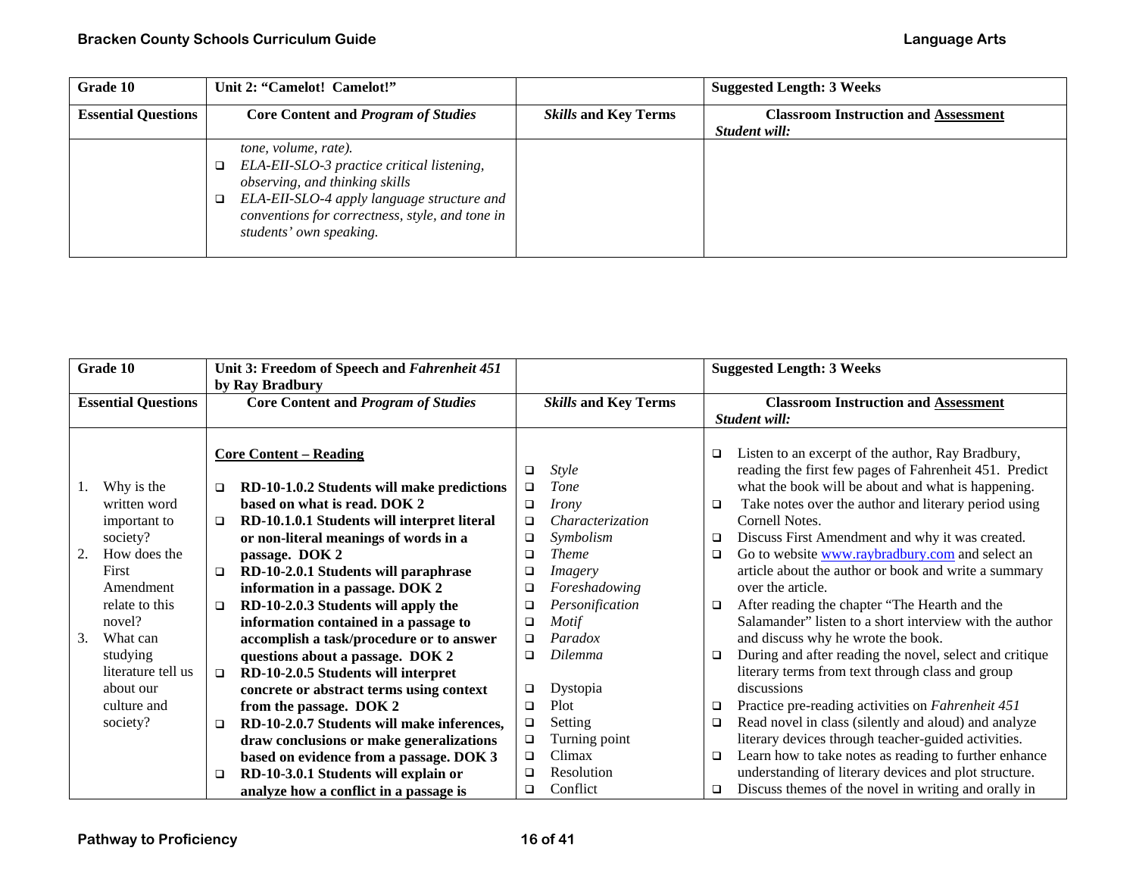| Grade 10                   | Unit 2: "Camelot! Camelot!"                                                                                                                                                                                                      |                             | <b>Suggested Length: 3 Weeks</b>                             |
|----------------------------|----------------------------------------------------------------------------------------------------------------------------------------------------------------------------------------------------------------------------------|-----------------------------|--------------------------------------------------------------|
| <b>Essential Questions</b> | <b>Core Content and Program of Studies</b>                                                                                                                                                                                       | <b>Skills and Key Terms</b> | <b>Classroom Instruction and Assessment</b><br>Student will: |
|                            | tone, volume, rate).<br>ELA-EII-SLO-3 practice critical listening,<br>observing, and thinking skills<br>ELA-EII-SLO-4 apply language structure and<br>conventions for correctness, style, and tone in<br>students' own speaking. |                             |                                                              |

| Grade 10                   |                                            |        | Unit 3: Freedom of Speech and Fahrenheit 451<br>by Ray Bradbury                                                           |                  |                                                 |             | <b>Suggested Length: 3 Weeks</b>                                                                                                                                       |
|----------------------------|--------------------------------------------|--------|---------------------------------------------------------------------------------------------------------------------------|------------------|-------------------------------------------------|-------------|------------------------------------------------------------------------------------------------------------------------------------------------------------------------|
| <b>Essential Questions</b> |                                            |        | <b>Core Content and Program of Studies</b>                                                                                |                  | <b>Skills and Key Terms</b>                     |             | <b>Classroom Instruction and Assessment</b><br>Student will:                                                                                                           |
|                            |                                            |        | <b>Core Content – Reading</b>                                                                                             | □                | <b>Style</b>                                    | □           | Listen to an excerpt of the author, Ray Bradbury,<br>reading the first few pages of Fahrenheit 451. Predict                                                            |
|                            | Why is the<br>written word                 | $\Box$ | RD-10-1.0.2 Students will make predictions<br>based on what is read. DOK 2                                                | $\Box$<br>$\Box$ | Tone<br>Irony                                   | □           | what the book will be about and what is happening.<br>Take notes over the author and literary period using                                                             |
|                            | important to<br>society?                   | $\Box$ | RD-10.1.0.1 Students will interpret literal<br>or non-literal meanings of words in a                                      | $\Box$<br>$\Box$ | Characterization<br>Symbolism                   | $\Box$      | Cornell Notes.<br>Discuss First Amendment and why it was created.                                                                                                      |
| 2.                         | How does the<br>First<br>Amendment         | $\Box$ | passage. DOK 2<br>RD-10-2.0.1 Students will paraphrase<br>information in a passage. DOK 2                                 | □<br>$\Box$<br>□ | <b>Theme</b><br><i>Imagery</i><br>Foreshadowing | □           | Go to website www.raybradbury.com and select an<br>article about the author or book and write a summary<br>over the article.                                           |
|                            | relate to this<br>novel?                   | $\Box$ | RD-10-2.0.3 Students will apply the<br>information contained in a passage to                                              | □<br>□           | Personification<br>Motif                        | ❏           | After reading the chapter "The Hearth and the<br>Salamander" listen to a short interview with the author                                                               |
| 3.                         | What can<br>studying<br>literature tell us | $\Box$ | accomplish a task/procedure or to answer<br>questions about a passage. DOK 2<br>RD-10-2.0.5 Students will interpret       | □<br>□           | Paradox<br><b>Dilemma</b>                       | □           | and discuss why he wrote the book.<br>During and after reading the novel, select and critique<br>literary terms from text through class and group                      |
|                            | about our<br>culture and                   |        | concrete or abstract terms using context<br>from the passage. DOK 2                                                       | $\Box$<br>$\Box$ | Dystopia<br>Plot                                | □           | discussions<br>Practice pre-reading activities on Fahrenheit 451                                                                                                       |
|                            | society?                                   | $\Box$ | RD-10-2.0.7 Students will make inferences,<br>draw conclusions or make generalizations                                    | □<br>$\Box$      | Setting<br>Turning point                        | □           | Read novel in class (silently and aloud) and analyze<br>literary devices through teacher-guided activities.                                                            |
|                            |                                            | $\Box$ | based on evidence from a passage. DOK 3<br>RD-10-3.0.1 Students will explain or<br>analyze how a conflict in a passage is | $\Box$<br>□<br>□ | Climax<br>Resolution<br>Conflict                | $\Box$<br>□ | Learn how to take notes as reading to further enhance<br>understanding of literary devices and plot structure.<br>Discuss themes of the novel in writing and orally in |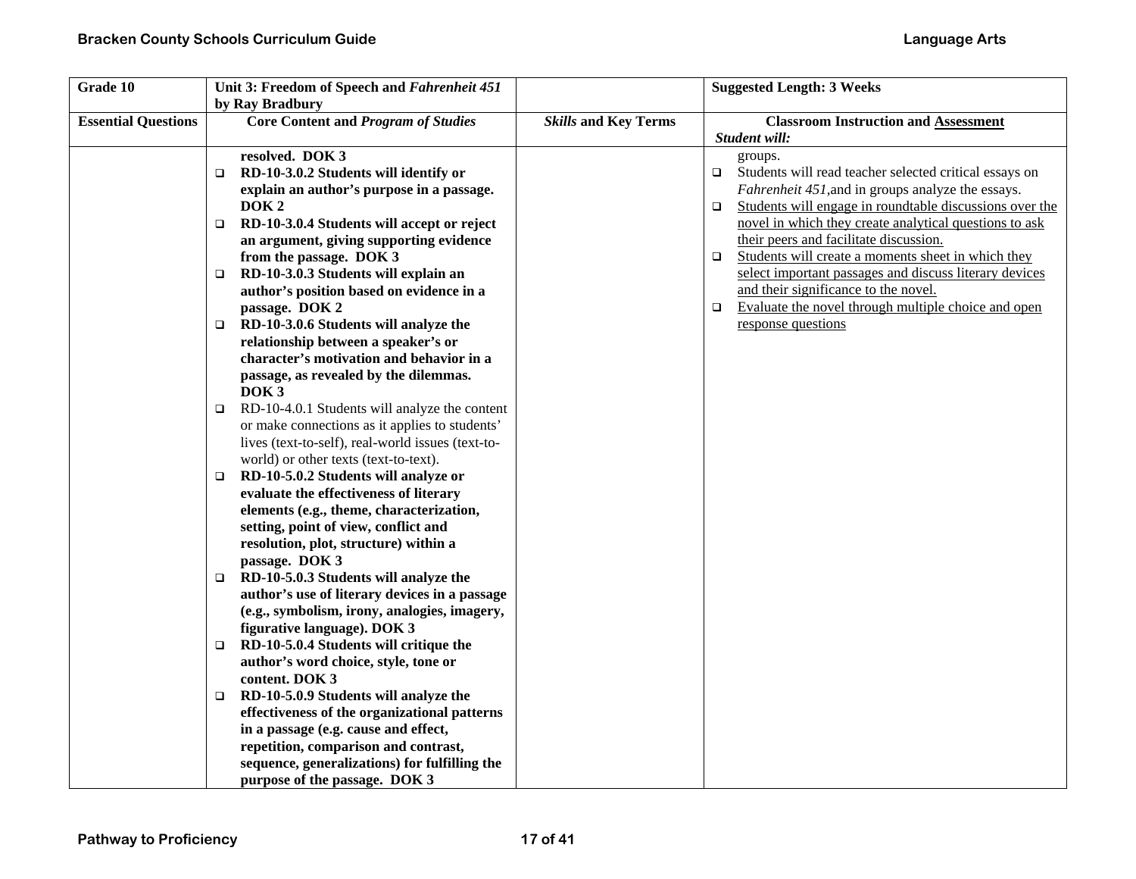| Grade 10                   | Unit 3: Freedom of Speech and Fahrenheit 451<br>by Ray Bradbury                                                                                                                                                                                                                                                                                                                                                                                                                                                                                                                                                                                                                                                                                                                                                                                                                                                                                                                                                                                                                                                                                                                                                                                                                                                                                                               |                             | <b>Suggested Length: 3 Weeks</b>                                                                                                                                                                                                                                                                                                                                                                                                                                                                                                                                                    |
|----------------------------|-------------------------------------------------------------------------------------------------------------------------------------------------------------------------------------------------------------------------------------------------------------------------------------------------------------------------------------------------------------------------------------------------------------------------------------------------------------------------------------------------------------------------------------------------------------------------------------------------------------------------------------------------------------------------------------------------------------------------------------------------------------------------------------------------------------------------------------------------------------------------------------------------------------------------------------------------------------------------------------------------------------------------------------------------------------------------------------------------------------------------------------------------------------------------------------------------------------------------------------------------------------------------------------------------------------------------------------------------------------------------------|-----------------------------|-------------------------------------------------------------------------------------------------------------------------------------------------------------------------------------------------------------------------------------------------------------------------------------------------------------------------------------------------------------------------------------------------------------------------------------------------------------------------------------------------------------------------------------------------------------------------------------|
| <b>Essential Questions</b> | <b>Core Content and Program of Studies</b>                                                                                                                                                                                                                                                                                                                                                                                                                                                                                                                                                                                                                                                                                                                                                                                                                                                                                                                                                                                                                                                                                                                                                                                                                                                                                                                                    | <b>Skills and Key Terms</b> | <b>Classroom Instruction and Assessment</b>                                                                                                                                                                                                                                                                                                                                                                                                                                                                                                                                         |
|                            | resolved. DOK 3<br>RD-10-3.0.2 Students will identify or<br>O.<br>explain an author's purpose in a passage.<br>DOK <sub>2</sub><br>RD-10-3.0.4 Students will accept or reject<br>$\Box$<br>an argument, giving supporting evidence<br>from the passage. DOK 3<br>RD-10-3.0.3 Students will explain an<br>O.<br>author's position based on evidence in a<br>passage. DOK 2<br>RD-10-3.0.6 Students will analyze the<br>$\Box$<br>relationship between a speaker's or<br>character's motivation and behavior in a<br>passage, as revealed by the dilemmas.<br>DOK <sub>3</sub><br>RD-10-4.0.1 Students will analyze the content<br>$\Box$<br>or make connections as it applies to students'<br>lives (text-to-self), real-world issues (text-to-<br>world) or other texts (text-to-text).<br>RD-10-5.0.2 Students will analyze or<br>$\Box$<br>evaluate the effectiveness of literary<br>elements (e.g., theme, characterization,<br>setting, point of view, conflict and<br>resolution, plot, structure) within a<br>passage. DOK 3<br>RD-10-5.0.3 Students will analyze the<br>□<br>author's use of literary devices in a passage<br>(e.g., symbolism, irony, analogies, imagery,<br>figurative language). DOK 3<br>RD-10-5.0.4 Students will critique the<br>O.<br>author's word choice, style, tone or<br>content. DOK 3<br>RD-10-5.0.9 Students will analyze the<br>$\Box$ |                             | Student will:<br>groups.<br>Students will read teacher selected critical essays on<br>$\Box$<br>Fahrenheit 451, and in groups analyze the essays.<br>Students will engage in roundtable discussions over the<br>$\Box$<br>novel in which they create analytical questions to ask<br>their peers and facilitate discussion.<br>Students will create a moments sheet in which they<br>$\Box$<br>select important passages and discuss literary devices<br>and their significance to the novel.<br>Evaluate the novel through multiple choice and open<br>$\Box$<br>response questions |
|                            | effectiveness of the organizational patterns<br>in a passage (e.g. cause and effect,<br>repetition, comparison and contrast,<br>sequence, generalizations) for fulfilling the                                                                                                                                                                                                                                                                                                                                                                                                                                                                                                                                                                                                                                                                                                                                                                                                                                                                                                                                                                                                                                                                                                                                                                                                 |                             |                                                                                                                                                                                                                                                                                                                                                                                                                                                                                                                                                                                     |
|                            | purpose of the passage. DOK 3                                                                                                                                                                                                                                                                                                                                                                                                                                                                                                                                                                                                                                                                                                                                                                                                                                                                                                                                                                                                                                                                                                                                                                                                                                                                                                                                                 |                             |                                                                                                                                                                                                                                                                                                                                                                                                                                                                                                                                                                                     |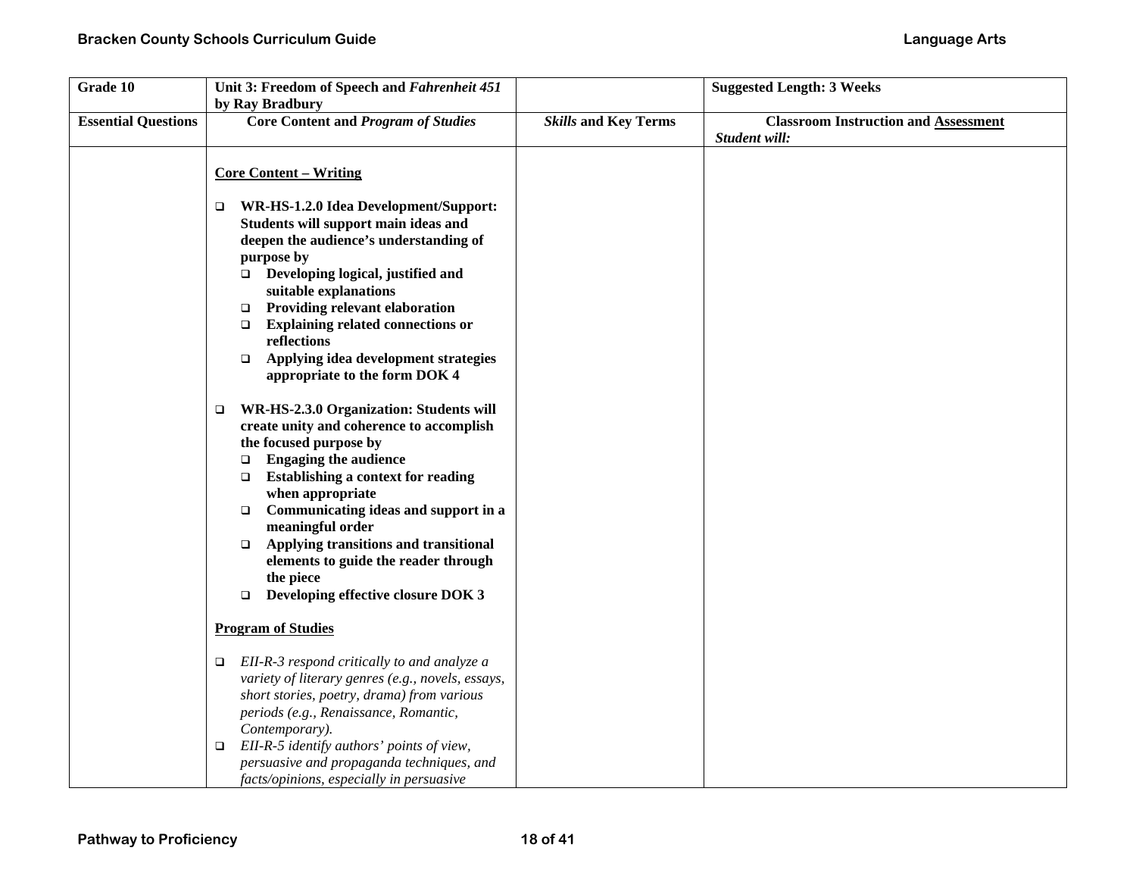| Grade 10                   | Unit 3: Freedom of Speech and Fahrenheit 451<br>by Ray Bradbury                                                                                                                                                                                                                                                                                                                                                                                                            |                             | <b>Suggested Length: 3 Weeks</b>                             |
|----------------------------|----------------------------------------------------------------------------------------------------------------------------------------------------------------------------------------------------------------------------------------------------------------------------------------------------------------------------------------------------------------------------------------------------------------------------------------------------------------------------|-----------------------------|--------------------------------------------------------------|
| <b>Essential Questions</b> | <b>Core Content and Program of Studies</b>                                                                                                                                                                                                                                                                                                                                                                                                                                 | <b>Skills and Key Terms</b> | <b>Classroom Instruction and Assessment</b><br>Student will: |
|                            | <b>Core Content - Writing</b>                                                                                                                                                                                                                                                                                                                                                                                                                                              |                             |                                                              |
|                            | WR-HS-1.2.0 Idea Development/Support:<br>$\Box$<br>Students will support main ideas and<br>deepen the audience's understanding of<br>purpose by<br>$\Box$ Developing logical, justified and<br>suitable explanations<br><b>Providing relevant elaboration</b><br>$\Box$<br><b>Explaining related connections or</b><br>$\Box$<br>reflections<br>Applying idea development strategies<br>$\Box$<br>appropriate to the form DOK 4                                            |                             |                                                              |
|                            | WR-HS-2.3.0 Organization: Students will<br>$\Box$<br>create unity and coherence to accomplish<br>the focused purpose by<br><b>Engaging the audience</b><br>$\Box$<br><b>Establishing a context for reading</b><br>$\Box$<br>when appropriate<br>Communicating ideas and support in a<br>$\Box$<br>meaningful order<br>Applying transitions and transitional<br>$\Box$<br>elements to guide the reader through<br>the piece<br>Developing effective closure DOK 3<br>$\Box$ |                             |                                                              |
|                            | <b>Program of Studies</b><br>EII-R-3 respond critically to and analyze a<br>$\Box$<br>variety of literary genres (e.g., novels, essays,<br>short stories, poetry, drama) from various<br>periods (e.g., Renaissance, Romantic,<br>Contemporary).                                                                                                                                                                                                                           |                             |                                                              |
|                            | EII-R-5 identify authors' points of view,<br>$\Box$<br>persuasive and propaganda techniques, and<br>facts/opinions, especially in persuasive                                                                                                                                                                                                                                                                                                                               |                             |                                                              |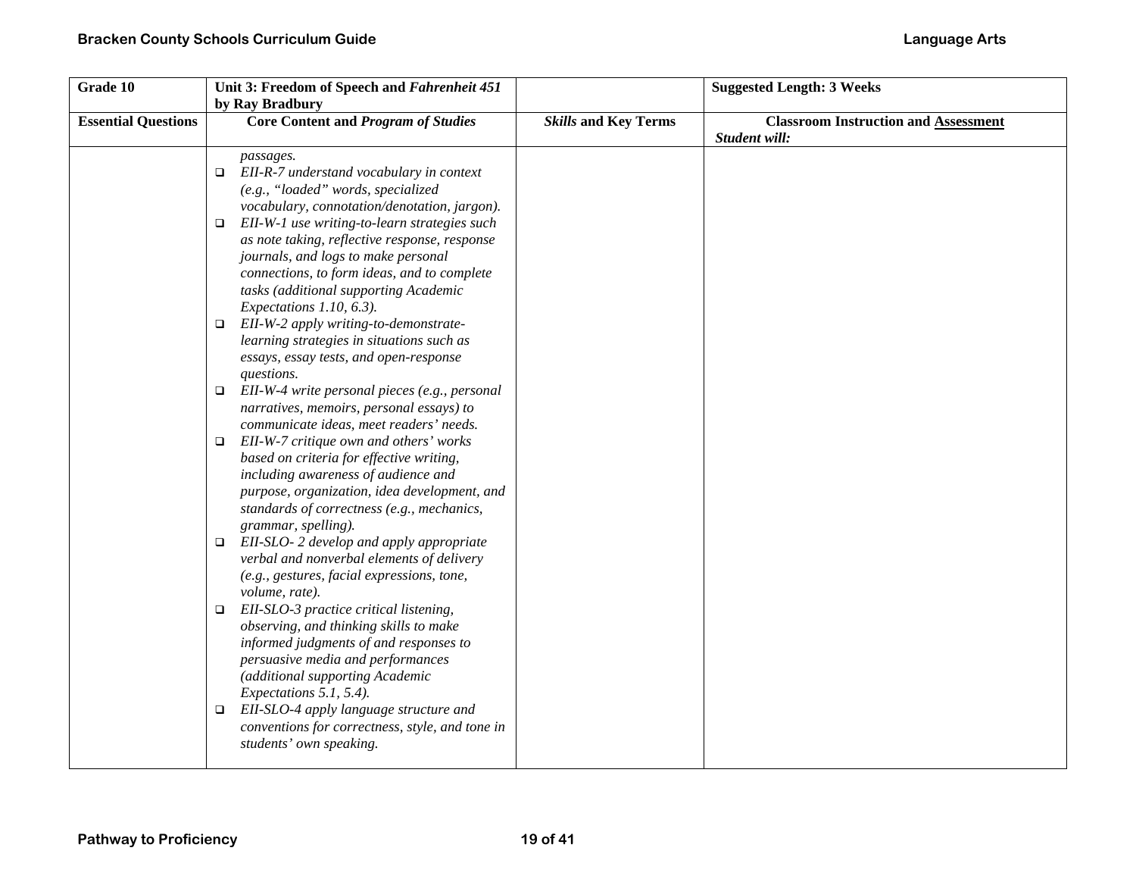| Grade 10                   | Unit 3: Freedom of Speech and Fahrenheit 451<br>by Ray Bradbury                                                                                                                                                                                                                                                                                                                                                                                                                                                                                                                                                                                                                                                                                                                                                                                                                                                                                                                                                                                                                                                                                                                                                                                                                                                                                                                                                                                                                                              |                             | <b>Suggested Length: 3 Weeks</b>                             |
|----------------------------|--------------------------------------------------------------------------------------------------------------------------------------------------------------------------------------------------------------------------------------------------------------------------------------------------------------------------------------------------------------------------------------------------------------------------------------------------------------------------------------------------------------------------------------------------------------------------------------------------------------------------------------------------------------------------------------------------------------------------------------------------------------------------------------------------------------------------------------------------------------------------------------------------------------------------------------------------------------------------------------------------------------------------------------------------------------------------------------------------------------------------------------------------------------------------------------------------------------------------------------------------------------------------------------------------------------------------------------------------------------------------------------------------------------------------------------------------------------------------------------------------------------|-----------------------------|--------------------------------------------------------------|
| <b>Essential Questions</b> | <b>Core Content and Program of Studies</b>                                                                                                                                                                                                                                                                                                                                                                                                                                                                                                                                                                                                                                                                                                                                                                                                                                                                                                                                                                                                                                                                                                                                                                                                                                                                                                                                                                                                                                                                   | <b>Skills and Key Terms</b> | <b>Classroom Instruction and Assessment</b><br>Student will: |
|                            | passages.<br>$\Box$ EII-R-7 understand vocabulary in context<br>(e.g., "loaded" words, specialized<br>vocabulary, connotation/denotation, jargon).<br>EII-W-1 use writing-to-learn strategies such<br>□<br>as note taking, reflective response, response<br>journals, and logs to make personal<br>connections, to form ideas, and to complete<br>tasks (additional supporting Academic<br>Expectations 1.10, 6.3).<br>EII-W-2 apply writing-to-demonstrate-<br>o<br>learning strategies in situations such as<br>essays, essay tests, and open-response<br>questions.<br>$\Box$ EII-W-4 write personal pieces (e.g., personal<br>narratives, memoirs, personal essays) to<br>communicate ideas, meet readers' needs.<br>EII-W-7 critique own and others' works<br>□<br>based on criteria for effective writing,<br>including awareness of audience and<br>purpose, organization, idea development, and<br>standards of correctness (e.g., mechanics,<br>grammar, spelling).<br>EII-SLO-2 develop and apply appropriate<br>□<br>verbal and nonverbal elements of delivery<br>(e.g., gestures, facial expressions, tone,<br>volume, rate).<br>EII-SLO-3 practice critical listening,<br>□<br>observing, and thinking skills to make<br>informed judgments of and responses to<br>persuasive media and performances<br>(additional supporting Academic<br>Expectations 5.1, 5.4).<br>EII-SLO-4 apply language structure and<br>□<br>conventions for correctness, style, and tone in<br>students' own speaking. |                             |                                                              |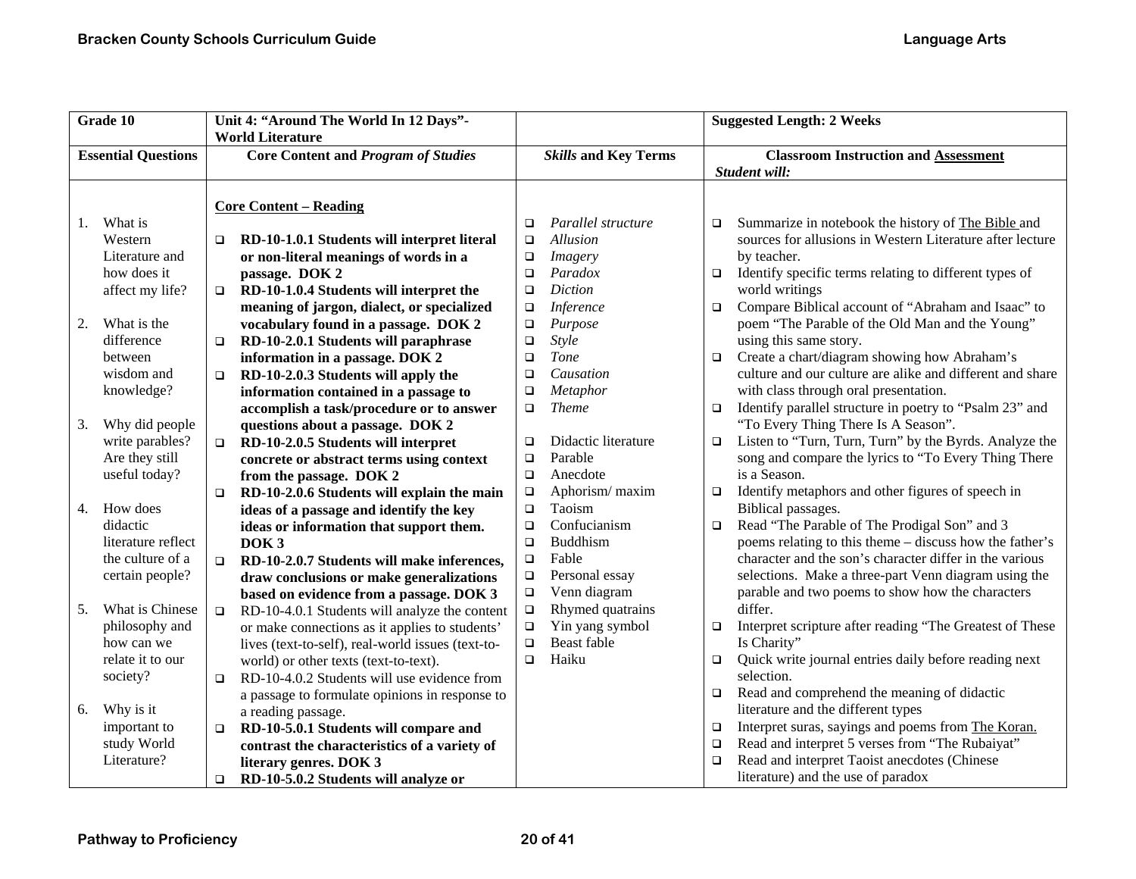| Grade 10 |                            |        | Unit 4: "Around The World In 12 Days"-            | <b>Suggested Length: 2 Weeks</b> |                             |                                             |                                                           |
|----------|----------------------------|--------|---------------------------------------------------|----------------------------------|-----------------------------|---------------------------------------------|-----------------------------------------------------------|
|          |                            |        | <b>World Literature</b>                           |                                  |                             |                                             |                                                           |
|          | <b>Essential Questions</b> |        | <b>Core Content and Program of Studies</b>        |                                  | <b>Skills and Key Terms</b> | <b>Classroom Instruction and Assessment</b> |                                                           |
|          |                            |        |                                                   |                                  |                             |                                             | Student will:                                             |
|          |                            |        |                                                   |                                  |                             |                                             |                                                           |
|          |                            |        | <b>Core Content - Reading</b>                     |                                  |                             |                                             |                                                           |
| 1.       | What is                    |        |                                                   | $\Box$                           | Parallel structure          | □                                           | Summarize in notebook the history of The Bible and        |
|          | Western                    | □      | RD-10-1.0.1 Students will interpret literal       | $\Box$                           | Allusion                    |                                             | sources for allusions in Western Literature after lecture |
|          | Literature and             |        | or non-literal meanings of words in a             | $\Box$                           | Imagery                     |                                             | by teacher.                                               |
|          | how does it                |        | passage. DOK 2                                    | $\Box$                           | Paradox                     | $\Box$                                      | Identify specific terms relating to different types of    |
|          | affect my life?            | $\Box$ | RD-10-1.0.4 Students will interpret the           | $\Box$                           | <b>Diction</b>              |                                             | world writings                                            |
|          |                            |        | meaning of jargon, dialect, or specialized        | $\Box$                           | <b>Inference</b>            | $\Box$                                      | Compare Biblical account of "Abraham and Isaac" to        |
| 2.       | What is the                |        | vocabulary found in a passage. DOK 2              | $\Box$                           | Purpose                     |                                             | poem "The Parable of the Old Man and the Young"           |
|          | difference                 | $\Box$ | RD-10-2.0.1 Students will paraphrase              | $\Box$                           | Style                       |                                             | using this same story.                                    |
|          | between                    |        | information in a passage. DOK 2                   | $\Box$                           | <b>Tone</b>                 | $\Box$                                      | Create a chart/diagram showing how Abraham's              |
|          | wisdom and                 | $\Box$ | RD-10-2.0.3 Students will apply the               | $\Box$                           | Causation                   |                                             | culture and our culture are alike and different and share |
|          | knowledge?                 |        | information contained in a passage to             | $\Box$                           | Metaphor                    |                                             | with class through oral presentation.                     |
|          |                            |        | accomplish a task/procedure or to answer          | $\Box$                           | <b>Theme</b>                | $\Box$                                      | Identify parallel structure in poetry to "Psalm 23" and   |
| 3.       | Why did people             |        | questions about a passage. DOK 2                  |                                  |                             |                                             | "To Every Thing There Is A Season".                       |
|          | write parables?            | $\Box$ | RD-10-2.0.5 Students will interpret               | $\Box$                           | Didactic literature         | $\Box$                                      | Listen to "Turn, Turn, Turn" by the Byrds. Analyze the    |
|          | Are they still             |        | concrete or abstract terms using context          | $\Box$                           | Parable                     |                                             | song and compare the lyrics to "To Every Thing There      |
|          | useful today?              |        | from the passage. DOK 2                           | $\Box$                           | Anecdote                    |                                             | is a Season.                                              |
|          |                            | $\Box$ | RD-10-2.0.6 Students will explain the main        | $\Box$                           | Aphorism/maxim              | $\Box$                                      | Identify metaphors and other figures of speech in         |
| 4.       | How does                   |        | ideas of a passage and identify the key           | $\Box$                           | Taoism                      |                                             | Biblical passages.                                        |
|          | didactic                   |        | ideas or information that support them.           | $\Box$                           | Confucianism                | $\Box$                                      | Read "The Parable of The Prodigal Son" and 3              |
|          | literature reflect         |        | DOK <sub>3</sub>                                  | $\Box$                           | Buddhism                    |                                             | poems relating to this theme – discuss how the father's   |
|          | the culture of a           | $\Box$ | RD-10-2.0.7 Students will make inferences,        | $\Box$                           | Fable                       |                                             | character and the son's character differ in the various   |
|          | certain people?            |        | draw conclusions or make generalizations          | $\Box$                           | Personal essay              |                                             | selections. Make a three-part Venn diagram using the      |
|          |                            |        | based on evidence from a passage. DOK 3           | $\Box$                           | Venn diagram                |                                             | parable and two poems to show how the characters          |
| 5.       | What is Chinese            | $\Box$ | RD-10-4.0.1 Students will analyze the content     | $\Box$                           | Rhymed quatrains            |                                             | differ.                                                   |
|          | philosophy and             |        | or make connections as it applies to students'    | $\Box$                           | Yin yang symbol             | $\Box$                                      | Interpret scripture after reading "The Greatest of These  |
|          | how can we                 |        | lives (text-to-self), real-world issues (text-to- | $\Box$                           | Beast fable                 |                                             | Is Charity"                                               |
|          | relate it to our           |        | world) or other texts (text-to-text).             | $\Box$                           | Haiku                       | $\Box$                                      | Quick write journal entries daily before reading next     |
|          | society?                   | $\Box$ | RD-10-4.0.2 Students will use evidence from       |                                  |                             |                                             | selection.                                                |
|          |                            |        | a passage to formulate opinions in response to    |                                  |                             | $\Box$                                      | Read and comprehend the meaning of didactic               |
| 6.       | Why is it                  |        | a reading passage.                                |                                  |                             |                                             | literature and the different types                        |
|          | important to               | $\Box$ | RD-10-5.0.1 Students will compare and             |                                  |                             | $\Box$                                      | Interpret suras, sayings and poems from The Koran.        |
|          | study World                |        | contrast the characteristics of a variety of      |                                  |                             | $\Box$                                      | Read and interpret 5 verses from "The Rubaiyat"           |
|          | Literature?                |        | literary genres. DOK 3                            |                                  |                             | □                                           | Read and interpret Taoist anecdotes (Chinese              |
|          |                            | $\Box$ | RD-10-5.0.2 Students will analyze or              |                                  |                             |                                             | literature) and the use of paradox                        |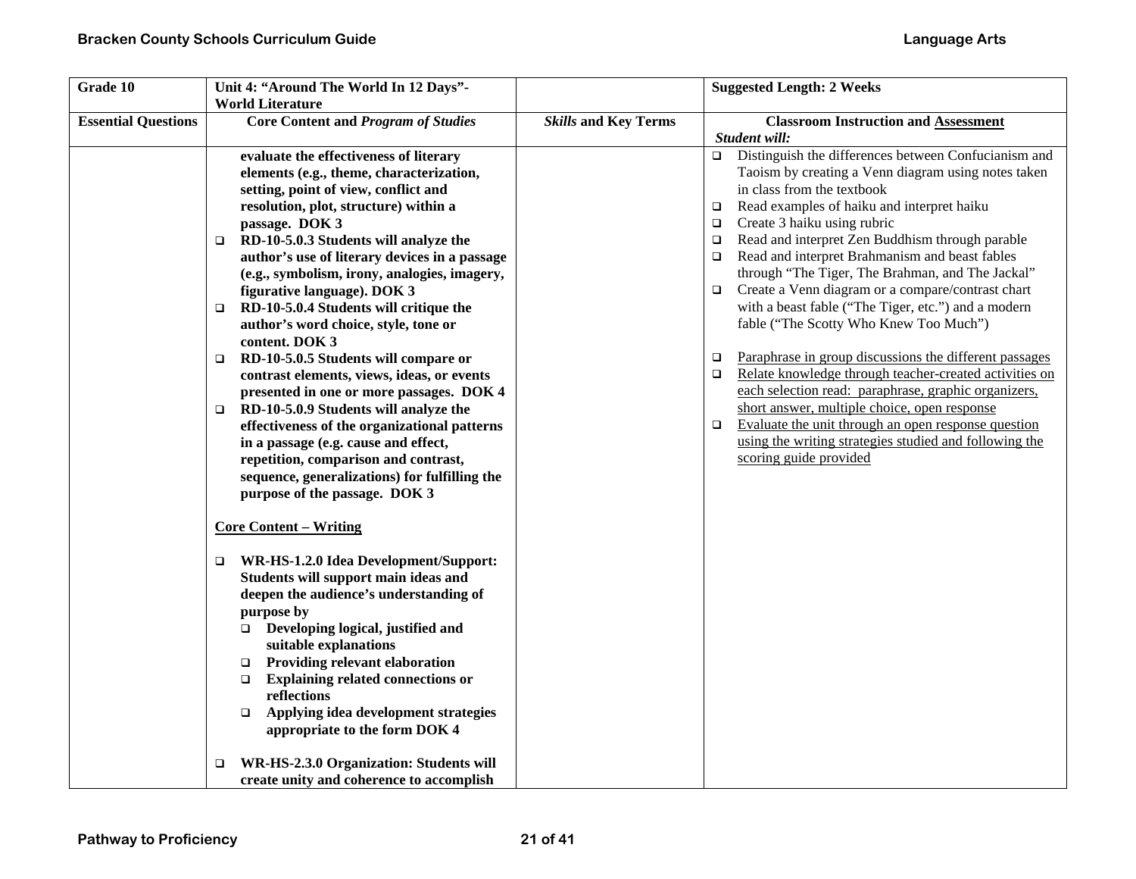| Grade 10                   | Unit 4: "Around The World In 12 Days"-<br><b>World Literature</b>                                                                                                                                                                                                                                                                                                                                                                                                                                                                                                                                                                                                                                                                                                                                                                                                                                                                                                                                                                                                                                                                                                                                                                                                                                                         |                             | <b>Suggested Length: 2 Weeks</b>                                                                                                                                                                                                                                                                                                                                                                                                                                                                                                                                                                                                                                                                                                                                                                                                                                                                                                                                                  |
|----------------------------|---------------------------------------------------------------------------------------------------------------------------------------------------------------------------------------------------------------------------------------------------------------------------------------------------------------------------------------------------------------------------------------------------------------------------------------------------------------------------------------------------------------------------------------------------------------------------------------------------------------------------------------------------------------------------------------------------------------------------------------------------------------------------------------------------------------------------------------------------------------------------------------------------------------------------------------------------------------------------------------------------------------------------------------------------------------------------------------------------------------------------------------------------------------------------------------------------------------------------------------------------------------------------------------------------------------------------|-----------------------------|-----------------------------------------------------------------------------------------------------------------------------------------------------------------------------------------------------------------------------------------------------------------------------------------------------------------------------------------------------------------------------------------------------------------------------------------------------------------------------------------------------------------------------------------------------------------------------------------------------------------------------------------------------------------------------------------------------------------------------------------------------------------------------------------------------------------------------------------------------------------------------------------------------------------------------------------------------------------------------------|
| <b>Essential Questions</b> | <b>Core Content and Program of Studies</b>                                                                                                                                                                                                                                                                                                                                                                                                                                                                                                                                                                                                                                                                                                                                                                                                                                                                                                                                                                                                                                                                                                                                                                                                                                                                                | <b>Skills and Key Terms</b> | <b>Classroom Instruction and Assessment</b>                                                                                                                                                                                                                                                                                                                                                                                                                                                                                                                                                                                                                                                                                                                                                                                                                                                                                                                                       |
|                            | evaluate the effectiveness of literary<br>elements (e.g., theme, characterization,<br>setting, point of view, conflict and<br>resolution, plot, structure) within a<br>passage. DOK 3<br>RD-10-5.0.3 Students will analyze the<br>$\Box$<br>author's use of literary devices in a passage<br>(e.g., symbolism, irony, analogies, imagery,<br>figurative language). DOK 3<br>RD-10-5.0.4 Students will critique the<br>$\Box$<br>author's word choice, style, tone or<br>content. DOK 3<br>RD-10-5.0.5 Students will compare or<br>$\Box$<br>contrast elements, views, ideas, or events<br>presented in one or more passages. DOK 4<br>RD-10-5.0.9 Students will analyze the<br>□<br>effectiveness of the organizational patterns<br>in a passage (e.g. cause and effect,<br>repetition, comparison and contrast,<br>sequence, generalizations) for fulfilling the<br>purpose of the passage. DOK 3<br><b>Core Content – Writing</b><br>WR-HS-1.2.0 Idea Development/Support:<br>□<br>Students will support main ideas and<br>deepen the audience's understanding of<br>purpose by<br>$\Box$ Developing logical, justified and<br>suitable explanations<br>Providing relevant elaboration<br>$\Box$<br><b>Explaining related connections or</b><br>$\Box$<br>reflections<br>Applying idea development strategies<br>$\Box$ |                             | Student will:<br>$\Box$ Distinguish the differences between Confucianism and<br>Taoism by creating a Venn diagram using notes taken<br>in class from the textbook<br>Read examples of haiku and interpret haiku<br>□<br>Create 3 haiku using rubric<br>$\Box$<br>Read and interpret Zen Buddhism through parable<br>□<br>Read and interpret Brahmanism and beast fables<br>□<br>through "The Tiger, The Brahman, and The Jackal"<br>Create a Venn diagram or a compare/contrast chart<br>with a beast fable ("The Tiger, etc.") and a modern<br>fable ("The Scotty Who Knew Too Much")<br>Paraphrase in group discussions the different passages<br>□<br>Relate knowledge through teacher-created activities on<br>$\Box$<br>each selection read: paraphrase, graphic organizers,<br>short answer, multiple choice, open response<br>Evaluate the unit through an open response question<br>▫<br>using the writing strategies studied and following the<br>scoring guide provided |
|                            | appropriate to the form DOK 4<br>WR-HS-2.3.0 Organization: Students will<br>□<br>create unity and coherence to accomplish                                                                                                                                                                                                                                                                                                                                                                                                                                                                                                                                                                                                                                                                                                                                                                                                                                                                                                                                                                                                                                                                                                                                                                                                 |                             |                                                                                                                                                                                                                                                                                                                                                                                                                                                                                                                                                                                                                                                                                                                                                                                                                                                                                                                                                                                   |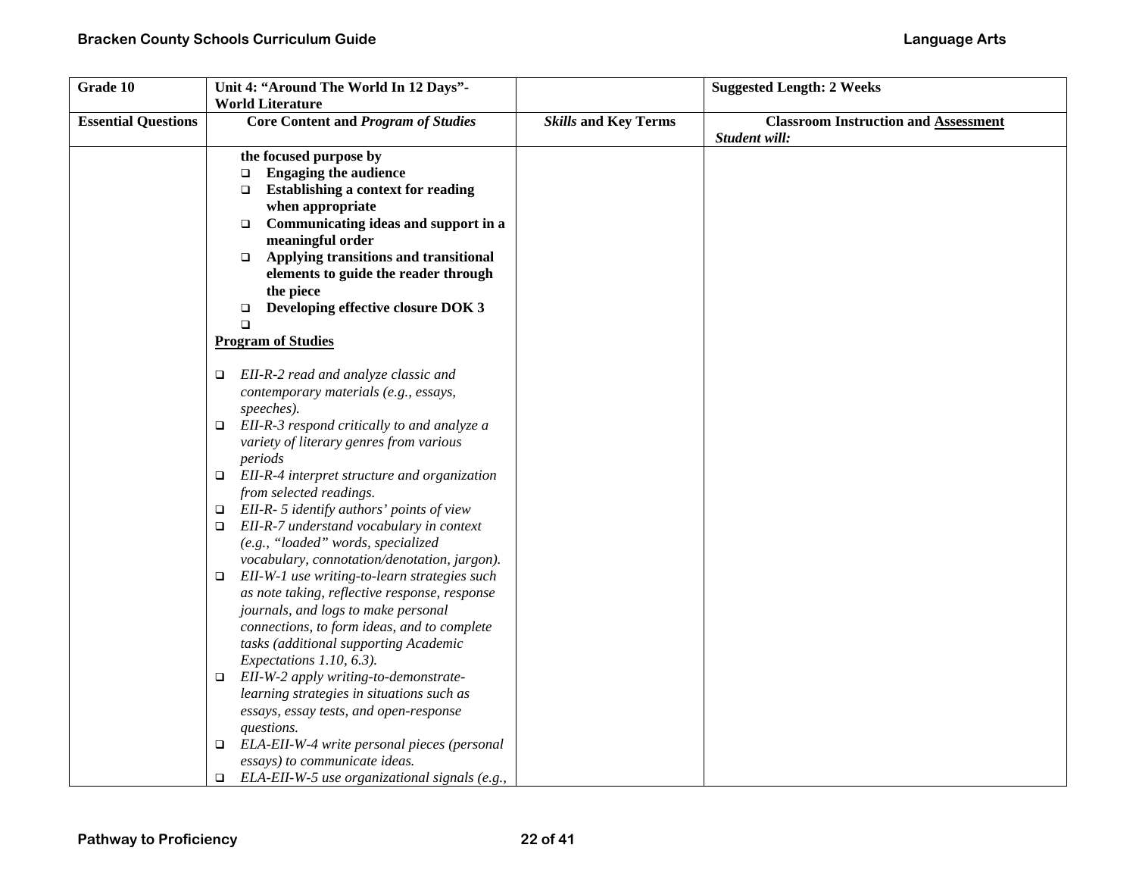| Grade 10                   | Unit 4: "Around The World In 12 Days"-                                             |                             | <b>Suggested Length: 2 Weeks</b>            |
|----------------------------|------------------------------------------------------------------------------------|-----------------------------|---------------------------------------------|
|                            | <b>World Literature</b>                                                            |                             |                                             |
| <b>Essential Questions</b> | <b>Core Content and Program of Studies</b>                                         | <b>Skills and Key Terms</b> | <b>Classroom Instruction and Assessment</b> |
|                            |                                                                                    |                             | Student will:                               |
|                            | the focused purpose by                                                             |                             |                                             |
|                            | <b>Engaging the audience</b><br>$\Box$                                             |                             |                                             |
|                            | <b>Establishing a context for reading</b><br>$\Box$                                |                             |                                             |
|                            | when appropriate                                                                   |                             |                                             |
|                            | Communicating ideas and support in a<br>$\Box$                                     |                             |                                             |
|                            | meaningful order                                                                   |                             |                                             |
|                            | Applying transitions and transitional<br>$\Box$                                    |                             |                                             |
|                            | elements to guide the reader through                                               |                             |                                             |
|                            | the piece                                                                          |                             |                                             |
|                            | Developing effective closure DOK 3<br>$\Box$                                       |                             |                                             |
|                            | $\Box$                                                                             |                             |                                             |
|                            | <b>Program of Studies</b>                                                          |                             |                                             |
|                            |                                                                                    |                             |                                             |
|                            | EII-R-2 read and analyze classic and<br>□                                          |                             |                                             |
|                            | contemporary materials (e.g., essays,                                              |                             |                                             |
|                            | speeches).                                                                         |                             |                                             |
|                            | EII-R-3 respond critically to and analyze a<br>▫                                   |                             |                                             |
|                            | variety of literary genres from various                                            |                             |                                             |
|                            | periods                                                                            |                             |                                             |
|                            | $\Box$ EII-R-4 interpret structure and organization                                |                             |                                             |
|                            | from selected readings.                                                            |                             |                                             |
|                            | EII-R- 5 identify authors' points of view<br>$\Box$                                |                             |                                             |
|                            | EII-R-7 understand vocabulary in context<br>□                                      |                             |                                             |
|                            | (e.g., "loaded" words, specialized<br>vocabulary, connotation/denotation, jargon). |                             |                                             |
|                            | EII-W-1 use writing-to-learn strategies such                                       |                             |                                             |
|                            | $\Box$<br>as note taking, reflective response, response                            |                             |                                             |
|                            | journals, and logs to make personal                                                |                             |                                             |
|                            | connections, to form ideas, and to complete                                        |                             |                                             |
|                            | tasks (additional supporting Academic                                              |                             |                                             |
|                            | Expectations 1.10, 6.3).                                                           |                             |                                             |
|                            | EII-W-2 apply writing-to-demonstrate-<br>$\Box$                                    |                             |                                             |
|                            | learning strategies in situations such as                                          |                             |                                             |
|                            | essays, essay tests, and open-response                                             |                             |                                             |
|                            | questions.                                                                         |                             |                                             |
|                            | ELA-EII-W-4 write personal pieces (personal<br>□                                   |                             |                                             |
|                            | essays) to communicate ideas.                                                      |                             |                                             |
|                            | ELA-EII-W-5 use organizational signals (e.g.,<br>$\Box$                            |                             |                                             |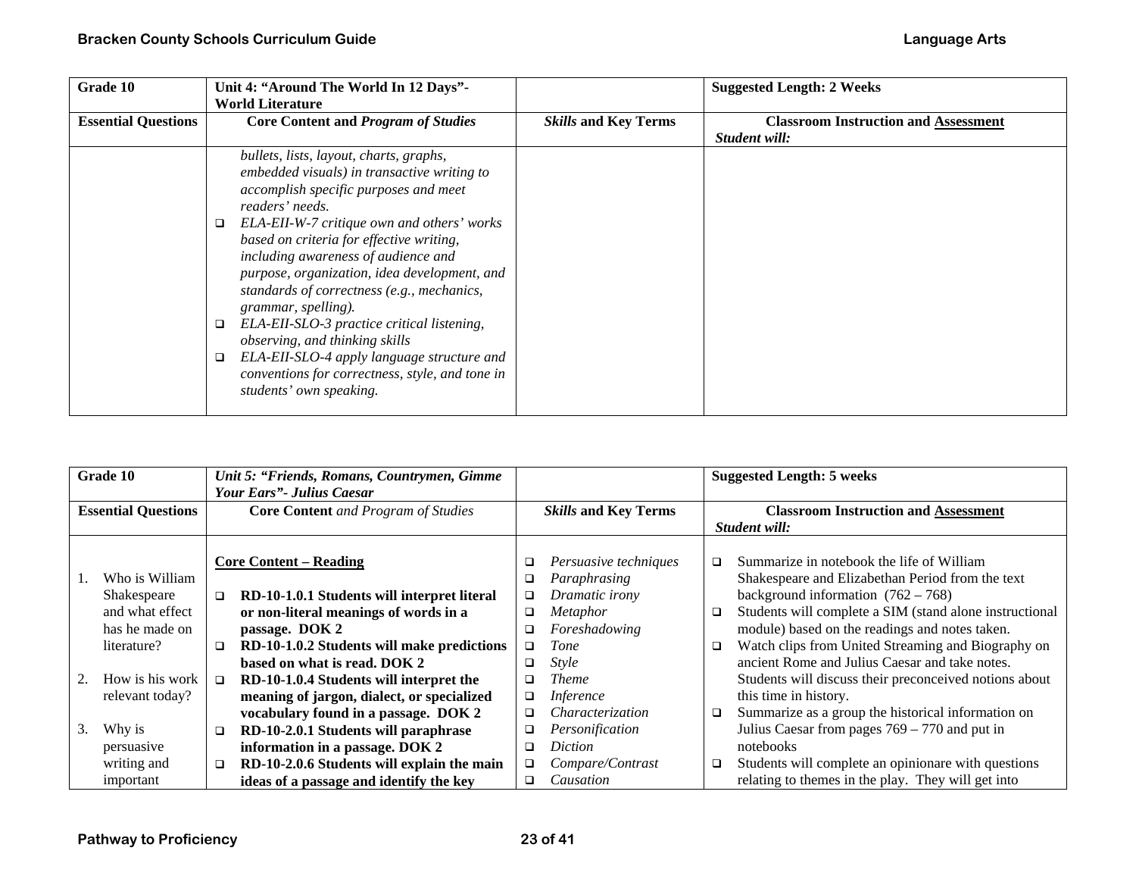| Grade 10                   | Unit 4: "Around The World In 12 Days"-<br><b>World Literature</b>                                                                                                                                                                                                                                                                                                                                                                                                                                                                                                                                                                   |                             | <b>Suggested Length: 2 Weeks</b>                             |
|----------------------------|-------------------------------------------------------------------------------------------------------------------------------------------------------------------------------------------------------------------------------------------------------------------------------------------------------------------------------------------------------------------------------------------------------------------------------------------------------------------------------------------------------------------------------------------------------------------------------------------------------------------------------------|-----------------------------|--------------------------------------------------------------|
| <b>Essential Questions</b> | <b>Core Content and Program of Studies</b>                                                                                                                                                                                                                                                                                                                                                                                                                                                                                                                                                                                          | <b>Skills and Key Terms</b> | <b>Classroom Instruction and Assessment</b><br>Student will: |
|                            | bullets, lists, layout, charts, graphs,<br>embedded visuals) in transactive writing to<br>accomplish specific purposes and meet<br>readers' needs.<br>ELA-EII-W-7 critique own and others' works<br>❏<br>based on criteria for effective writing,<br>including awareness of audience and<br>purpose, organization, idea development, and<br>standards of correctness (e.g., mechanics,<br>grammar, spelling).<br>ELA-EII-SLO-3 practice critical listening,<br>□<br>observing, and thinking skills<br>ELA-EII-SLO-4 apply language structure and<br>❏<br>conventions for correctness, style, and tone in<br>students' own speaking. |                             |                                                              |

| Grade 10                   |                 |        | Unit 5: "Friends, Romans, Countrymen, Gimme<br><b>Your Ears"</b> - Julius Caesar |                             |                       |        | <b>Suggested Length: 5 weeks</b>                        |
|----------------------------|-----------------|--------|----------------------------------------------------------------------------------|-----------------------------|-----------------------|--------|---------------------------------------------------------|
| <b>Essential Questions</b> |                 |        | <b>Core Content</b> and Program of Studies                                       | <b>Skills and Key Terms</b> |                       |        | <b>Classroom Instruction and Assessment</b>             |
|                            |                 |        |                                                                                  |                             |                       |        | Student will:                                           |
|                            |                 |        | <b>Core Content – Reading</b>                                                    | ❏                           | Persuasive techniques | □      | Summarize in notebook the life of William               |
| Ι.                         | Who is William  |        |                                                                                  | ❏                           | Paraphrasing          |        | Shakespeare and Elizabethan Period from the text        |
|                            | Shakespeare     | □      | RD-10-1.0.1 Students will interpret literal                                      | ❏                           | Dramatic irony        |        | background information $(762 – 768)$                    |
|                            | and what effect |        | or non-literal meanings of words in a                                            | □                           | Metaphor              | $\Box$ | Students will complete a SIM (stand alone instructional |
|                            | has he made on  |        | passage. DOK 2                                                                   | ❏                           | Foreshadowing         |        | module) based on the readings and notes taken.          |
|                            | literature?     | $\Box$ | RD-10-1.0.2 Students will make predictions                                       | ❏                           | Tone                  | □      | Watch clips from United Streaming and Biography on      |
|                            |                 |        | based on what is read. DOK 2                                                     | □                           | <i>Style</i>          |        | ancient Rome and Julius Caesar and take notes.          |
| 2.                         | How is his work | $\Box$ | RD-10-1.0.4 Students will interpret the                                          | □                           | <b>Theme</b>          |        | Students will discuss their preconceived notions about  |
|                            | relevant today? |        | meaning of jargon, dialect, or specialized                                       | ❏                           | <i>Inference</i>      |        | this time in history.                                   |
|                            |                 |        | vocabulary found in a passage. DOK 2                                             | ❏                           | Characterization      | □      | Summarize as a group the historical information on      |
| 3.                         | Why is          | □      | RD-10-2.0.1 Students will paraphrase                                             | ❏                           | Personification       |        | Julius Caesar from pages $769 - 770$ and put in         |
|                            | persuasive      |        | information in a passage. DOK 2                                                  | ❏                           | Diction               |        | notebooks                                               |
|                            | writing and     | □      | RD-10-2.0.6 Students will explain the main                                       | ❏                           | Compare/Contrast      | □      | Students will complete an opinionare with questions     |
|                            | important       |        | ideas of a passage and identify the key                                          | □                           | Causation             |        | relating to themes in the play. They will get into      |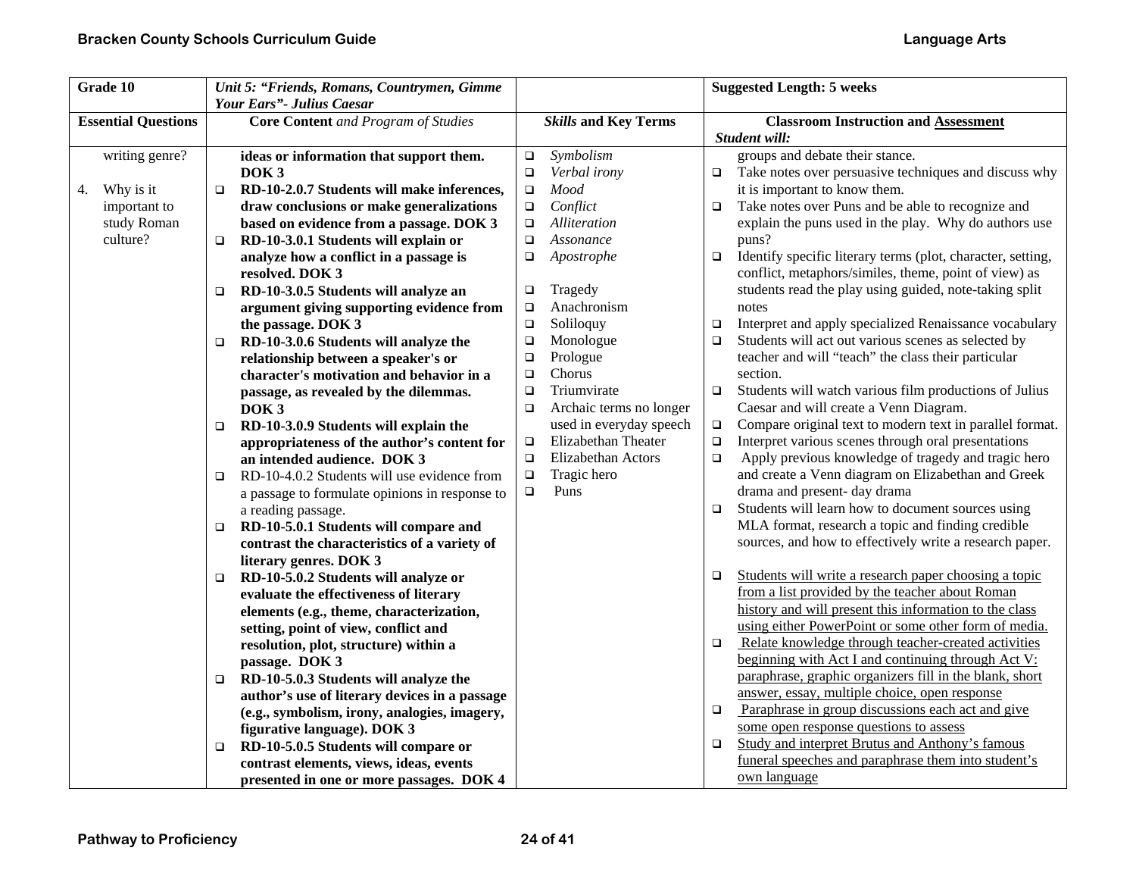| Grade 10                   | Unit 5: "Friends, Romans, Countrymen, Gimme<br>Your Ears"- Julius Caesar                 |                                     | <b>Suggested Length: 5 weeks</b>                                                                             |
|----------------------------|------------------------------------------------------------------------------------------|-------------------------------------|--------------------------------------------------------------------------------------------------------------|
| <b>Essential Questions</b> | <b>Core Content</b> and Program of Studies                                               | <b>Skills and Key Terms</b>         | <b>Classroom Instruction and Assessment</b><br>Student will:                                                 |
| writing genre?             | ideas or information that support them.<br>DOK <sub>3</sub>                              | Symbolism<br>$\Box$<br>Verbal irony | groups and debate their stance.                                                                              |
| Why is it                  | RD-10-2.0.7 Students will make inferences,<br>$\Box$                                     | $\Box$<br>Mood                      | $\Box$ Take notes over persuasive techniques and discuss why<br>it is important to know them.                |
| 4.<br>important to         | draw conclusions or make generalizations                                                 | $\Box$<br>Conflict                  | Take notes over Puns and be able to recognize and<br>$\Box$                                                  |
| study Roman                | based on evidence from a passage. DOK 3                                                  | $\Box$<br>Alliteration<br>$\Box$    | explain the puns used in the play. Why do authors use                                                        |
| culture?                   | RD-10-3.0.1 Students will explain or<br>$\Box$                                           | Assonance<br>$\Box$                 | puns?                                                                                                        |
|                            | analyze how a conflict in a passage is                                                   | Apostrophe<br>$\Box$                | Identify specific literary terms (plot, character, setting,<br>$\Box$                                        |
|                            | resolved. DOK 3                                                                          |                                     | conflict, metaphors/similes, theme, point of view) as                                                        |
|                            | RD-10-3.0.5 Students will analyze an<br>$\Box$                                           | Tragedy<br>$\Box$                   | students read the play using guided, note-taking split                                                       |
|                            | argument giving supporting evidence from                                                 | Anachronism<br>$\Box$               | notes                                                                                                        |
|                            | the passage. DOK 3                                                                       | Soliloquy<br>$\Box$                 | Interpret and apply specialized Renaissance vocabulary<br>□                                                  |
|                            | RD-10-3.0.6 Students will analyze the<br>$\Box$                                          | Monologue<br>$\Box$                 | Students will act out various scenes as selected by<br>$\Box$                                                |
|                            | relationship between a speaker's or                                                      | Prologue<br>$\Box$                  | teacher and will "teach" the class their particular                                                          |
|                            | character's motivation and behavior in a                                                 | Chorus<br>$\Box$                    | section.                                                                                                     |
|                            | passage, as revealed by the dilemmas.                                                    | Triumvirate<br>$\Box$               | Students will watch various film productions of Julius<br>$\Box$                                             |
|                            | DOK <sub>3</sub>                                                                         | Archaic terms no longer<br>$\Box$   | Caesar and will create a Venn Diagram.                                                                       |
|                            | RD-10-3.0.9 Students will explain the<br>$\Box$                                          | used in everyday speech             | Compare original text to modern text in parallel format.<br>$\Box$                                           |
|                            | appropriateness of the author's content for                                              | Elizabethan Theater<br>$\Box$       | Interpret various scenes through oral presentations<br>$\Box$                                                |
|                            | an intended audience. DOK 3                                                              | Elizabethan Actors<br>$\Box$        | Apply previous knowledge of tragedy and tragic hero<br>$\Box$                                                |
|                            | RD-10-4.0.2 Students will use evidence from<br>□                                         | Tragic hero<br>$\Box$               | and create a Venn diagram on Elizabethan and Greek                                                           |
|                            | a passage to formulate opinions in response to                                           | Puns<br>$\Box$                      | drama and present- day drama                                                                                 |
|                            | a reading passage.                                                                       |                                     | Students will learn how to document sources using<br>$\Box$                                                  |
|                            | RD-10-5.0.1 Students will compare and<br>□                                               |                                     | MLA format, research a topic and finding credible<br>sources, and how to effectively write a research paper. |
|                            | contrast the characteristics of a variety of                                             |                                     |                                                                                                              |
|                            | literary genres. DOK 3                                                                   |                                     | Students will write a research paper choosing a topic<br>$\Box$                                              |
|                            | RD-10-5.0.2 Students will analyze or<br>$\Box$<br>evaluate the effectiveness of literary |                                     | from a list provided by the teacher about Roman                                                              |
|                            | elements (e.g., theme, characterization,                                                 |                                     | history and will present this information to the class                                                       |
|                            | setting, point of view, conflict and                                                     |                                     | using either PowerPoint or some other form of media.                                                         |
|                            | resolution, plot, structure) within a                                                    |                                     | Relate knowledge through teacher-created activities<br>$\Box$                                                |
|                            | passage. DOK 3                                                                           |                                     | beginning with Act I and continuing through Act V:                                                           |
|                            | RD-10-5.0.3 Students will analyze the<br>$\Box$                                          |                                     | paraphrase, graphic organizers fill in the blank, short                                                      |
|                            | author's use of literary devices in a passage                                            |                                     | answer, essay, multiple choice, open response                                                                |
|                            | (e.g., symbolism, irony, analogies, imagery,                                             |                                     | Paraphrase in group discussions each act and give<br>$\Box$                                                  |
|                            | figurative language). DOK 3                                                              |                                     | some open response questions to assess                                                                       |
|                            | RD-10-5.0.5 Students will compare or<br>□                                                |                                     | Study and interpret Brutus and Anthony's famous<br>$\Box$                                                    |
|                            | contrast elements, views, ideas, events                                                  |                                     | funeral speeches and paraphrase them into student's                                                          |
|                            | presented in one or more passages. DOK 4                                                 |                                     | own language                                                                                                 |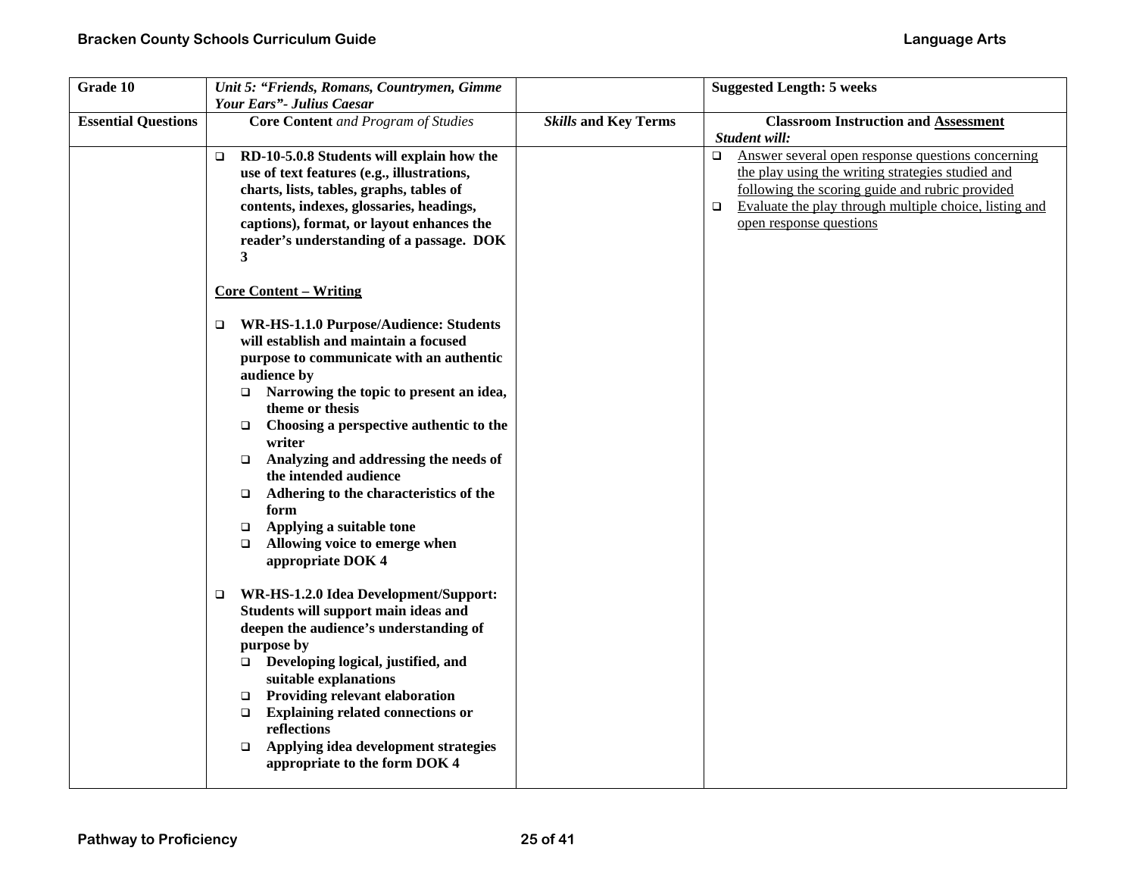| Grade 10                   | Unit 5: "Friends, Romans, Countrymen, Gimme<br>Your Ears"- Julius Caesar                                                                                                                                                                                                                                                                                                                                                                                                              |                             | <b>Suggested Length: 5 weeks</b>                                                                                                                                                                                                                                   |
|----------------------------|---------------------------------------------------------------------------------------------------------------------------------------------------------------------------------------------------------------------------------------------------------------------------------------------------------------------------------------------------------------------------------------------------------------------------------------------------------------------------------------|-----------------------------|--------------------------------------------------------------------------------------------------------------------------------------------------------------------------------------------------------------------------------------------------------------------|
| <b>Essential Questions</b> | <b>Core Content</b> and Program of Studies                                                                                                                                                                                                                                                                                                                                                                                                                                            | <b>Skills and Key Terms</b> | <b>Classroom Instruction and Assessment</b><br>Student will:                                                                                                                                                                                                       |
|                            | RD-10-5.0.8 Students will explain how the<br>$\Box$<br>use of text features (e.g., illustrations,<br>charts, lists, tables, graphs, tables of<br>contents, indexes, glossaries, headings,<br>captions), format, or layout enhances the<br>reader's understanding of a passage. DOK<br>3                                                                                                                                                                                               |                             | Answer several open response questions concerning<br>$\Box$<br>the play using the writing strategies studied and<br>following the scoring guide and rubric provided<br>Evaluate the play through multiple choice, listing and<br>$\Box$<br>open response questions |
|                            | <b>Core Content - Writing</b><br><b>WR-HS-1.1.0 Purpose/Audience: Students</b><br>$\Box$                                                                                                                                                                                                                                                                                                                                                                                              |                             |                                                                                                                                                                                                                                                                    |
|                            | will establish and maintain a focused<br>purpose to communicate with an authentic<br>audience by<br>Narrowing the topic to present an idea,<br>$\Box$<br>theme or thesis<br>Choosing a perspective authentic to the<br>$\Box$<br>writer<br>Analyzing and addressing the needs of<br>$\Box$<br>the intended audience<br>Adhering to the characteristics of the<br>$\Box$<br>form<br>Applying a suitable tone<br>$\Box$<br>Allowing voice to emerge when<br>$\Box$<br>appropriate DOK 4 |                             |                                                                                                                                                                                                                                                                    |
|                            | WR-HS-1.2.0 Idea Development/Support:<br>$\Box$<br>Students will support main ideas and<br>deepen the audience's understanding of<br>purpose by<br>$\Box$ Developing logical, justified, and<br>suitable explanations<br><b>Providing relevant elaboration</b><br>$\Box$<br><b>Explaining related connections or</b><br>$\Box$<br>reflections<br>Applying idea development strategies<br>$\Box$<br>appropriate to the form DOK 4                                                      |                             |                                                                                                                                                                                                                                                                    |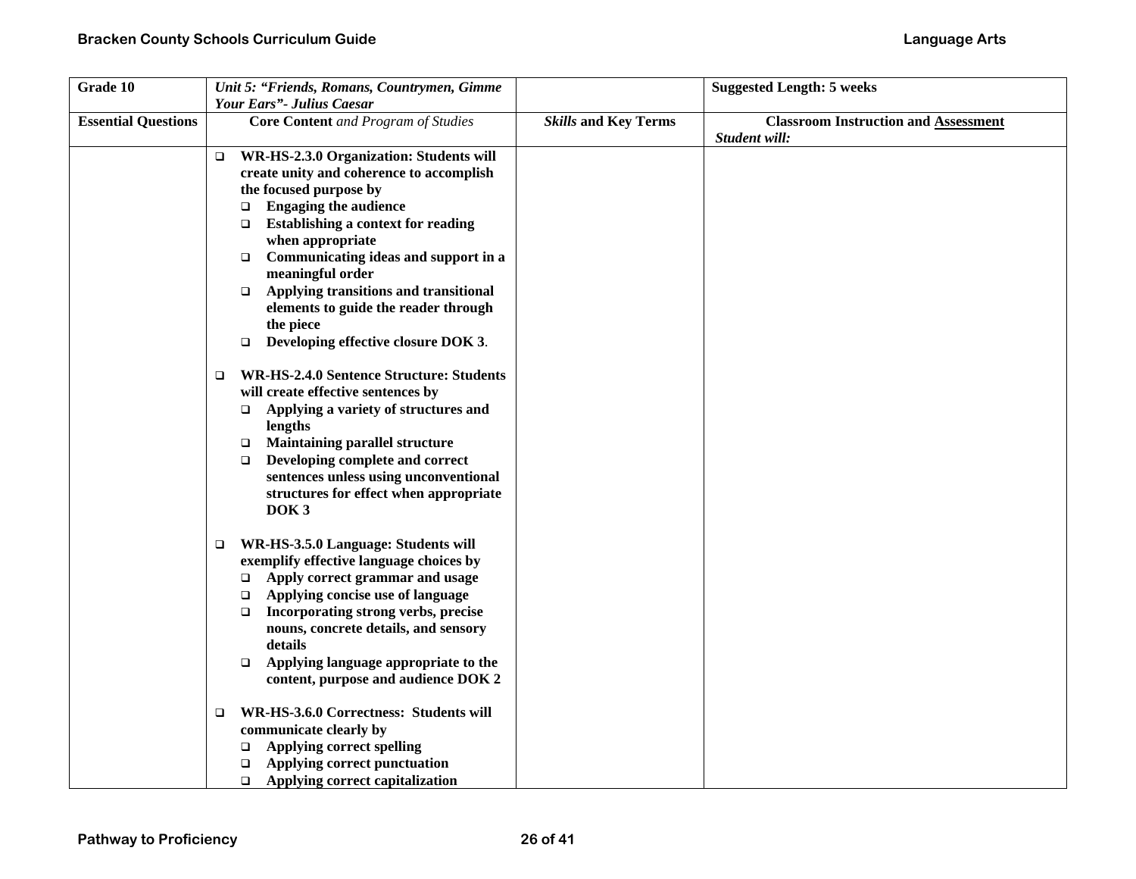| Grade 10                   |        | Unit 5: "Friends, Romans, Countrymen, Gimme                             |                             | <b>Suggested Length: 5 weeks</b>            |
|----------------------------|--------|-------------------------------------------------------------------------|-----------------------------|---------------------------------------------|
| <b>Essential Questions</b> |        | Your Ears"- Julius Caesar<br><b>Core Content</b> and Program of Studies | <b>Skills and Key Terms</b> | <b>Classroom Instruction and Assessment</b> |
|                            |        |                                                                         |                             | Student will:                               |
|                            | $\Box$ | WR-HS-2.3.0 Organization: Students will                                 |                             |                                             |
|                            |        | create unity and coherence to accomplish                                |                             |                                             |
|                            |        | the focused purpose by                                                  |                             |                                             |
|                            |        | <b>Engaging the audience</b><br>$\Box$                                  |                             |                                             |
|                            |        | <b>Establishing a context for reading</b><br>$\Box$                     |                             |                                             |
|                            |        | when appropriate                                                        |                             |                                             |
|                            |        | Communicating ideas and support in a<br>$\Box$                          |                             |                                             |
|                            |        | meaningful order                                                        |                             |                                             |
|                            |        | Applying transitions and transitional<br>$\Box$                         |                             |                                             |
|                            |        | elements to guide the reader through                                    |                             |                                             |
|                            |        | the piece                                                               |                             |                                             |
|                            |        | Developing effective closure DOK 3.<br>$\Box$                           |                             |                                             |
|                            | □      | <b>WR-HS-2.4.0 Sentence Structure: Students</b>                         |                             |                                             |
|                            |        | will create effective sentences by                                      |                             |                                             |
|                            |        | Applying a variety of structures and<br>$\Box$                          |                             |                                             |
|                            |        | lengths                                                                 |                             |                                             |
|                            |        | <b>Maintaining parallel structure</b><br>$\Box$                         |                             |                                             |
|                            |        | Developing complete and correct<br>$\Box$                               |                             |                                             |
|                            |        | sentences unless using unconventional                                   |                             |                                             |
|                            |        | structures for effect when appropriate<br>DOK <sub>3</sub>              |                             |                                             |
|                            |        |                                                                         |                             |                                             |
|                            | $\Box$ | WR-HS-3.5.0 Language: Students will                                     |                             |                                             |
|                            |        | exemplify effective language choices by                                 |                             |                                             |
|                            |        | Apply correct grammar and usage<br>$\Box$                               |                             |                                             |
|                            |        | Applying concise use of language<br>$\Box$                              |                             |                                             |
|                            |        | Incorporating strong verbs, precise<br>$\Box$                           |                             |                                             |
|                            |        | nouns, concrete details, and sensory                                    |                             |                                             |
|                            |        | details                                                                 |                             |                                             |
|                            |        | Applying language appropriate to the<br>$\Box$                          |                             |                                             |
|                            |        | content, purpose and audience DOK 2                                     |                             |                                             |
|                            | $\Box$ | WR-HS-3.6.0 Correctness: Students will                                  |                             |                                             |
|                            |        | communicate clearly by                                                  |                             |                                             |
|                            |        | <b>Applying correct spelling</b><br>$\Box$                              |                             |                                             |
|                            |        | Applying correct punctuation<br>$\Box$                                  |                             |                                             |
|                            |        | Applying correct capitalization<br>$\Box$                               |                             |                                             |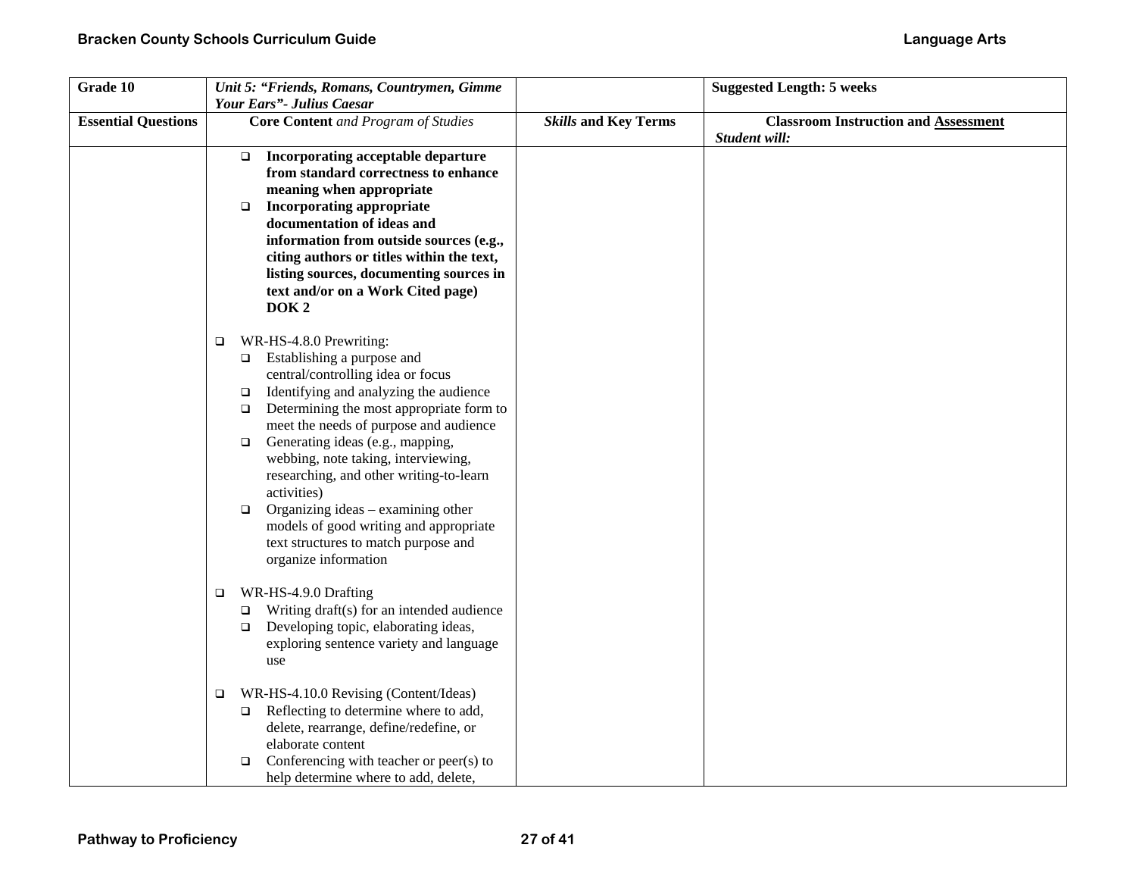| Grade 10                   | Unit 5: "Friends, Romans, Countrymen, Gimme                                                                                                                                                                                                                                                                                                                                                                                                                                                                                                                              |                             | <b>Suggested Length: 5 weeks</b>                             |
|----------------------------|--------------------------------------------------------------------------------------------------------------------------------------------------------------------------------------------------------------------------------------------------------------------------------------------------------------------------------------------------------------------------------------------------------------------------------------------------------------------------------------------------------------------------------------------------------------------------|-----------------------------|--------------------------------------------------------------|
| <b>Essential Questions</b> | Your Ears"- Julius Caesar<br><b>Core Content</b> and Program of Studies                                                                                                                                                                                                                                                                                                                                                                                                                                                                                                  | <b>Skills and Key Terms</b> | <b>Classroom Instruction and Assessment</b><br>Student will: |
|                            | Incorporating acceptable departure<br>□<br>from standard correctness to enhance<br>meaning when appropriate<br><b>Incorporating appropriate</b><br>$\Box$<br>documentation of ideas and<br>information from outside sources (e.g.,<br>citing authors or titles within the text,<br>listing sources, documenting sources in<br>text and/or on a Work Cited page)<br>DOK <sub>2</sub>                                                                                                                                                                                      |                             |                                                              |
|                            | WR-HS-4.8.0 Prewriting:<br>$\Box$<br>$\Box$ Establishing a purpose and<br>central/controlling idea or focus<br>Identifying and analyzing the audience<br>$\Box$<br>Determining the most appropriate form to<br>$\Box$<br>meet the needs of purpose and audience<br>Generating ideas (e.g., mapping,<br>$\Box$<br>webbing, note taking, interviewing,<br>researching, and other writing-to-learn<br>activities)<br>Organizing ideas – examining other<br>$\Box$<br>models of good writing and appropriate<br>text structures to match purpose and<br>organize information |                             |                                                              |
|                            | WR-HS-4.9.0 Drafting<br>$\Box$<br>Writing draft(s) for an intended audience<br>□<br>$\Box$ Developing topic, elaborating ideas,<br>exploring sentence variety and language<br>use                                                                                                                                                                                                                                                                                                                                                                                        |                             |                                                              |
|                            | WR-HS-4.10.0 Revising (Content/Ideas)<br>$\Box$<br>$\Box$ Reflecting to determine where to add,<br>delete, rearrange, define/redefine, or<br>elaborate content<br>Conferencing with teacher or peer(s) to<br>$\Box$<br>help determine where to add, delete,                                                                                                                                                                                                                                                                                                              |                             |                                                              |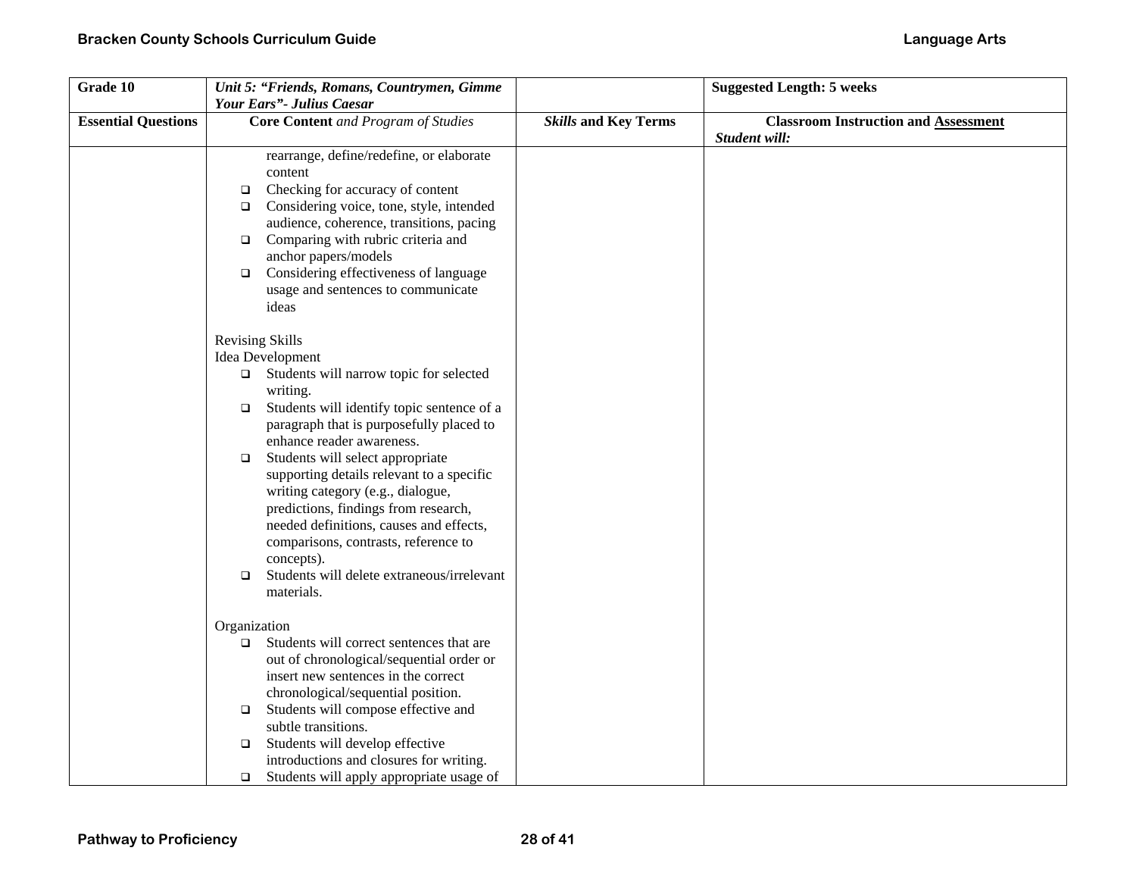| Grade 10                   | Unit 5: "Friends, Romans, Countrymen, Gimme          |                             | <b>Suggested Length: 5 weeks</b>            |
|----------------------------|------------------------------------------------------|-----------------------------|---------------------------------------------|
|                            | Your Ears"- Julius Caesar                            |                             |                                             |
| <b>Essential Questions</b> | <b>Core Content</b> and Program of Studies           | <b>Skills and Key Terms</b> | <b>Classroom Instruction and Assessment</b> |
|                            |                                                      |                             | Student will:                               |
|                            | rearrange, define/redefine, or elaborate             |                             |                                             |
|                            | content                                              |                             |                                             |
|                            | Checking for accuracy of content<br>$\Box$           |                             |                                             |
|                            | Considering voice, tone, style, intended<br>$\Box$   |                             |                                             |
|                            | audience, coherence, transitions, pacing             |                             |                                             |
|                            | Comparing with rubric criteria and<br>$\Box$         |                             |                                             |
|                            | anchor papers/models                                 |                             |                                             |
|                            | Considering effectiveness of language<br>$\Box$      |                             |                                             |
|                            | usage and sentences to communicate                   |                             |                                             |
|                            | ideas                                                |                             |                                             |
|                            | <b>Revising Skills</b>                               |                             |                                             |
|                            | Idea Development                                     |                             |                                             |
|                            | $\Box$ Students will narrow topic for selected       |                             |                                             |
|                            | writing.                                             |                             |                                             |
|                            | Students will identify topic sentence of a<br>$\Box$ |                             |                                             |
|                            | paragraph that is purposefully placed to             |                             |                                             |
|                            | enhance reader awareness.                            |                             |                                             |
|                            | Students will select appropriate<br>$\Box$           |                             |                                             |
|                            | supporting details relevant to a specific            |                             |                                             |
|                            | writing category (e.g., dialogue,                    |                             |                                             |
|                            | predictions, findings from research,                 |                             |                                             |
|                            | needed definitions, causes and effects,              |                             |                                             |
|                            | comparisons, contrasts, reference to                 |                             |                                             |
|                            | concepts).                                           |                             |                                             |
|                            | Students will delete extraneous/irrelevant<br>$\Box$ |                             |                                             |
|                            | materials.                                           |                             |                                             |
|                            | Organization                                         |                             |                                             |
|                            | Students will correct sentences that are<br>$\Box$   |                             |                                             |
|                            | out of chronological/sequential order or             |                             |                                             |
|                            | insert new sentences in the correct                  |                             |                                             |
|                            | chronological/sequential position.                   |                             |                                             |
|                            | Students will compose effective and<br>$\Box$        |                             |                                             |
|                            | subtle transitions.                                  |                             |                                             |
|                            | Students will develop effective<br>$\Box$            |                             |                                             |
|                            | introductions and closures for writing.              |                             |                                             |
|                            | Students will apply appropriate usage of<br>$\Box$   |                             |                                             |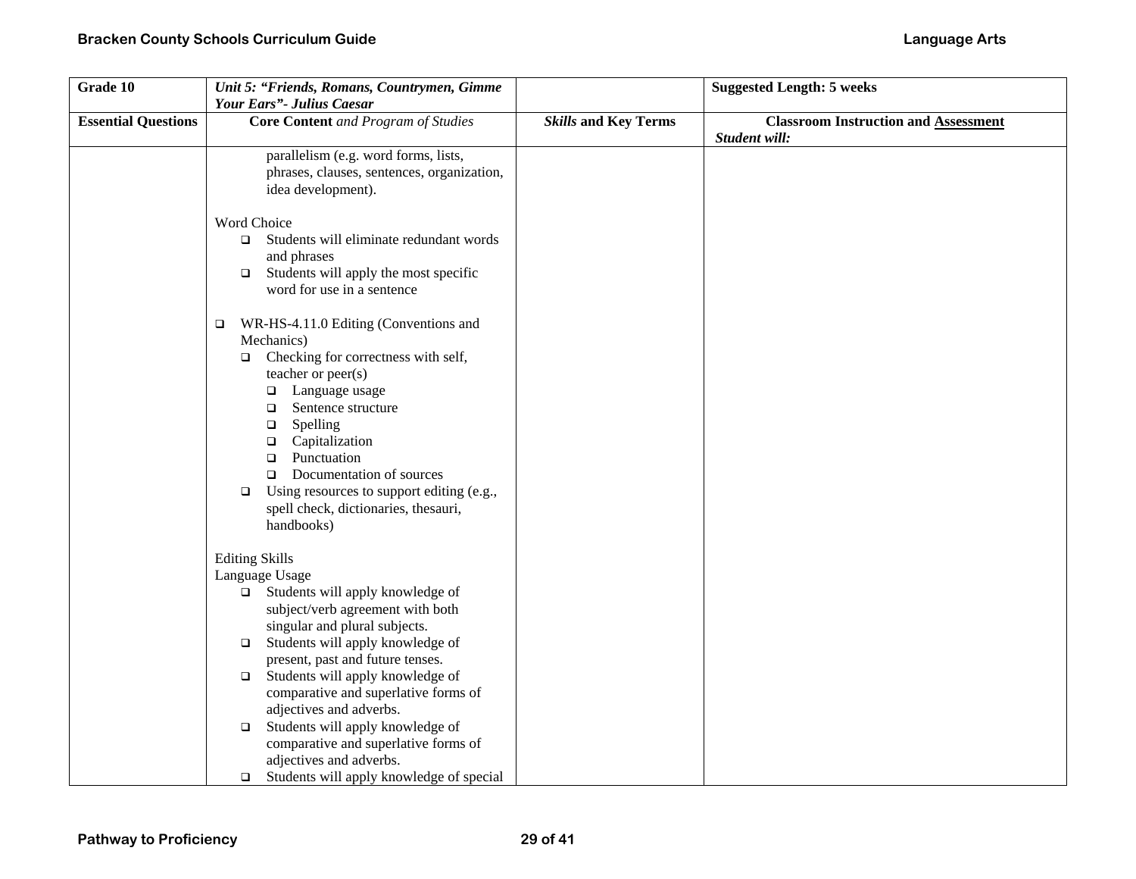| Grade 10                   | Unit 5: "Friends, Romans, Countrymen, Gimme         |                             | <b>Suggested Length: 5 weeks</b>            |
|----------------------------|-----------------------------------------------------|-----------------------------|---------------------------------------------|
|                            | Your Ears"- Julius Caesar                           |                             |                                             |
| <b>Essential Questions</b> | <b>Core Content</b> and Program of Studies          | <b>Skills and Key Terms</b> | <b>Classroom Instruction and Assessment</b> |
|                            |                                                     |                             | Student will:                               |
|                            | parallelism (e.g. word forms, lists,                |                             |                                             |
|                            | phrases, clauses, sentences, organization,          |                             |                                             |
|                            | idea development).                                  |                             |                                             |
|                            |                                                     |                             |                                             |
|                            | Word Choice                                         |                             |                                             |
|                            | Students will eliminate redundant words<br>$\Box$   |                             |                                             |
|                            | and phrases                                         |                             |                                             |
|                            | Students will apply the most specific<br>$\Box$     |                             |                                             |
|                            | word for use in a sentence                          |                             |                                             |
|                            |                                                     |                             |                                             |
|                            | WR-HS-4.11.0 Editing (Conventions and<br>$\Box$     |                             |                                             |
|                            | Mechanics)                                          |                             |                                             |
|                            | Checking for correctness with self,<br>$\Box$       |                             |                                             |
|                            | teacher or peer(s)                                  |                             |                                             |
|                            | Language usage<br>$\Box$                            |                             |                                             |
|                            | Sentence structure<br>$\Box$                        |                             |                                             |
|                            | Spelling<br>$\Box$                                  |                             |                                             |
|                            | Capitalization<br>о                                 |                             |                                             |
|                            | Punctuation<br>$\Box$                               |                             |                                             |
|                            | Documentation of sources<br>$\Box$                  |                             |                                             |
|                            | Using resources to support editing (e.g.,<br>$\Box$ |                             |                                             |
|                            | spell check, dictionaries, thesauri,                |                             |                                             |
|                            | handbooks)                                          |                             |                                             |
|                            | <b>Editing Skills</b>                               |                             |                                             |
|                            | Language Usage                                      |                             |                                             |
|                            | $\Box$ Students will apply knowledge of             |                             |                                             |
|                            | subject/verb agreement with both                    |                             |                                             |
|                            | singular and plural subjects.                       |                             |                                             |
|                            | Students will apply knowledge of<br>$\Box$          |                             |                                             |
|                            | present, past and future tenses.                    |                             |                                             |
|                            | Students will apply knowledge of<br>$\Box$          |                             |                                             |
|                            | comparative and superlative forms of                |                             |                                             |
|                            | adjectives and adverbs.                             |                             |                                             |
|                            | Students will apply knowledge of<br>$\Box$          |                             |                                             |
|                            | comparative and superlative forms of                |                             |                                             |
|                            | adjectives and adverbs.                             |                             |                                             |
|                            | Students will apply knowledge of special<br>$\Box$  |                             |                                             |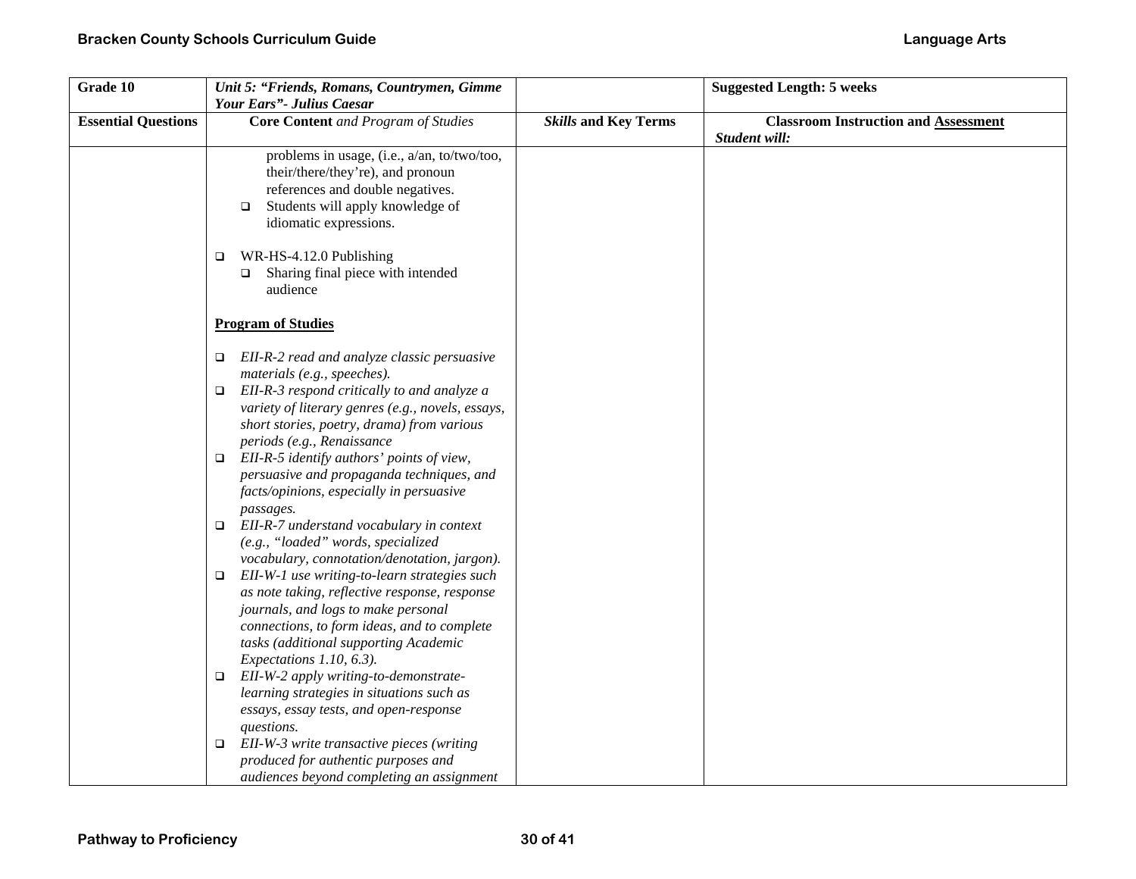| Grade 10                   | Unit 5: "Friends, Romans, Countrymen, Gimme<br>Your Ears"- Julius Caesar                                                                                                                                                                                           |                             | <b>Suggested Length: 5 weeks</b>                             |
|----------------------------|--------------------------------------------------------------------------------------------------------------------------------------------------------------------------------------------------------------------------------------------------------------------|-----------------------------|--------------------------------------------------------------|
| <b>Essential Questions</b> | <b>Core Content</b> and Program of Studies                                                                                                                                                                                                                         | <b>Skills and Key Terms</b> | <b>Classroom Instruction and Assessment</b><br>Student will: |
|                            | problems in usage, (i.e., a/an, to/two/too,<br>their/there/they're), and pronoun<br>references and double negatives.<br>Students will apply knowledge of<br>$\Box$<br>idiomatic expressions.                                                                       |                             |                                                              |
|                            | WR-HS-4.12.0 Publishing<br>$\Box$<br>Sharing final piece with intended<br>$\Box$<br>audience                                                                                                                                                                       |                             |                                                              |
|                            | <b>Program of Studies</b>                                                                                                                                                                                                                                          |                             |                                                              |
|                            | EII-R-2 read and analyze classic persuasive<br>$\Box$<br>materials (e.g., speeches).                                                                                                                                                                               |                             |                                                              |
|                            | EII-R-3 respond critically to and analyze a<br>$\Box$<br>variety of literary genres (e.g., novels, essays,<br>short stories, poetry, drama) from various<br>periods (e.g., Renaissance                                                                             |                             |                                                              |
|                            | EII-R-5 identify authors' points of view,<br>$\Box$<br>persuasive and propaganda techniques, and<br>facts/opinions, especially in persuasive                                                                                                                       |                             |                                                              |
|                            | passages.<br>EII-R-7 understand vocabulary in context<br>$\Box$<br>(e.g., "loaded" words, specialized<br>vocabulary, connotation/denotation, jargon).                                                                                                              |                             |                                                              |
|                            | EII-W-1 use writing-to-learn strategies such<br>$\Box$<br>as note taking, reflective response, response<br>journals, and logs to make personal<br>connections, to form ideas, and to complete<br>tasks (additional supporting Academic<br>Expectations 1.10, 6.3). |                             |                                                              |
|                            | EII-W-2 apply writing-to-demonstrate-<br>$\Box$<br>learning strategies in situations such as<br>essays, essay tests, and open-response                                                                                                                             |                             |                                                              |
|                            | questions.<br>EII-W-3 write transactive pieces (writing<br>▫<br>produced for authentic purposes and<br>audiences beyond completing an assignment                                                                                                                   |                             |                                                              |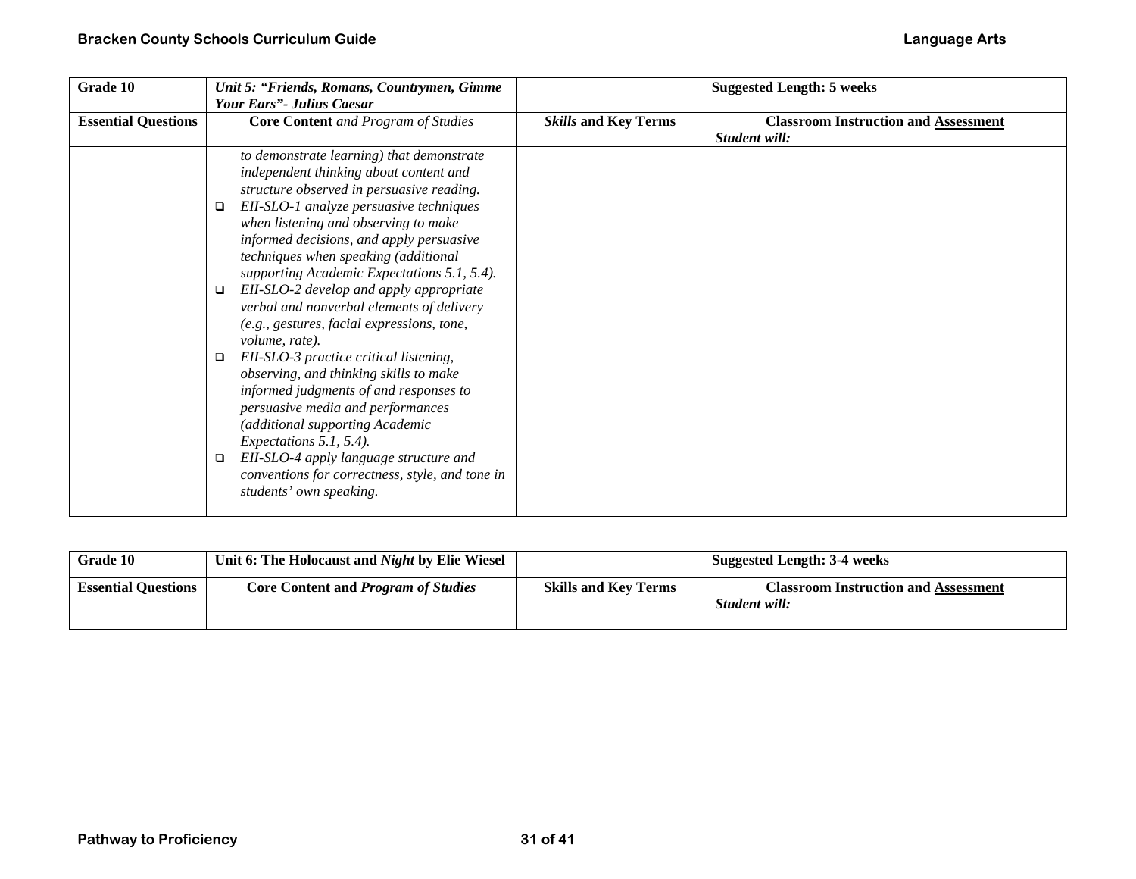| Grade 10                   | Unit 5: "Friends, Romans, Countrymen, Gimme                                 |                             | <b>Suggested Length: 5 weeks</b>            |
|----------------------------|-----------------------------------------------------------------------------|-----------------------------|---------------------------------------------|
|                            | <b>Your Ears"</b> Julius Caesar                                             |                             |                                             |
| <b>Essential Questions</b> | <b>Core Content</b> and Program of Studies                                  | <b>Skills and Key Terms</b> | <b>Classroom Instruction and Assessment</b> |
|                            |                                                                             |                             | Student will:                               |
|                            | to demonstrate learning) that demonstrate                                   |                             |                                             |
|                            | independent thinking about content and                                      |                             |                                             |
|                            | structure observed in persuasive reading.                                   |                             |                                             |
|                            | EII-SLO-1 analyze persuasive techniques<br>$\Box$                           |                             |                                             |
|                            | when listening and observing to make                                        |                             |                                             |
|                            | informed decisions, and apply persuasive                                    |                             |                                             |
|                            | techniques when speaking (additional                                        |                             |                                             |
|                            | supporting Academic Expectations 5.1, 5.4).                                 |                             |                                             |
|                            | EII-SLO-2 develop and apply appropriate<br>□                                |                             |                                             |
|                            | verbal and nonverbal elements of delivery                                   |                             |                                             |
|                            | (e.g., gestures, facial expressions, tone,                                  |                             |                                             |
|                            | volume, rate).                                                              |                             |                                             |
|                            | EII-SLO-3 practice critical listening,<br>□                                 |                             |                                             |
|                            | observing, and thinking skills to make                                      |                             |                                             |
|                            | informed judgments of and responses to<br>persuasive media and performances |                             |                                             |
|                            | (additional supporting Academic                                             |                             |                                             |
|                            | Expectations 5.1, 5.4).                                                     |                             |                                             |
|                            | EII-SLO-4 apply language structure and<br>$\Box$                            |                             |                                             |
|                            | conventions for correctness, style, and tone in                             |                             |                                             |
|                            | students' own speaking.                                                     |                             |                                             |
|                            |                                                                             |                             |                                             |

| <b>Grade 10</b>            | Unit 6: The Holocaust and Night by Elie Wiesel |                             | <b>Suggested Length: 3-4 weeks</b>                           |
|----------------------------|------------------------------------------------|-----------------------------|--------------------------------------------------------------|
| <b>Essential Ouestions</b> | <b>Core Content and Program of Studies</b>     | <b>Skills and Key Terms</b> | <b>Classroom Instruction and Assessment</b><br>Student will: |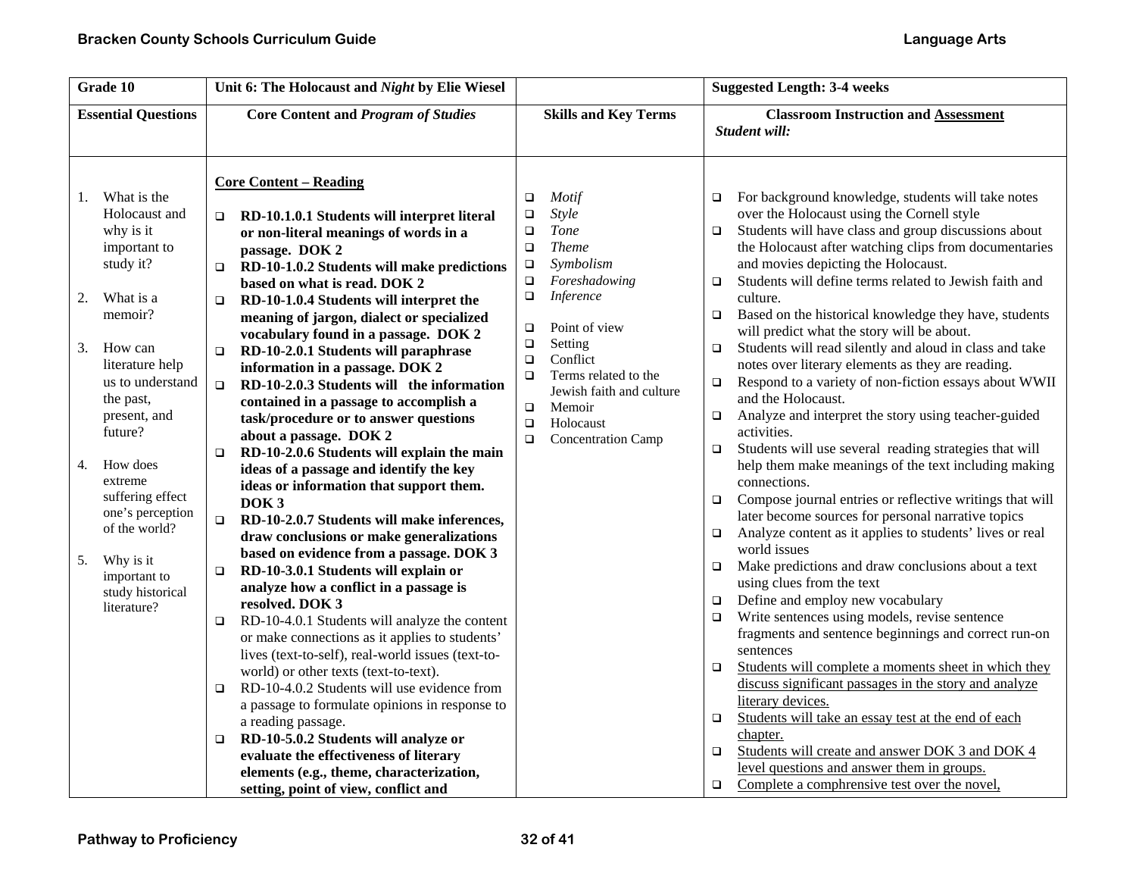| Grade 10                                                                                                                                                                                                                                                                                                                                                               | Unit 6: The Holocaust and Night by Elie Wiesel                                                                                                                                                                                                                                                                                                                                                                                                                                                                                                                                                                                                                                                                                                                                                                                                                                                                                                                                                                                                                                                                                                                                                                                                                                                                                                                                                                                                                                                                                                                                                       |                                                                                                                                                                                                                                                                                                                                                                                   | <b>Suggested Length: 3-4 weeks</b>                                                                                                                                                                                                                                                                                                                                                                                                                                                                                                                                                                                                                                                                                                                                                                                                                                                                                                                                                                                                                                                                                                                                                                                                                                                                                                                                                                                                                                                                                                                                                                                                                                                                                                                                                                            |
|------------------------------------------------------------------------------------------------------------------------------------------------------------------------------------------------------------------------------------------------------------------------------------------------------------------------------------------------------------------------|------------------------------------------------------------------------------------------------------------------------------------------------------------------------------------------------------------------------------------------------------------------------------------------------------------------------------------------------------------------------------------------------------------------------------------------------------------------------------------------------------------------------------------------------------------------------------------------------------------------------------------------------------------------------------------------------------------------------------------------------------------------------------------------------------------------------------------------------------------------------------------------------------------------------------------------------------------------------------------------------------------------------------------------------------------------------------------------------------------------------------------------------------------------------------------------------------------------------------------------------------------------------------------------------------------------------------------------------------------------------------------------------------------------------------------------------------------------------------------------------------------------------------------------------------------------------------------------------------|-----------------------------------------------------------------------------------------------------------------------------------------------------------------------------------------------------------------------------------------------------------------------------------------------------------------------------------------------------------------------------------|---------------------------------------------------------------------------------------------------------------------------------------------------------------------------------------------------------------------------------------------------------------------------------------------------------------------------------------------------------------------------------------------------------------------------------------------------------------------------------------------------------------------------------------------------------------------------------------------------------------------------------------------------------------------------------------------------------------------------------------------------------------------------------------------------------------------------------------------------------------------------------------------------------------------------------------------------------------------------------------------------------------------------------------------------------------------------------------------------------------------------------------------------------------------------------------------------------------------------------------------------------------------------------------------------------------------------------------------------------------------------------------------------------------------------------------------------------------------------------------------------------------------------------------------------------------------------------------------------------------------------------------------------------------------------------------------------------------------------------------------------------------------------------------------------------------|
| <b>Essential Questions</b>                                                                                                                                                                                                                                                                                                                                             | <b>Core Content and Program of Studies</b>                                                                                                                                                                                                                                                                                                                                                                                                                                                                                                                                                                                                                                                                                                                                                                                                                                                                                                                                                                                                                                                                                                                                                                                                                                                                                                                                                                                                                                                                                                                                                           | <b>Skills and Key Terms</b>                                                                                                                                                                                                                                                                                                                                                       | <b>Classroom Instruction and Assessment</b><br>Student will:                                                                                                                                                                                                                                                                                                                                                                                                                                                                                                                                                                                                                                                                                                                                                                                                                                                                                                                                                                                                                                                                                                                                                                                                                                                                                                                                                                                                                                                                                                                                                                                                                                                                                                                                                  |
| What is the<br>1.<br>Holocaust and<br>why is it<br>important to<br>study it?<br>2.<br>What is a<br>memoir?<br>3.<br>How can<br>literature help<br>us to understand<br>the past,<br>present, and<br>future?<br>How does<br>4.<br>extreme<br>suffering effect<br>one's perception<br>of the world?<br>5.<br>Why is it<br>important to<br>study historical<br>literature? | <b>Core Content – Reading</b><br>RD-10.1.0.1 Students will interpret literal<br>$\Box$<br>or non-literal meanings of words in a<br>passage. DOK 2<br>RD-10-1.0.2 Students will make predictions<br>$\Box$<br>based on what is read. DOK 2<br>RD-10-1.0.4 Students will interpret the<br>$\Box$<br>meaning of jargon, dialect or specialized<br>vocabulary found in a passage. DOK 2<br>RD-10-2.0.1 Students will paraphrase<br>$\Box$<br>information in a passage. DOK 2<br>RD-10-2.0.3 Students will the information<br>$\Box$<br>contained in a passage to accomplish a<br>task/procedure or to answer questions<br>about a passage. DOK 2<br>RD-10-2.0.6 Students will explain the main<br>$\Box$<br>ideas of a passage and identify the key<br>ideas or information that support them.<br>DOK <sub>3</sub><br>RD-10-2.0.7 Students will make inferences,<br>$\Box$<br>draw conclusions or make generalizations<br>based on evidence from a passage. DOK 3<br>RD-10-3.0.1 Students will explain or<br>O.<br>analyze how a conflict in a passage is<br>resolved. DOK 3<br>RD-10-4.0.1 Students will analyze the content<br>$\Box$<br>or make connections as it applies to students'<br>lives (text-to-self), real-world issues (text-to-<br>world) or other texts (text-to-text).<br>RD-10-4.0.2 Students will use evidence from<br>$\Box$<br>a passage to formulate opinions in response to<br>a reading passage.<br>RD-10-5.0.2 Students will analyze or<br>$\Box$<br>evaluate the effectiveness of literary<br>elements (e.g., theme, characterization,<br>setting, point of view, conflict and | <b>Motif</b><br>$\Box$<br>Style<br>□<br><b>Tone</b><br>$\Box$<br><b>Theme</b><br>$\Box$<br>Symbolism<br>$\Box$<br>Foreshadowing<br>$\Box$<br>Inference<br>□<br>Point of view<br>$\Box$<br>Setting<br>$\Box$<br>Conflict<br>$\Box$<br>Terms related to the<br>$\Box$<br>Jewish faith and culture<br>$\Box$<br>Memoir<br>$\Box$<br>Holocaust<br>$\Box$<br><b>Concentration Camp</b> | For background knowledge, students will take notes<br>□<br>over the Holocaust using the Cornell style<br>Students will have class and group discussions about<br>$\Box$<br>the Holocaust after watching clips from documentaries<br>and movies depicting the Holocaust.<br>Students will define terms related to Jewish faith and<br>$\Box$<br>culture.<br>Based on the historical knowledge they have, students<br>$\Box$<br>will predict what the story will be about.<br>Students will read silently and aloud in class and take<br>$\Box$<br>notes over literary elements as they are reading.<br>Respond to a variety of non-fiction essays about WWII<br>o<br>and the Holocaust.<br>Analyze and interpret the story using teacher-guided<br>□<br>activities.<br>Students will use several reading strategies that will<br>$\Box$<br>help them make meanings of the text including making<br>connections.<br>Compose journal entries or reflective writings that will<br>$\Box$<br>later become sources for personal narrative topics<br>Analyze content as it applies to students' lives or real<br>$\Box$<br>world issues<br>Make predictions and draw conclusions about a text<br>$\Box$<br>using clues from the text<br>Define and employ new vocabulary<br>$\Box$<br>Write sentences using models, revise sentence<br>$\Box$<br>fragments and sentence beginnings and correct run-on<br>sentences<br>Students will complete a moments sheet in which they<br>$\Box$<br>discuss significant passages in the story and analyze<br>literary devices.<br>Students will take an essay test at the end of each<br>$\Box$<br>chapter.<br>Students will create and answer DOK 3 and DOK 4<br>$\Box$<br>level questions and answer them in groups.<br>Complete a comphrensive test over the novel,<br>$\Box$ |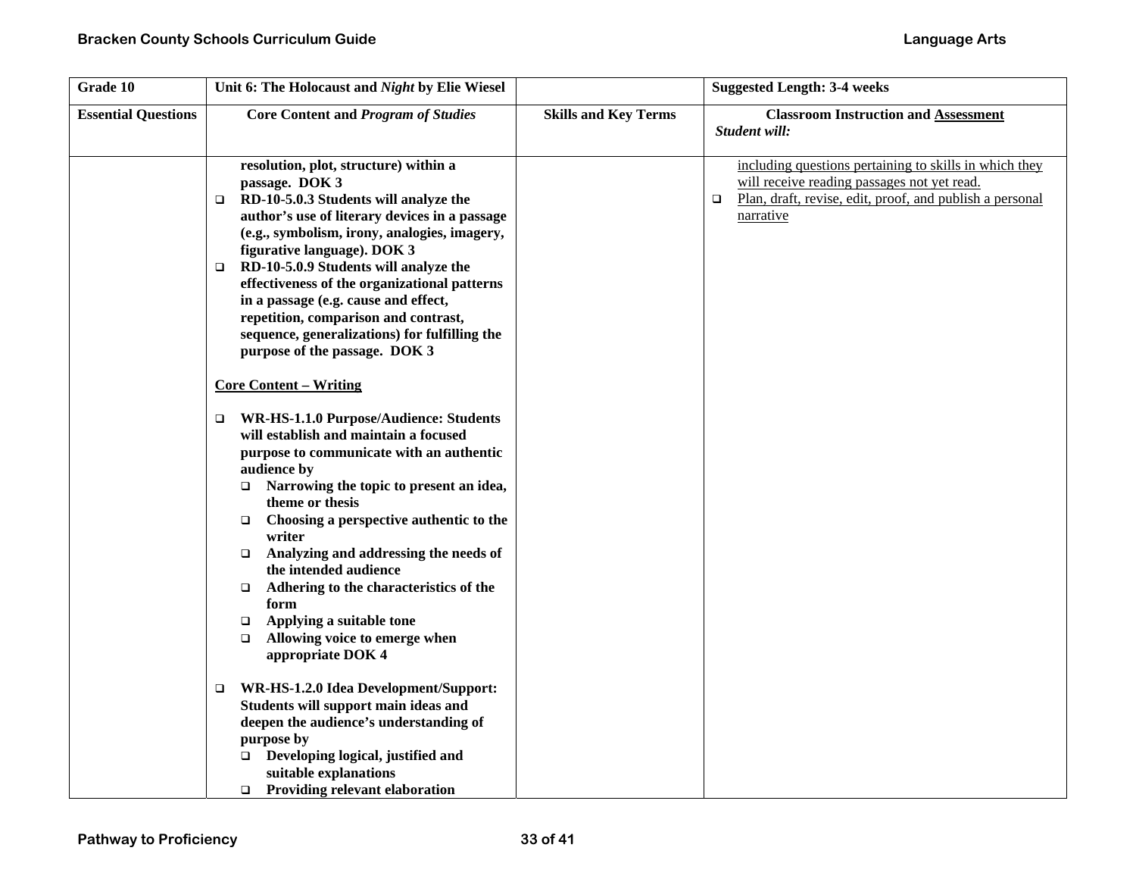| Grade 10                   | Unit 6: The Holocaust and Night by Elie Wiesel                                                                                                                                                                                                                                                                                                                                                                                                                                                                                                                                                                           |                             | <b>Suggested Length: 3-4 weeks</b>                                                                                                                                                       |
|----------------------------|--------------------------------------------------------------------------------------------------------------------------------------------------------------------------------------------------------------------------------------------------------------------------------------------------------------------------------------------------------------------------------------------------------------------------------------------------------------------------------------------------------------------------------------------------------------------------------------------------------------------------|-----------------------------|------------------------------------------------------------------------------------------------------------------------------------------------------------------------------------------|
| <b>Essential Questions</b> | <b>Core Content and Program of Studies</b>                                                                                                                                                                                                                                                                                                                                                                                                                                                                                                                                                                               | <b>Skills and Key Terms</b> | <b>Classroom Instruction and Assessment</b><br>Student will:                                                                                                                             |
|                            | resolution, plot, structure) within a<br>passage. DOK 3<br>RD-10-5.0.3 Students will analyze the<br>$\Box$<br>author's use of literary devices in a passage<br>(e.g., symbolism, irony, analogies, imagery,<br>figurative language). DOK 3<br>RD-10-5.0.9 Students will analyze the<br>▫<br>effectiveness of the organizational patterns<br>in a passage (e.g. cause and effect,<br>repetition, comparison and contrast,<br>sequence, generalizations) for fulfilling the<br>purpose of the passage. DOK 3                                                                                                               |                             | including questions pertaining to skills in which they<br>will receive reading passages not yet read.<br>Plan, draft, revise, edit, proof, and publish a personal<br>$\Box$<br>narrative |
|                            | <b>Core Content – Writing</b><br>WR-HS-1.1.0 Purpose/Audience: Students<br>$\Box$<br>will establish and maintain a focused<br>purpose to communicate with an authentic<br>audience by<br>Narrowing the topic to present an idea,<br>□<br>theme or thesis<br>Choosing a perspective authentic to the<br>$\Box$<br>writer<br>Analyzing and addressing the needs of<br>$\Box$<br>the intended audience<br>Adhering to the characteristics of the<br>$\Box$<br>form<br>Applying a suitable tone<br>$\Box$<br>Allowing voice to emerge when<br>$\Box$<br>appropriate DOK 4<br>WR-HS-1.2.0 Idea Development/Support:<br>$\Box$ |                             |                                                                                                                                                                                          |
|                            | Students will support main ideas and<br>deepen the audience's understanding of<br>purpose by<br>Developing logical, justified and<br>$\Box$<br>suitable explanations<br>$\Box$ Providing relevant elaboration                                                                                                                                                                                                                                                                                                                                                                                                            |                             |                                                                                                                                                                                          |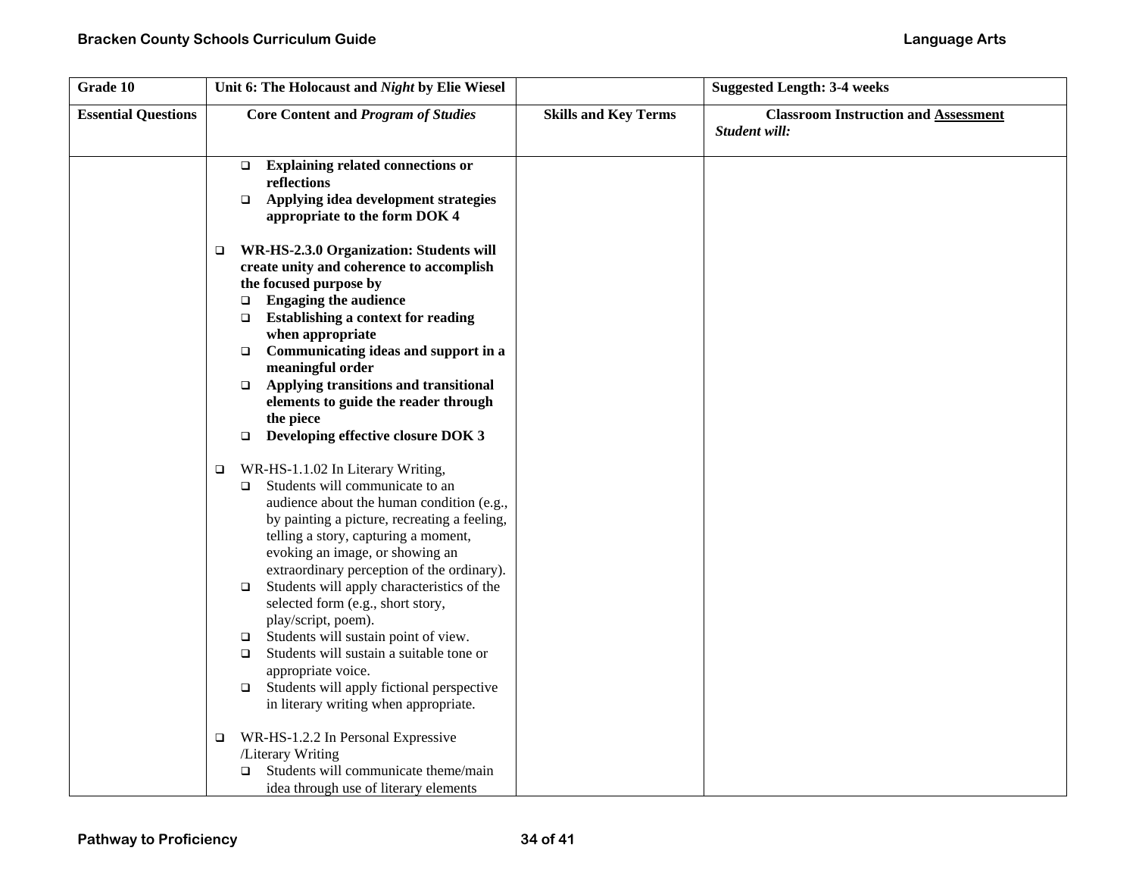| Grade 10                   | Unit 6: The Holocaust and Night by Elie Wiesel                                                                                                                                                                                                                                                                                                                                                                                                                                                                                                                                                                                                                                                                                                                                                                                                                                                                                                                                                                                                                                                                                                 |                             | <b>Suggested Length: 3-4 weeks</b>                           |
|----------------------------|------------------------------------------------------------------------------------------------------------------------------------------------------------------------------------------------------------------------------------------------------------------------------------------------------------------------------------------------------------------------------------------------------------------------------------------------------------------------------------------------------------------------------------------------------------------------------------------------------------------------------------------------------------------------------------------------------------------------------------------------------------------------------------------------------------------------------------------------------------------------------------------------------------------------------------------------------------------------------------------------------------------------------------------------------------------------------------------------------------------------------------------------|-----------------------------|--------------------------------------------------------------|
| <b>Essential Questions</b> | <b>Core Content and Program of Studies</b>                                                                                                                                                                                                                                                                                                                                                                                                                                                                                                                                                                                                                                                                                                                                                                                                                                                                                                                                                                                                                                                                                                     | <b>Skills and Key Terms</b> | <b>Classroom Instruction and Assessment</b><br>Student will: |
|                            | <b>Explaining related connections or</b><br>$\Box$<br>reflections<br>Applying idea development strategies<br>$\Box$<br>appropriate to the form DOK 4                                                                                                                                                                                                                                                                                                                                                                                                                                                                                                                                                                                                                                                                                                                                                                                                                                                                                                                                                                                           |                             |                                                              |
|                            | WR-HS-2.3.0 Organization: Students will<br>$\Box$<br>create unity and coherence to accomplish<br>the focused purpose by<br><b>Engaging the audience</b><br>$\Box$<br><b>Establishing a context for reading</b><br>$\Box$<br>when appropriate<br>Communicating ideas and support in a<br>$\Box$<br>meaningful order<br>Applying transitions and transitional<br>$\Box$<br>elements to guide the reader through<br>the piece<br>Developing effective closure DOK 3<br>$\Box$<br>WR-HS-1.1.02 In Literary Writing,<br>$\Box$<br>Students will communicate to an<br>$\Box$<br>audience about the human condition (e.g.,<br>by painting a picture, recreating a feeling,<br>telling a story, capturing a moment,<br>evoking an image, or showing an<br>extraordinary perception of the ordinary).<br>Students will apply characteristics of the<br>$\Box$<br>selected form (e.g., short story,<br>play/script, poem).<br>Students will sustain point of view.<br>$\Box$<br>Students will sustain a suitable tone or<br>$\Box$<br>appropriate voice.<br>Students will apply fictional perspective<br>$\Box$<br>in literary writing when appropriate. |                             |                                                              |
|                            | WR-HS-1.2.2 In Personal Expressive<br>$\Box$<br>/Literary Writing<br>Students will communicate theme/main<br>□<br>idea through use of literary elements                                                                                                                                                                                                                                                                                                                                                                                                                                                                                                                                                                                                                                                                                                                                                                                                                                                                                                                                                                                        |                             |                                                              |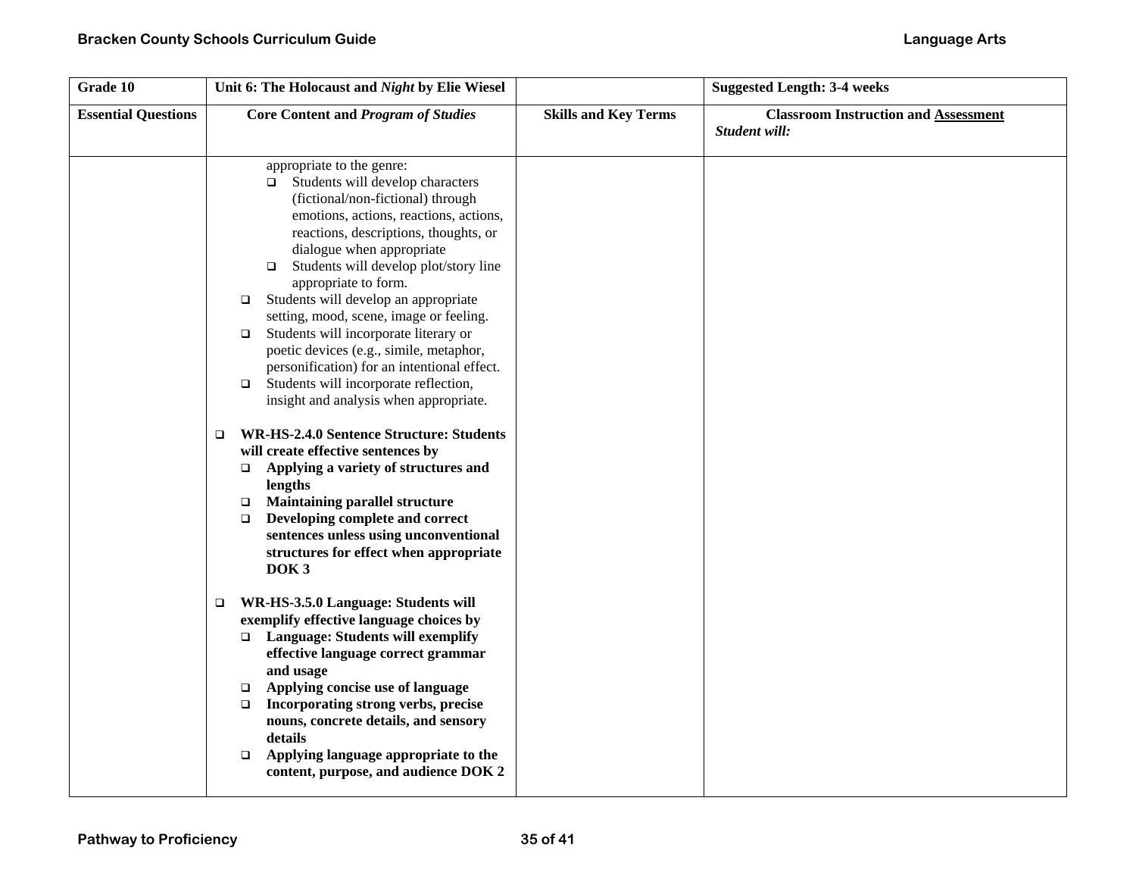| Grade 10                   | Unit 6: The Holocaust and Night by Elie Wiesel                                                                                                                                                                                                                                                                                                                                                                                                                                                                                                                                                                                                                                                                                                                                                                                                                                                                                                                                                                                                                                                                                                                                                                                                                                                                                                                                                                                        |                             | <b>Suggested Length: 3-4 weeks</b>                           |
|----------------------------|---------------------------------------------------------------------------------------------------------------------------------------------------------------------------------------------------------------------------------------------------------------------------------------------------------------------------------------------------------------------------------------------------------------------------------------------------------------------------------------------------------------------------------------------------------------------------------------------------------------------------------------------------------------------------------------------------------------------------------------------------------------------------------------------------------------------------------------------------------------------------------------------------------------------------------------------------------------------------------------------------------------------------------------------------------------------------------------------------------------------------------------------------------------------------------------------------------------------------------------------------------------------------------------------------------------------------------------------------------------------------------------------------------------------------------------|-----------------------------|--------------------------------------------------------------|
| <b>Essential Questions</b> | <b>Core Content and Program of Studies</b>                                                                                                                                                                                                                                                                                                                                                                                                                                                                                                                                                                                                                                                                                                                                                                                                                                                                                                                                                                                                                                                                                                                                                                                                                                                                                                                                                                                            | <b>Skills and Key Terms</b> | <b>Classroom Instruction and Assessment</b><br>Student will: |
|                            | appropriate to the genre:<br>Students will develop characters<br>$\Box$<br>(fictional/non-fictional) through<br>emotions, actions, reactions, actions,<br>reactions, descriptions, thoughts, or<br>dialogue when appropriate<br>Students will develop plot/story line<br>$\Box$<br>appropriate to form.<br>Students will develop an appropriate<br>□<br>setting, mood, scene, image or feeling.<br>Students will incorporate literary or<br>$\Box$<br>poetic devices (e.g., simile, metaphor,<br>personification) for an intentional effect.<br>Students will incorporate reflection,<br>$\Box$<br>insight and analysis when appropriate.<br><b>WR-HS-2.4.0 Sentence Structure: Students</b><br>$\Box$<br>will create effective sentences by<br>$\Box$ Applying a variety of structures and<br>lengths<br><b>Maintaining parallel structure</b><br>$\Box$<br>Developing complete and correct<br>$\Box$<br>sentences unless using unconventional<br>structures for effect when appropriate<br>DOK <sub>3</sub><br>WR-HS-3.5.0 Language: Students will<br>$\Box$<br>exemplify effective language choices by<br>□ Language: Students will exemplify<br>effective language correct grammar<br>and usage<br>Applying concise use of language<br>□<br>Incorporating strong verbs, precise<br>$\Box$<br>nouns, concrete details, and sensory<br>details<br>Applying language appropriate to the<br>□<br>content, purpose, and audience DOK 2 |                             |                                                              |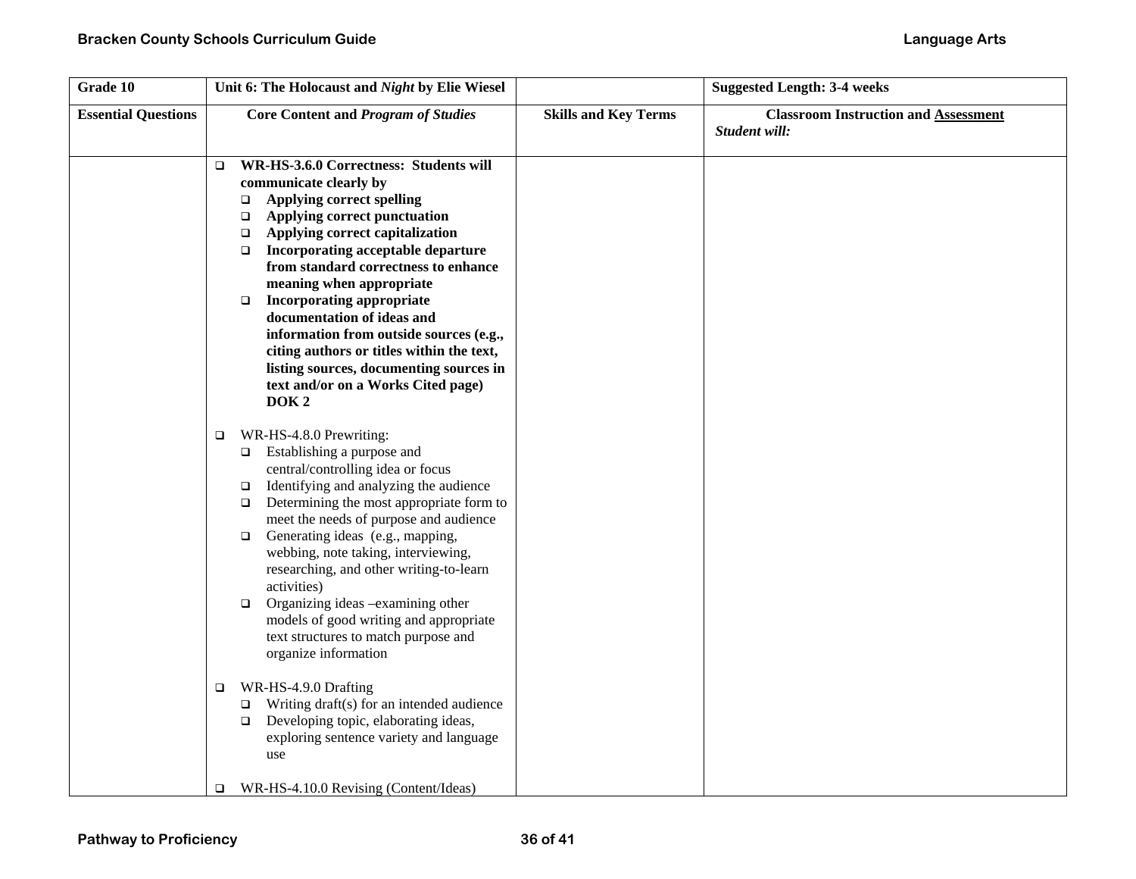| Grade 10                   | Unit 6: The Holocaust and Night by Elie Wiesel                                                                                                                                                                                                                                                                                                                                                                                                                                                                                                                                                                                                                                                                                                                                                                     |                             | <b>Suggested Length: 3-4 weeks</b>                           |
|----------------------------|--------------------------------------------------------------------------------------------------------------------------------------------------------------------------------------------------------------------------------------------------------------------------------------------------------------------------------------------------------------------------------------------------------------------------------------------------------------------------------------------------------------------------------------------------------------------------------------------------------------------------------------------------------------------------------------------------------------------------------------------------------------------------------------------------------------------|-----------------------------|--------------------------------------------------------------|
| <b>Essential Questions</b> | <b>Core Content and Program of Studies</b>                                                                                                                                                                                                                                                                                                                                                                                                                                                                                                                                                                                                                                                                                                                                                                         | <b>Skills and Key Terms</b> | <b>Classroom Instruction and Assessment</b><br>Student will: |
|                            | WR-HS-3.6.0 Correctness: Students will<br>$\Box$<br>communicate clearly by<br><b>Applying correct spelling</b><br>$\Box$<br>Applying correct punctuation<br>$\Box$<br>Applying correct capitalization<br>$\Box$<br>Incorporating acceptable departure<br>$\Box$<br>from standard correctness to enhance<br>meaning when appropriate<br><b>Incorporating appropriate</b><br>$\Box$<br>documentation of ideas and<br>information from outside sources (e.g.,<br>citing authors or titles within the text,<br>listing sources, documenting sources in<br>text and/or on a Works Cited page)<br>DOK <sub>2</sub>                                                                                                                                                                                                       |                             |                                                              |
|                            | WR-HS-4.8.0 Prewriting:<br>$\Box$<br>$\Box$ Establishing a purpose and<br>central/controlling idea or focus<br>Identifying and analyzing the audience<br>$\Box$<br>Determining the most appropriate form to<br>$\Box$<br>meet the needs of purpose and audience<br>Generating ideas (e.g., mapping,<br>$\Box$<br>webbing, note taking, interviewing,<br>researching, and other writing-to-learn<br>activities)<br>Organizing ideas -examining other<br>$\Box$<br>models of good writing and appropriate<br>text structures to match purpose and<br>organize information<br>WR-HS-4.9.0 Drafting<br>$\Box$<br>Writing draft(s) for an intended audience<br>□<br>Developing topic, elaborating ideas,<br>$\Box$<br>exploring sentence variety and language<br>use<br>WR-HS-4.10.0 Revising (Content/Ideas)<br>$\Box$ |                             |                                                              |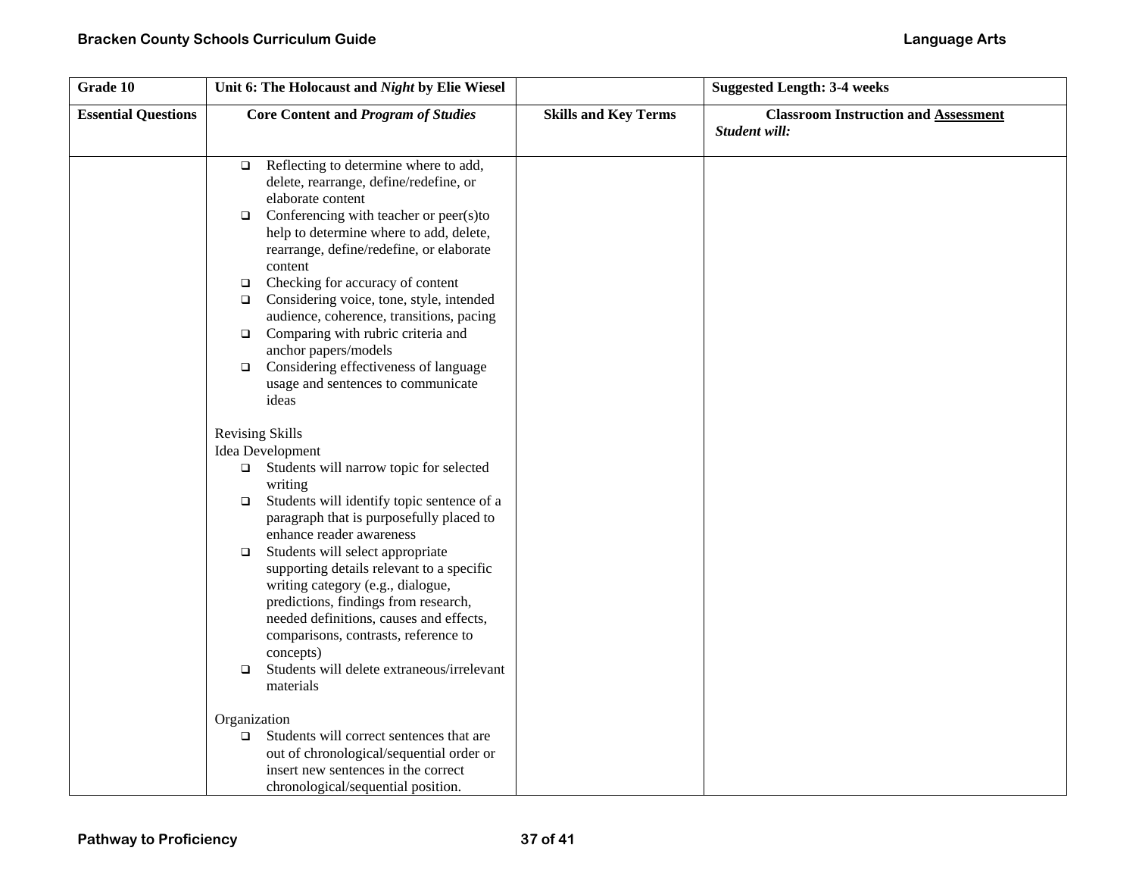| Grade 10                   | Unit 6: The Holocaust and Night by Elie Wiesel                                                                                                                                                                                                                                                                                                                                                                                                                                                                                                                                                                                                                                                                                                                                      |                             | <b>Suggested Length: 3-4 weeks</b>                           |
|----------------------------|-------------------------------------------------------------------------------------------------------------------------------------------------------------------------------------------------------------------------------------------------------------------------------------------------------------------------------------------------------------------------------------------------------------------------------------------------------------------------------------------------------------------------------------------------------------------------------------------------------------------------------------------------------------------------------------------------------------------------------------------------------------------------------------|-----------------------------|--------------------------------------------------------------|
| <b>Essential Questions</b> | <b>Core Content and Program of Studies</b>                                                                                                                                                                                                                                                                                                                                                                                                                                                                                                                                                                                                                                                                                                                                          | <b>Skills and Key Terms</b> | <b>Classroom Instruction and Assessment</b><br>Student will: |
|                            | Reflecting to determine where to add,<br>$\Box$<br>delete, rearrange, define/redefine, or<br>elaborate content<br>Conferencing with teacher or peer(s)to<br>$\Box$<br>help to determine where to add, delete,<br>rearrange, define/redefine, or elaborate<br>content<br>Checking for accuracy of content<br>$\Box$<br>Considering voice, tone, style, intended<br>$\Box$<br>audience, coherence, transitions, pacing<br>$\Box$ Comparing with rubric criteria and<br>anchor papers/models<br>$\Box$ Considering effectiveness of language<br>usage and sentences to communicate<br>ideas                                                                                                                                                                                            |                             |                                                              |
|                            | <b>Revising Skills</b><br>Idea Development<br>$\Box$ Students will narrow topic for selected<br>writing<br>Students will identify topic sentence of a<br>$\Box$<br>paragraph that is purposefully placed to<br>enhance reader awareness<br>Students will select appropriate<br>$\Box$<br>supporting details relevant to a specific<br>writing category (e.g., dialogue,<br>predictions, findings from research,<br>needed definitions, causes and effects,<br>comparisons, contrasts, reference to<br>concepts)<br>Students will delete extraneous/irrelevant<br>$\Box$<br>materials<br>Organization<br>Students will correct sentences that are<br>$\Box$<br>out of chronological/sequential order or<br>insert new sentences in the correct<br>chronological/sequential position. |                             |                                                              |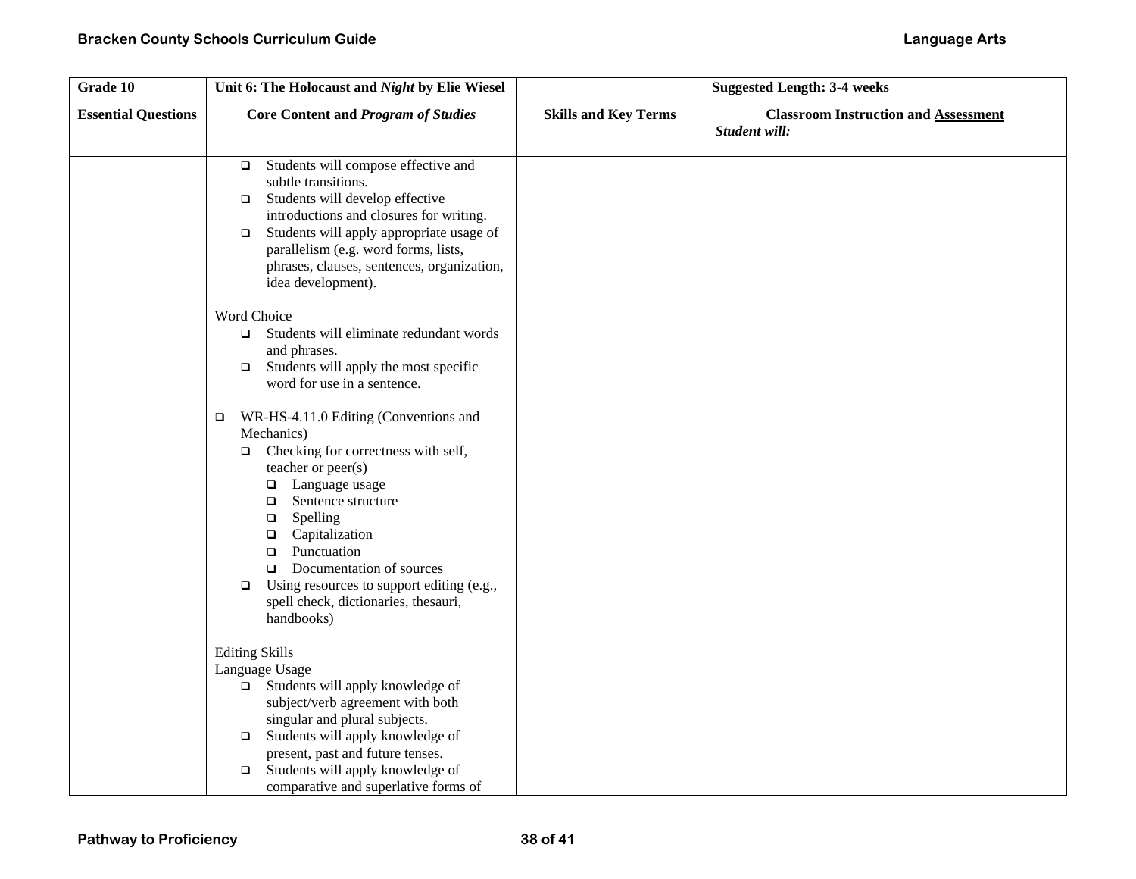| Grade 10                   | Unit 6: The Holocaust and Night by Elie Wiesel                                                                                                                                                                                                                                                                                                                                                                   |                             | <b>Suggested Length: 3-4 weeks</b>                           |
|----------------------------|------------------------------------------------------------------------------------------------------------------------------------------------------------------------------------------------------------------------------------------------------------------------------------------------------------------------------------------------------------------------------------------------------------------|-----------------------------|--------------------------------------------------------------|
| <b>Essential Questions</b> | <b>Core Content and Program of Studies</b>                                                                                                                                                                                                                                                                                                                                                                       | <b>Skills and Key Terms</b> | <b>Classroom Instruction and Assessment</b><br>Student will: |
|                            | Students will compose effective and<br>$\Box$<br>subtle transitions.<br>Students will develop effective<br>$\Box$<br>introductions and closures for writing.<br>Students will apply appropriate usage of<br>$\Box$<br>parallelism (e.g. word forms, lists,<br>phrases, clauses, sentences, organization,<br>idea development).                                                                                   |                             |                                                              |
|                            | Word Choice<br>Students will eliminate redundant words<br>$\Box$<br>and phrases.<br>Students will apply the most specific<br>$\Box$<br>word for use in a sentence.                                                                                                                                                                                                                                               |                             |                                                              |
|                            | WR-HS-4.11.0 Editing (Conventions and<br>$\Box$<br>Mechanics)<br>Checking for correctness with self,<br>$\Box$<br>teacher or peer(s)<br>□ Language usage<br>$\Box$ Sentence structure<br>Spelling<br>$\Box$<br>Capitalization<br>$\Box$<br>Punctuation<br>$\Box$<br>$\Box$ Documentation of sources<br>Using resources to support editing (e.g.,<br>$\Box$<br>spell check, dictionaries, thesauri,<br>handbooks) |                             |                                                              |
|                            | <b>Editing Skills</b><br>Language Usage<br>Students will apply knowledge of<br>$\Box$<br>subject/verb agreement with both<br>singular and plural subjects.<br>Students will apply knowledge of<br>$\Box$<br>present, past and future tenses.<br>Students will apply knowledge of<br>$\Box$<br>comparative and superlative forms of                                                                               |                             |                                                              |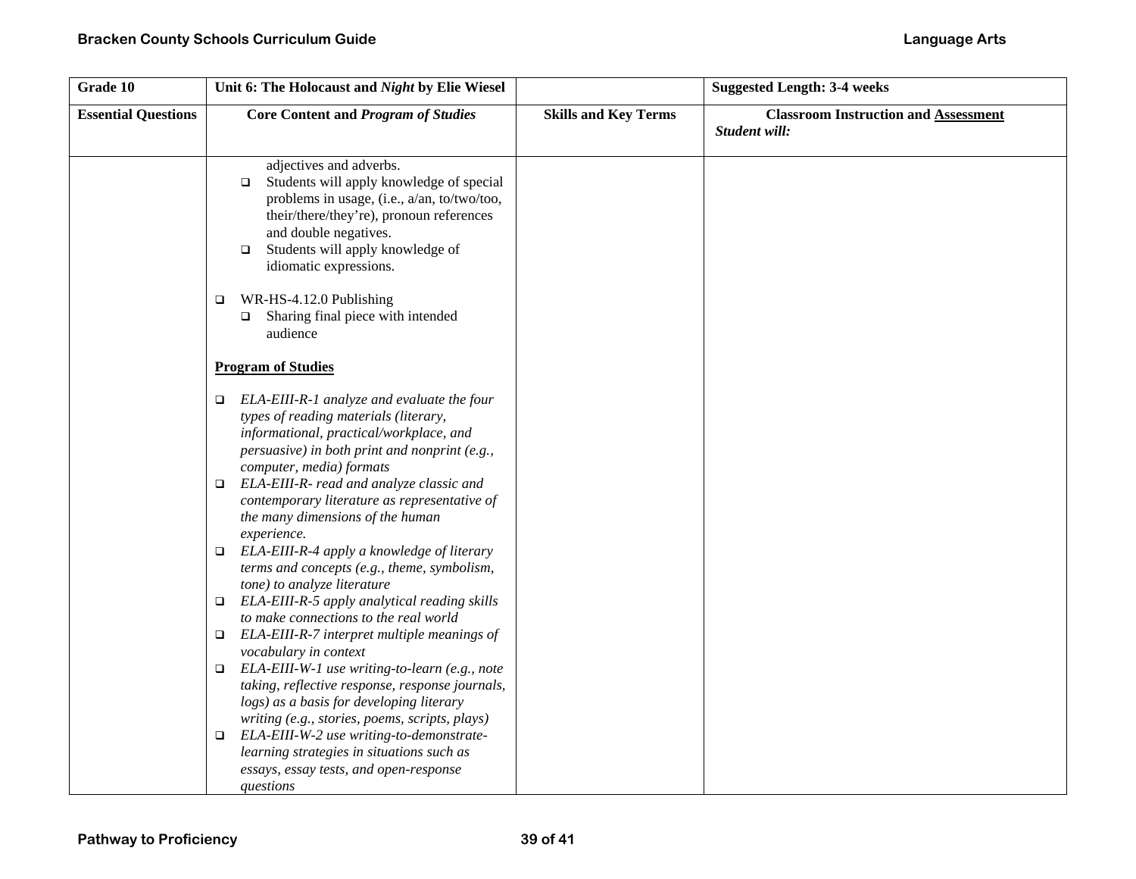| Grade 10                   | Unit 6: The Holocaust and Night by Elie Wiesel                                                                                                                                                                                                                            |                             | <b>Suggested Length: 3-4 weeks</b>                           |
|----------------------------|---------------------------------------------------------------------------------------------------------------------------------------------------------------------------------------------------------------------------------------------------------------------------|-----------------------------|--------------------------------------------------------------|
| <b>Essential Questions</b> | <b>Core Content and Program of Studies</b>                                                                                                                                                                                                                                | <b>Skills and Key Terms</b> | <b>Classroom Instruction and Assessment</b><br>Student will: |
|                            | adjectives and adverbs.<br>Students will apply knowledge of special<br>$\Box$<br>problems in usage, (i.e., a/an, to/two/too,<br>their/there/they're), pronoun references<br>and double negatives.<br>Students will apply knowledge of<br>$\Box$<br>idiomatic expressions. |                             |                                                              |
|                            | WR-HS-4.12.0 Publishing<br>$\Box$<br>Sharing final piece with intended<br>$\Box$<br>audience                                                                                                                                                                              |                             |                                                              |
|                            | <b>Program of Studies</b>                                                                                                                                                                                                                                                 |                             |                                                              |
|                            | ELA-EIII-R-1 analyze and evaluate the four<br>▫<br>types of reading materials (literary,<br>informational, practical/workplace, and<br>persuasive) in both print and nonprint (e.g.,<br>computer, media) formats<br>ELA-EIII-R- read and analyze classic and<br>$\Box$    |                             |                                                              |
|                            | contemporary literature as representative of<br>the many dimensions of the human<br>experience.<br>ELA-EIII-R-4 apply a knowledge of literary<br>$\Box$                                                                                                                   |                             |                                                              |
|                            | terms and concepts (e.g., theme, symbolism,<br>tone) to analyze literature                                                                                                                                                                                                |                             |                                                              |
|                            | ELA-EIII-R-5 apply analytical reading skills<br>▫<br>to make connections to the real world                                                                                                                                                                                |                             |                                                              |
|                            | ELA-EIII-R-7 interpret multiple meanings of<br>$\Box$<br>vocabulary in context                                                                                                                                                                                            |                             |                                                              |
|                            | ELA-EIII-W-1 use writing-to-learn (e.g., note<br>$\Box$<br>taking, reflective response, response journals,<br>logs) as a basis for developing literary<br>writing (e.g., stories, poems, scripts, plays)                                                                  |                             |                                                              |
|                            | ELA-EIII-W-2 use writing-to-demonstrate-<br>$\Box$<br>learning strategies in situations such as<br>essays, essay tests, and open-response<br>questions                                                                                                                    |                             |                                                              |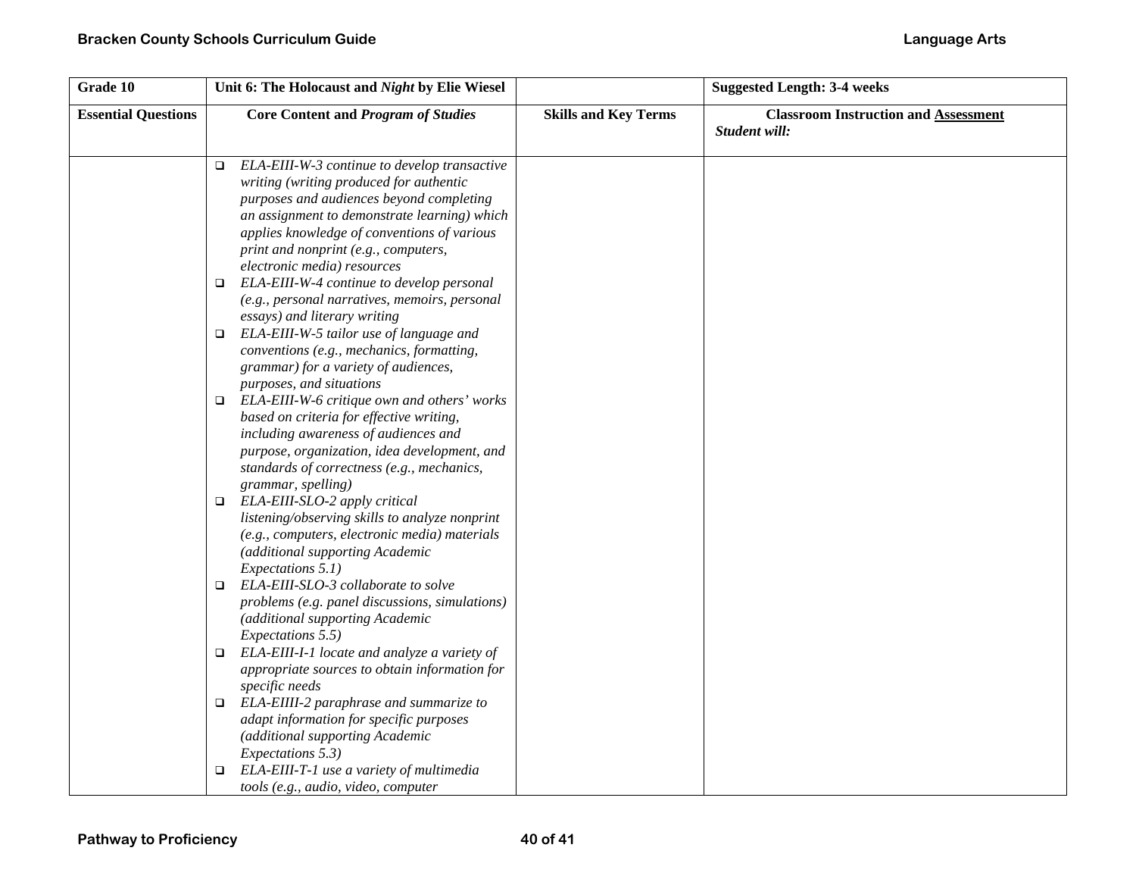| Grade 10                   | Unit 6: The Holocaust and Night by Elie Wiesel                                                                                                                                                                                                                                                                      |                             | <b>Suggested Length: 3-4 weeks</b>                           |
|----------------------------|---------------------------------------------------------------------------------------------------------------------------------------------------------------------------------------------------------------------------------------------------------------------------------------------------------------------|-----------------------------|--------------------------------------------------------------|
| <b>Essential Questions</b> | <b>Core Content and Program of Studies</b>                                                                                                                                                                                                                                                                          | <b>Skills and Key Terms</b> | <b>Classroom Instruction and Assessment</b><br>Student will: |
|                            | ELA-EIII-W-3 continue to develop transactive<br>$\Box$<br>writing (writing produced for authentic<br>purposes and audiences beyond completing<br>an assignment to demonstrate learning) which<br>applies knowledge of conventions of various<br>print and nonprint (e.g., computers,<br>electronic media) resources |                             |                                                              |
|                            | ELA-EIII-W-4 continue to develop personal<br>$\Box$<br>(e.g., personal narratives, memoirs, personal<br>essays) and literary writing                                                                                                                                                                                |                             |                                                              |
|                            | ELA-EIII-W-5 tailor use of language and<br>$\Box$<br>conventions (e.g., mechanics, formatting,<br>grammar) for a variety of audiences,<br>purposes, and situations                                                                                                                                                  |                             |                                                              |
|                            | ELA-EIII-W-6 critique own and others' works<br>$\Box$<br>based on criteria for effective writing,<br>including awareness of audiences and<br>purpose, organization, idea development, and<br>standards of correctness (e.g., mechanics,<br>grammar, spelling)                                                       |                             |                                                              |
|                            | ELA-EIII-SLO-2 apply critical<br>$\Box$<br>listening/observing skills to analyze nonprint<br>(e.g., computers, electronic media) materials<br>(additional supporting Academic<br>Expectations 5.1)                                                                                                                  |                             |                                                              |
|                            | ELA-EIII-SLO-3 collaborate to solve<br>$\Box$<br>problems (e.g. panel discussions, simulations)<br>(additional supporting Academic<br>Expectations 5.5)                                                                                                                                                             |                             |                                                              |
|                            | ELA-EIII-I-1 locate and analyze a variety of<br>$\Box$<br>appropriate sources to obtain information for<br>specific needs                                                                                                                                                                                           |                             |                                                              |
|                            | ELA-EIIII-2 paraphrase and summarize to<br>$\Box$<br>adapt information for specific purposes<br>(additional supporting Academic<br>Expectations 5.3)                                                                                                                                                                |                             |                                                              |
|                            | ELA-EIII-T-1 use a variety of multimedia<br>$\Box$<br>tools (e.g., audio, video, computer                                                                                                                                                                                                                           |                             |                                                              |